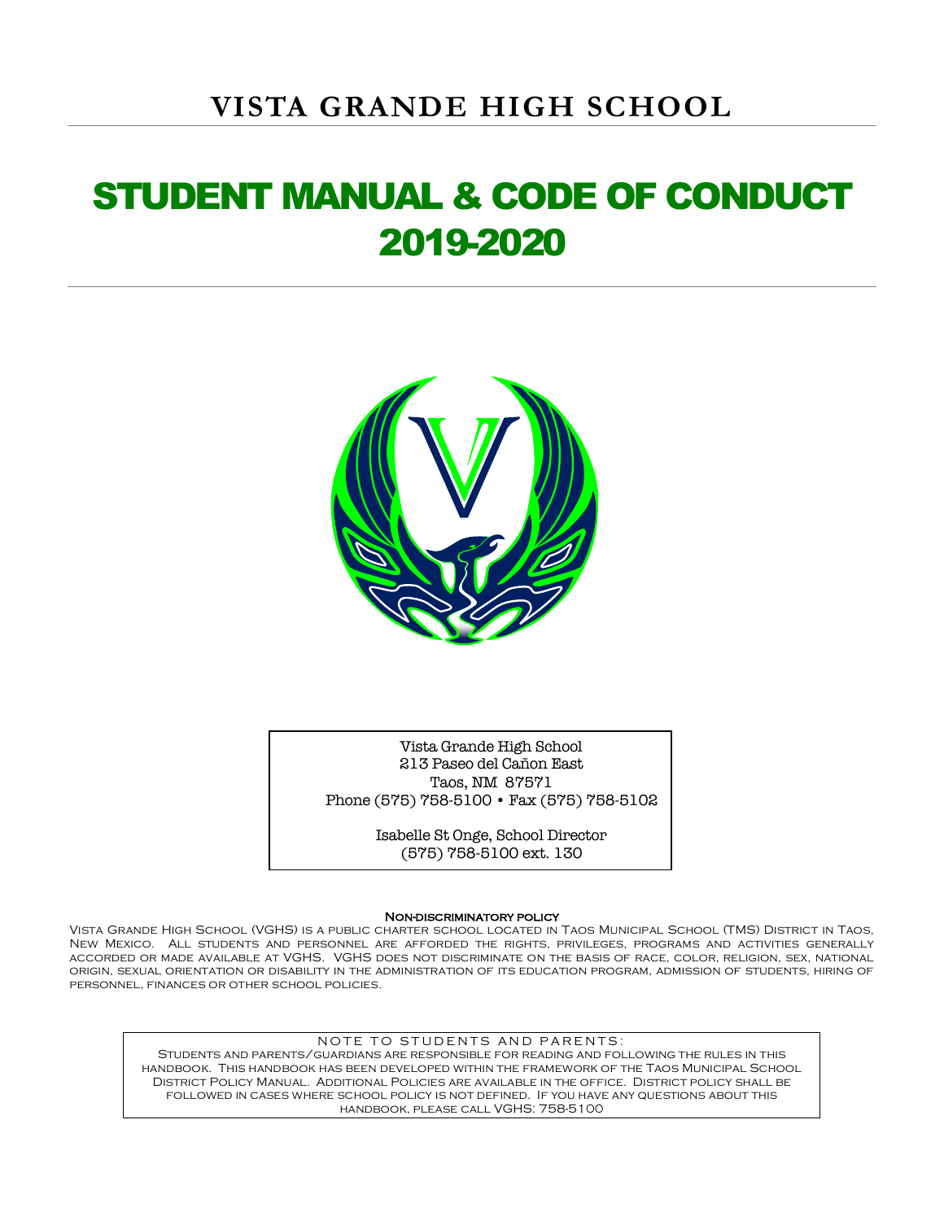# STUDENT MANUAL & CODE OF CONDUCT 2019-2020



Vista Grande High School 213 Paseo del Cañon East Taos, NM 87571 Phone (575) 758-5100 • Fax (575) 758-5102

> Isabelle St Onge, School Director (575) 758-5100 ext. 130

#### Non-discriminatory policy

Vista Grande High School (VGHS) is a public charter school located in Taos Municipal School (TMS) District in Taos, New Mexico. All students and personnel are afforded the rights, privileges, programs and activities generally accorded or made available at VGHS. VGHS does not discriminate on the basis of race, color, religion, sex, national origin, sexual orientation or disability in the administration of its education program, admission of students, hiring of personnel, finances or other school policies.

NOTE TO STUDENTS AND PARENTS:

Students and parents/guardians are responsible for reading and following the rules in this handbook. This handbook has been developed within the framework of the Taos Municipal School District Policy Manual. Additional Policies are available in the office. District policy shall be followed in cases where school policy is not defined. If you have any questions about this handbook, please call VGHS: 758-5100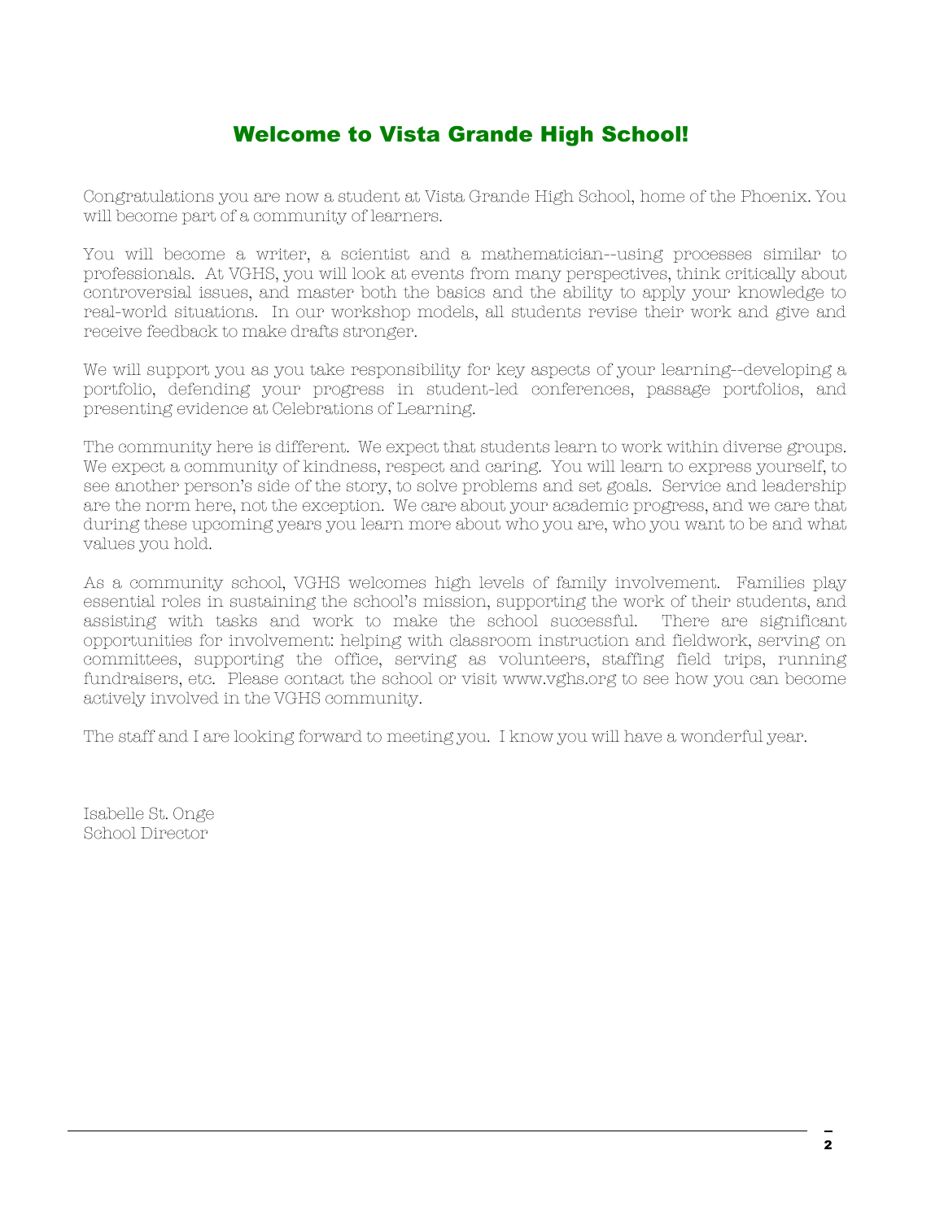## Welcome to Vista Grande High School!

Congratulations you are now a student at Vista Grande High School, home of the Phoenix. You will become part of a community of learners.

You will become a writer, a scientist and a mathematician--using processes similar to professionals. At VGHS, you will look at events from many perspectives, think critically about controversial issues, and master both the basics and the ability to apply your knowledge to real-world situations. In our workshop models, all students revise their work and give and receive feedback to make drafts stronger.

We will support you as you take responsibility for key aspects of your learning--developing a portfolio, defending your progress in student-led conferences, passage portfolios, and presenting evidence at Celebrations of Learning.

The community here is different. We expect that students learn to work within diverse groups. We expect a community of kindness, respect and caring. You will learn to express yourself, to see another person's side of the story, to solve problems and set goals. Service and leadership are the norm here, not the exception. We care about your academic progress, and we care that during these upcoming years you learn more about who you are, who you want to be and what values you hold.

As a community school, VGHS welcomes high levels of family involvement. Families play essential roles in sustaining the school's mission, supporting the work of their students, and assisting with tasks and work to make the school successful. There are significant opportunities for involvement: helping with classroom instruction and fieldwork, serving on committees, supporting the office, serving as volunteers, staffing field trips, running fundraisers, etc. Please contact the school or visit www.vghs.org to see how you can become actively involved in the VGHS community.

The staff and I are looking forward to meeting you. I know you will have a wonderful year.

Isabelle St. Onge School Director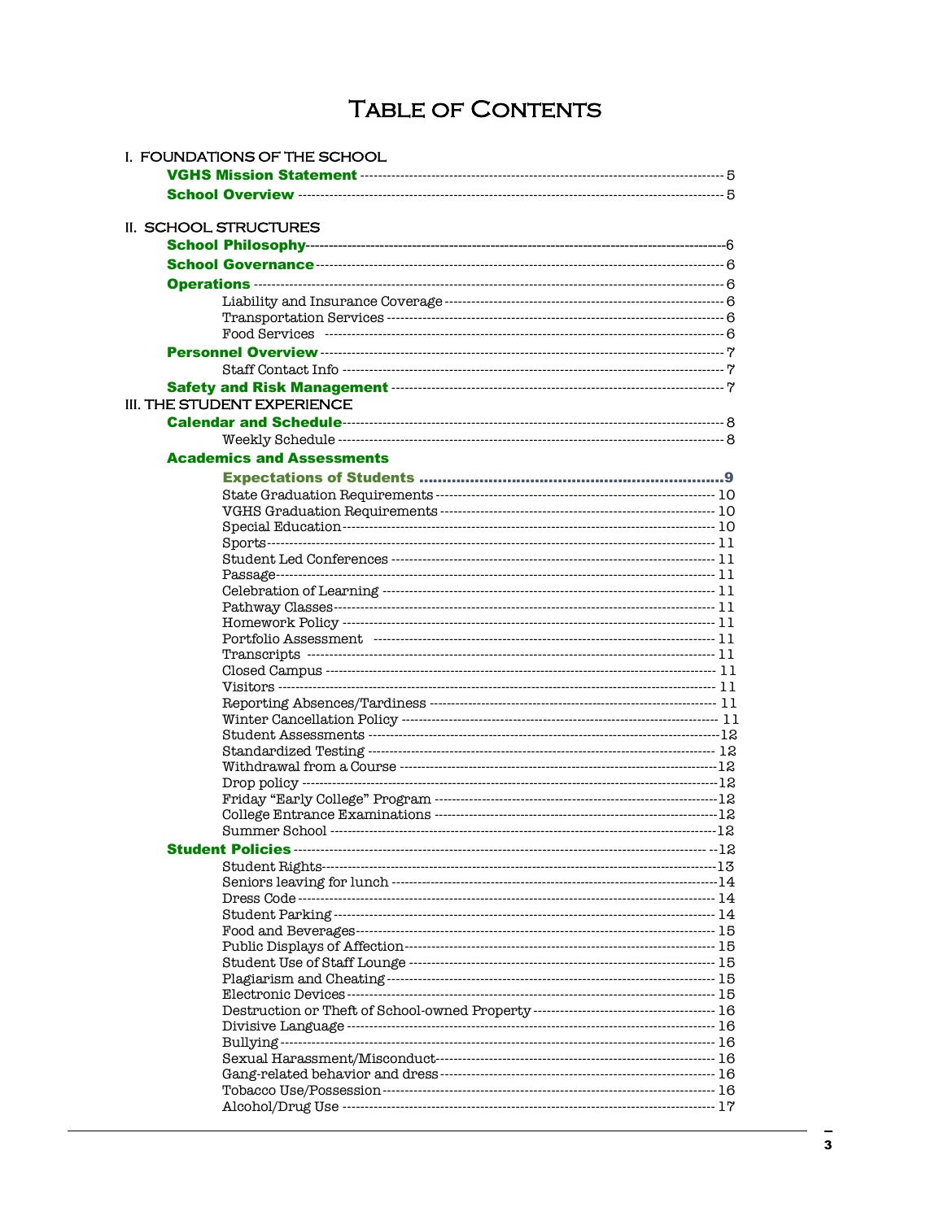## **TABLE OF CONTENTS**

| I. FOUNDATIONS OF THE SCHOOL     |  |
|----------------------------------|--|
|                                  |  |
|                                  |  |
|                                  |  |
| II. SCHOOL STRUCTURES            |  |
|                                  |  |
|                                  |  |
|                                  |  |
|                                  |  |
|                                  |  |
|                                  |  |
|                                  |  |
|                                  |  |
|                                  |  |
| III. THE STUDENT EXPERIENCE      |  |
|                                  |  |
|                                  |  |
| <b>Academics and Assessments</b> |  |
|                                  |  |
|                                  |  |
|                                  |  |
|                                  |  |
|                                  |  |
|                                  |  |
|                                  |  |
|                                  |  |
|                                  |  |
|                                  |  |
|                                  |  |
|                                  |  |
|                                  |  |
|                                  |  |
|                                  |  |
|                                  |  |
|                                  |  |
|                                  |  |
|                                  |  |
|                                  |  |
|                                  |  |
|                                  |  |
|                                  |  |
|                                  |  |
|                                  |  |
|                                  |  |
|                                  |  |
|                                  |  |
|                                  |  |
|                                  |  |
|                                  |  |
|                                  |  |
|                                  |  |
|                                  |  |
|                                  |  |
|                                  |  |
|                                  |  |
|                                  |  |
|                                  |  |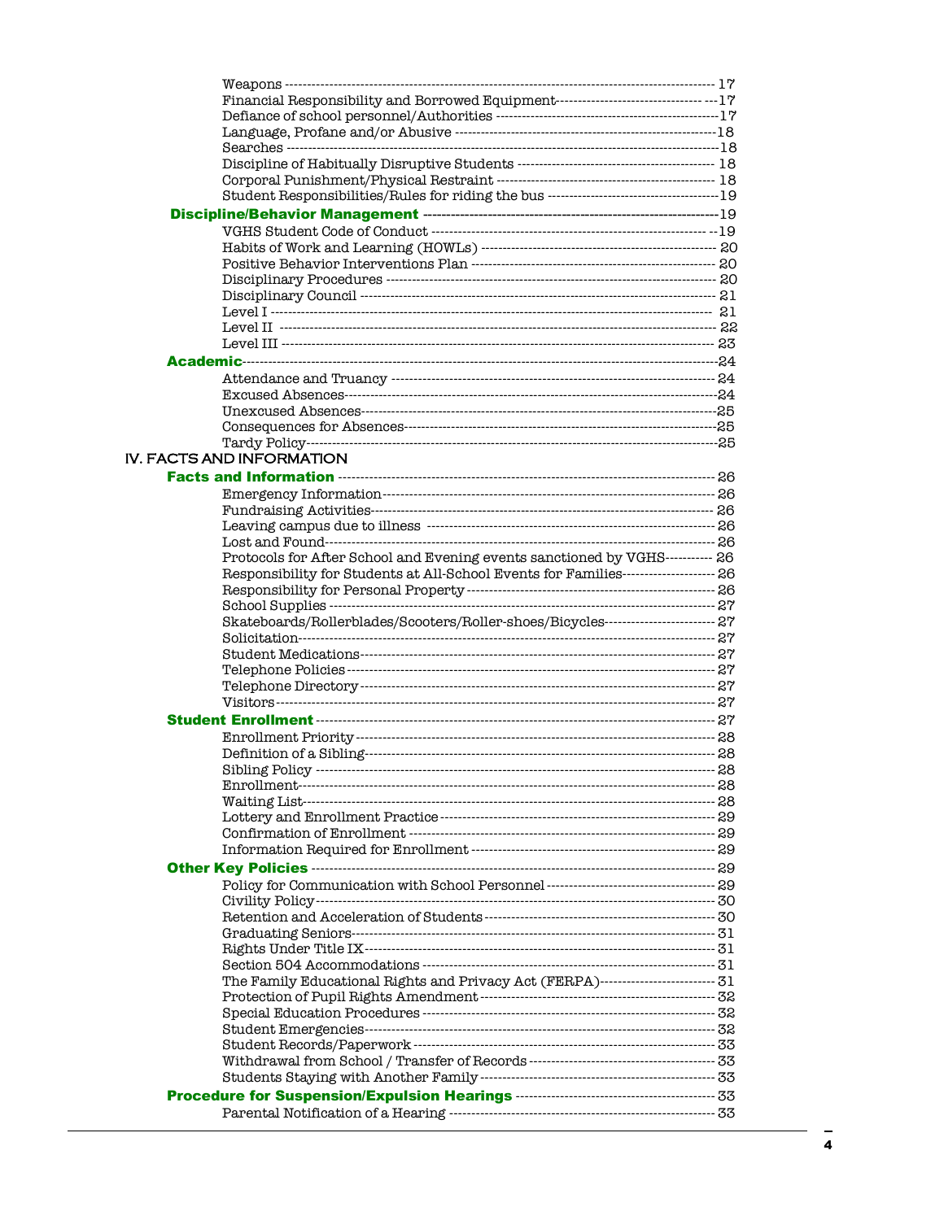| Financial Responsibility and Borrowed Equipment---------------------------------- --- 17 |  |
|------------------------------------------------------------------------------------------|--|
|                                                                                          |  |
|                                                                                          |  |
|                                                                                          |  |
|                                                                                          |  |
|                                                                                          |  |
|                                                                                          |  |
|                                                                                          |  |
|                                                                                          |  |
|                                                                                          |  |
|                                                                                          |  |
|                                                                                          |  |
|                                                                                          |  |
|                                                                                          |  |
|                                                                                          |  |
|                                                                                          |  |
|                                                                                          |  |
|                                                                                          |  |
|                                                                                          |  |
|                                                                                          |  |
|                                                                                          |  |
|                                                                                          |  |
|                                                                                          |  |
| IV. FACTS AND INFORMATION                                                                |  |
|                                                                                          |  |
|                                                                                          |  |
|                                                                                          |  |
|                                                                                          |  |
|                                                                                          |  |
| Protocols for After School and Evening events sanctioned by VGHS---------- 26            |  |
| Responsibility for Students at All-School Events for Families------------------------ 26 |  |
|                                                                                          |  |
|                                                                                          |  |
| Skateboards/Rollerblades/Scooters/Roller-shoes/Bicycles------------------------- 27      |  |
|                                                                                          |  |
|                                                                                          |  |
|                                                                                          |  |
|                                                                                          |  |
|                                                                                          |  |
|                                                                                          |  |
|                                                                                          |  |
|                                                                                          |  |
|                                                                                          |  |
|                                                                                          |  |
|                                                                                          |  |
|                                                                                          |  |
|                                                                                          |  |
|                                                                                          |  |
|                                                                                          |  |
|                                                                                          |  |
|                                                                                          |  |
|                                                                                          |  |
|                                                                                          |  |
|                                                                                          |  |
|                                                                                          |  |
|                                                                                          |  |
| The Family Educational Rights and Privacy Act (FERPA)--------------------------- 31      |  |
|                                                                                          |  |
|                                                                                          |  |
|                                                                                          |  |
|                                                                                          |  |
|                                                                                          |  |
|                                                                                          |  |
|                                                                                          |  |
|                                                                                          |  |
|                                                                                          |  |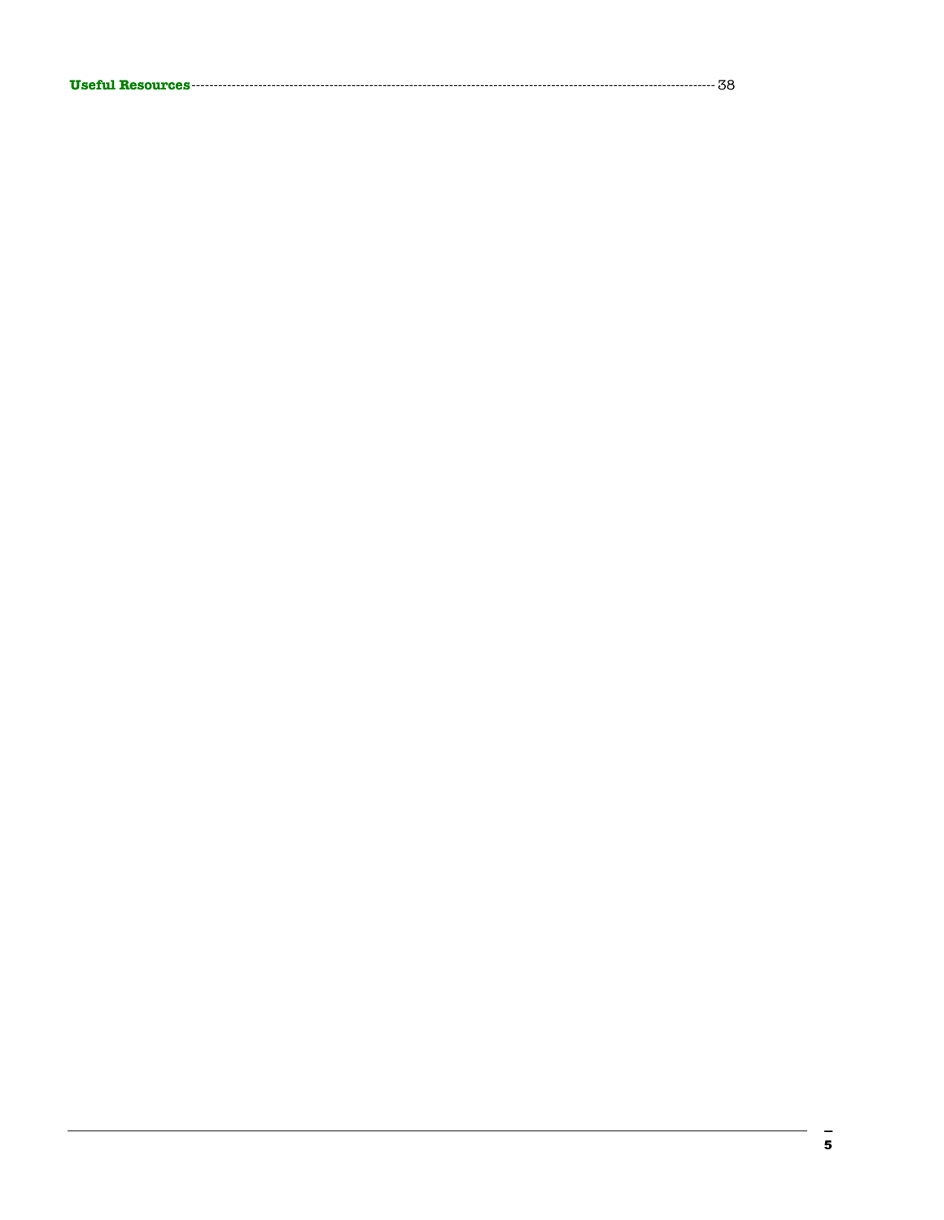|--|--|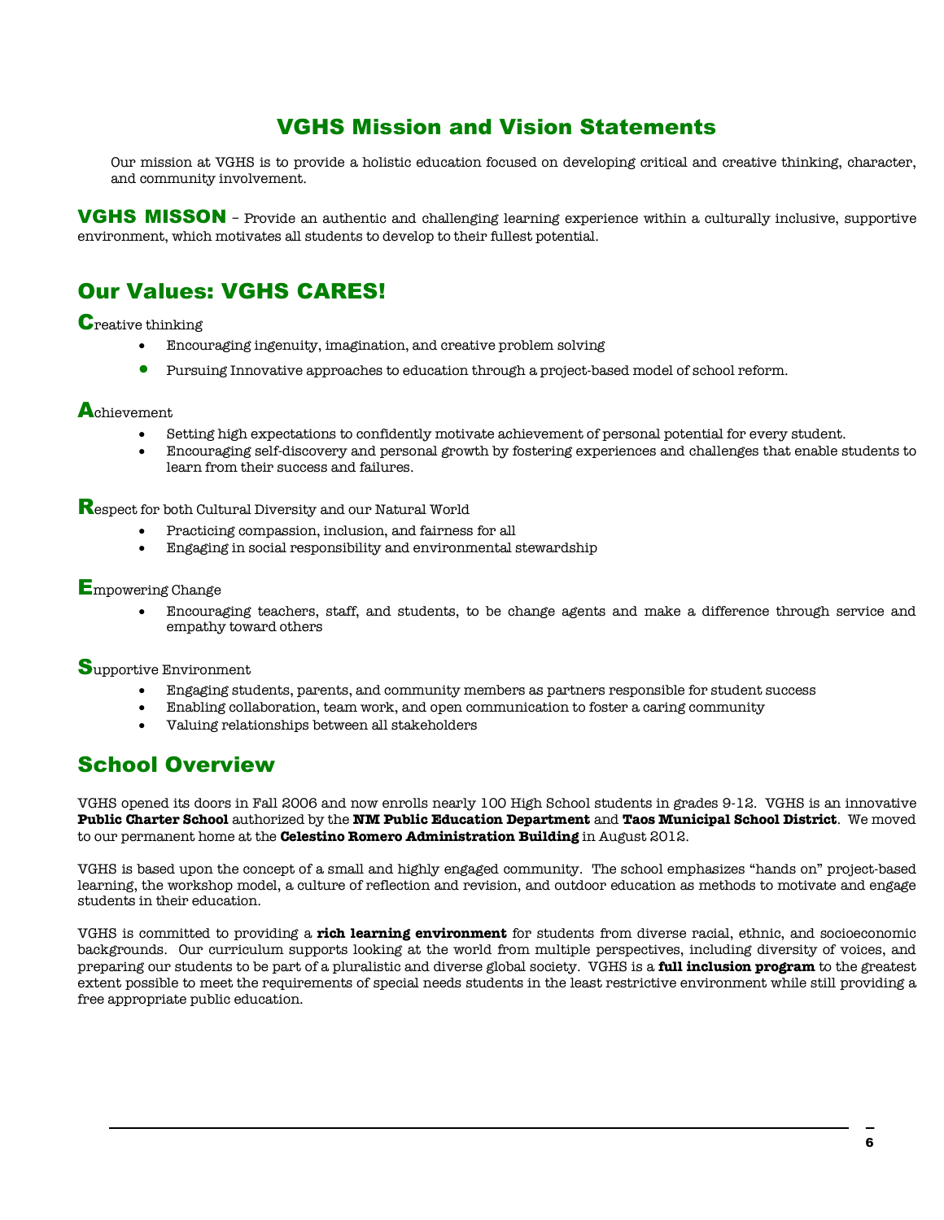## VGHS Mission and Vision Statements

Our mission at VGHS is to provide a holistic education focused on developing critical and creative thinking, character, and community involvement.

VGHS MISSON – Provide an authentic and challenging learning experience within a culturally inclusive, supportive environment, which motivates all students to develop to their fullest potential.

## Our Values: VGHS CARES!

**C**reative thinking

- Encouraging ingenuity, imagination, and creative problem solving
- Pursuing Innovative approaches to education through a project-based model of school reform.

### **Achievement**

- Setting high expectations to confidently motivate achievement of personal potential for every student.
- Encouraging self-discovery and personal growth by fostering experiences and challenges that enable students to learn from their success and failures.

Respect for both Cultural Diversity and our Natural World

- Practicing compassion, inclusion, and fairness for all
- Engaging in social responsibility and environmental stewardship

#### Empowering Change

• Encouraging teachers, staff, and students, to be change agents and make a difference through service and empathy toward others

Supportive Environment

- Engaging students, parents, and community members as partners responsible for student success
- Enabling collaboration, team work, and open communication to foster a caring community
- Valuing relationships between all stakeholders

## School Overview

VGHS opened its doors in Fall 2006 and now enrolls nearly 100 High School students in grades 9-12. VGHS is an innovative **Public Charter School** authorized by the **NM Public Education Department** and **Taos Municipal School District**. We moved to our permanent home at the **Celestino Romero Administration Building** in August 2012.

VGHS is based upon the concept of a small and highly engaged community. The school emphasizes "hands on" project-based learning, the workshop model, a culture of reflection and revision, and outdoor education as methods to motivate and engage students in their education.

VGHS is committed to providing a **rich learning environment** for students from diverse racial, ethnic, and socioeconomic backgrounds. Our curriculum supports looking at the world from multiple perspectives, including diversity of voices, and preparing our students to be part of a pluralistic and diverse global society. VGHS is a **full inclusion program** to the greatest extent possible to meet the requirements of special needs students in the least restrictive environment while still providing a free appropriate public education.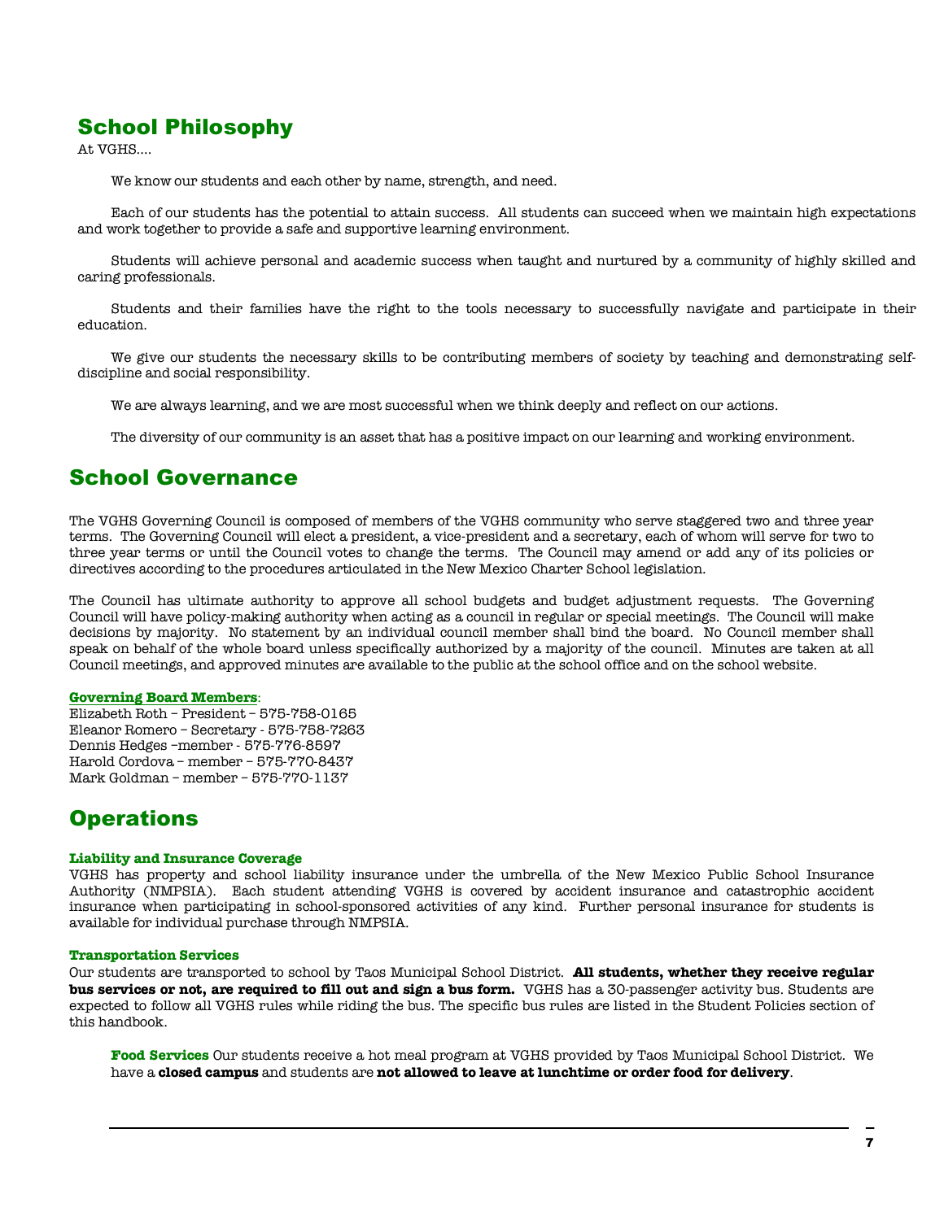## School Philosophy

At VGHS….

We know our students and each other by name, strength, and need.

Each of our students has the potential to attain success. All students can succeed when we maintain high expectations and work together to provide a safe and supportive learning environment.

Students will achieve personal and academic success when taught and nurtured by a community of highly skilled and caring professionals.

Students and their families have the right to the tools necessary to successfully navigate and participate in their education.

We give our students the necessary skills to be contributing members of society by teaching and demonstrating selfdiscipline and social responsibility.

We are always learning, and we are most successful when we think deeply and reflect on our actions.

The diversity of our community is an asset that has a positive impact on our learning and working environment.

## School Governance

The VGHS Governing Council is composed of members of the VGHS community who serve staggered two and three year terms. The Governing Council will elect a president, a vice-president and a secretary, each of whom will serve for two to three year terms or until the Council votes to change the terms. The Council may amend or add any of its policies or directives according to the procedures articulated in the New Mexico Charter School legislation.

The Council has ultimate authority to approve all school budgets and budget adjustment requests. The Governing Council will have policy-making authority when acting as a council in regular or special meetings. The Council will make decisions by majority. No statement by an individual council member shall bind the board. No Council member shall speak on behalf of the whole board unless specifically authorized by a majority of the council. Minutes are taken at all Council meetings, and approved minutes are available to the public at the school office and on the school website.

#### **Governing Board Members**:

Elizabeth Roth – President – 575-758-0165 Eleanor Romero – Secretary - 575-758-7263 Dennis Hedges –member - 575-776-8597 Harold Cordova – member – 575-770-8437 Mark Goldman – member – 575-770-1137

## **Operations**

#### **Liability and Insurance Coverage**

VGHS has property and school liability insurance under the umbrella of the New Mexico Public School Insurance Authority (NMPSIA). Each student attending VGHS is covered by accident insurance and catastrophic accident insurance when participating in school-sponsored activities of any kind. Further personal insurance for students is available for individual purchase through NMPSIA.

#### **Transportation Services**

Our students are transported to school by Taos Municipal School District. **All students, whether they receive regular bus services or not, are required to fill out and sign a bus form.** VGHS has a 30-passenger activity bus. Students are expected to follow all VGHS rules while riding the bus. The specific bus rules are listed in the Student Policies section of this handbook.

**Food Services** Our students receive a hot meal program at VGHS provided by Taos Municipal School District. We have a **closed campus** and students are **not allowed to leave at lunchtime or order food for delivery**.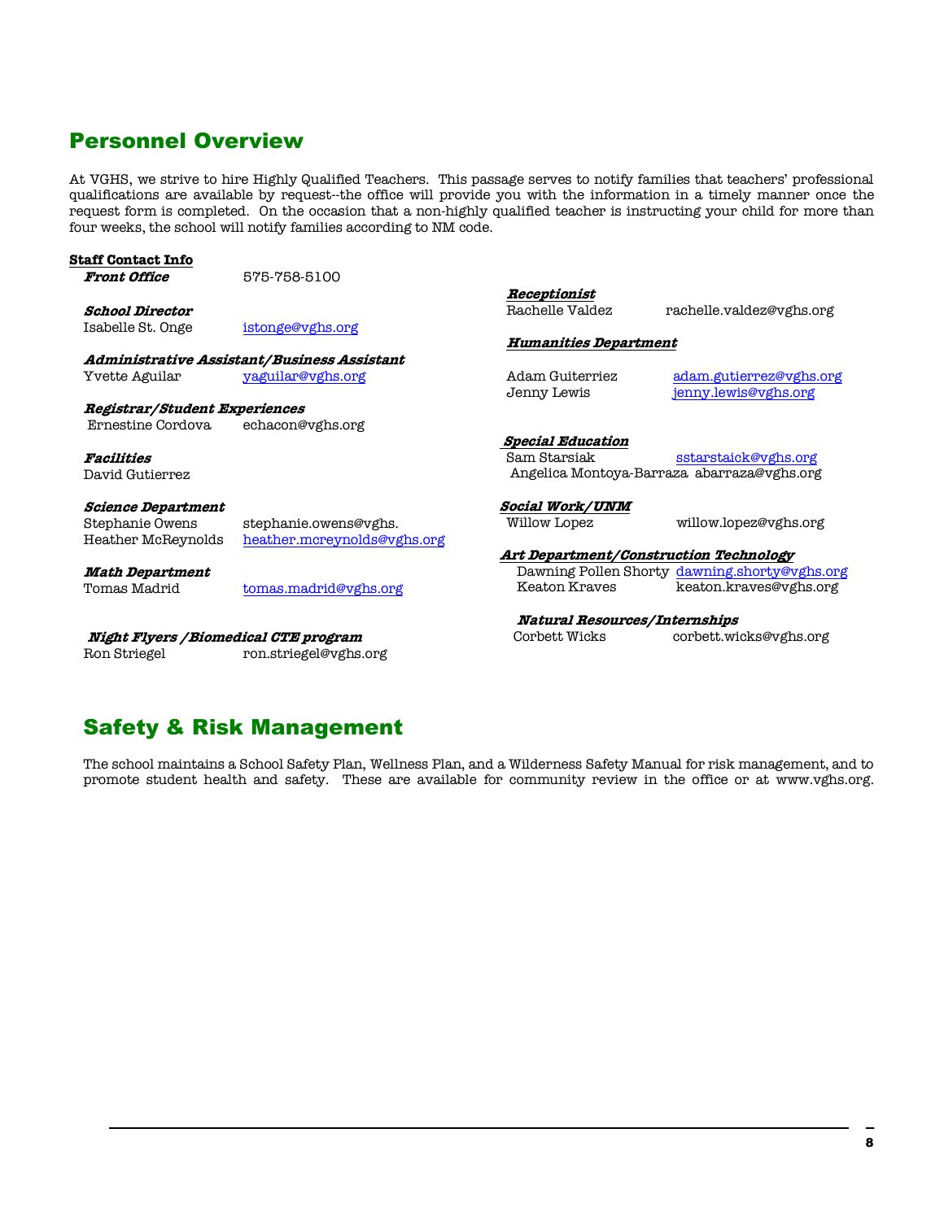## Personnel Overview

At VGHS, we strive to hire Highly Qualified Teachers. This passage serves to notify families that teachers' professional qualifications are available by request--the office will provide you with the information in a timely manner once the request form is completed. On the occasion that a non-highly qualified teacher is instructing your child for more than four weeks, the school will notify families according to NM code.

| <b>Staff Contact Info</b>                   |                                             |                                        |                                               |
|---------------------------------------------|---------------------------------------------|----------------------------------------|-----------------------------------------------|
| <b>Front Office</b>                         | 575-758-5100                                |                                        |                                               |
|                                             |                                             | Receptionist                           |                                               |
| <b>School Director</b>                      |                                             | Rachelle Valdez                        | rachelle.valdez@vghs.org                      |
| Isabelle St. Onge                           | istonge@vghs.org                            |                                        |                                               |
|                                             |                                             | <b>Humanities Department</b>           |                                               |
|                                             | Administrative Assistant/Business Assistant |                                        |                                               |
| Yvette Aguilar                              | yaguilar@vghs.org                           | Adam Guiterriez                        | adam.gutierrez@vghs.org                       |
|                                             |                                             | Jenny Lewis                            | jenny.lewis@vghs.org                          |
| <i><b>Registrar/Student Experiences</b></i> |                                             |                                        |                                               |
| Ernestine Cordova                           | echacon@vghs.org                            |                                        |                                               |
|                                             |                                             | <i><b>Special Education</b></i>        |                                               |
| <b>Facilities</b>                           |                                             | Sam Starsiak                           | sstarstaick@vghs.org                          |
| David Gutierrez                             |                                             |                                        | Angelica Montoya-Barraza abarraza@vghs.org    |
| <i><b>Science Department</b></i>            |                                             | Social Work/UNM                        |                                               |
| Stephanie Owens                             | stephanie.owens@vghs.                       | Willow Lopez                           | willow.lopez@vghs.org                         |
| Heather McReynolds                          | heather.mcreynolds@vghs.org                 |                                        |                                               |
|                                             |                                             | Art Department/Construction Technology |                                               |
| <i><b>Math Department</b></i>               |                                             |                                        | Dawning Pollen Shorty dawning.shorty@vghs.org |
| Tomas Madrid                                | tomas.madrid@vghs.org                       | Keaton Kraves                          | keaton.kraves@vghs.org                        |
|                                             |                                             | <b>Natural Resources/Internships</b>   |                                               |
| Night Flyers / Biomedical CTE program       |                                             | Corbett Wicks                          | corbett.wicks@vghs.org                        |

## Safety & Risk Management

Ron Striegel ron.striegel@vghs.org

The school maintains a School Safety Plan, Wellness Plan, and a Wilderness Safety Manual for risk management, and to promote student health and safety. These are available for community review in the office or at www.vghs.org.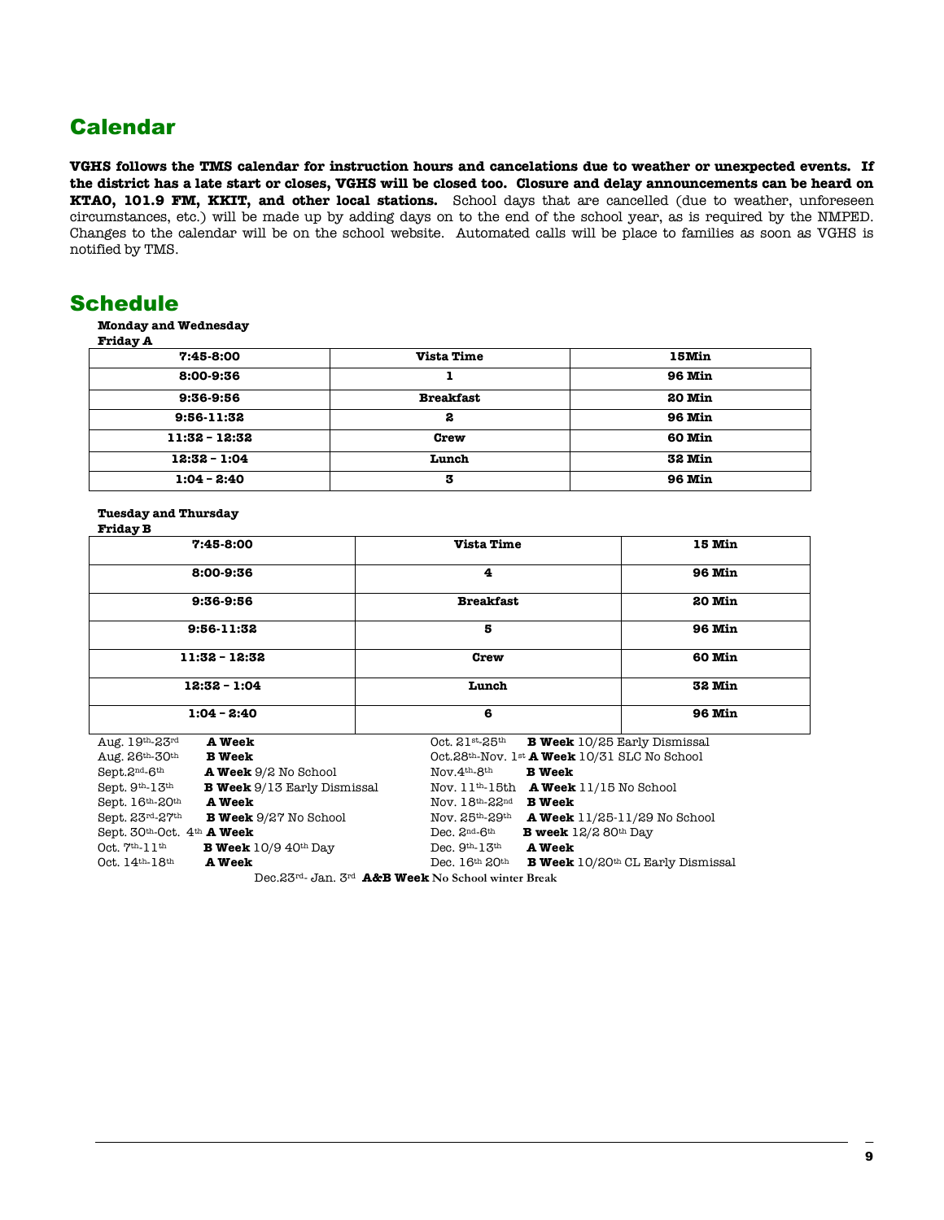## Calendar

**VGHS follows the TMS calendar for instruction hours and cancelations due to weather or unexpected events. If the district has a late start or closes, VGHS will be closed too. Closure and delay announcements can be heard on KTAO, 101.9 FM, KKIT, and other local stations.** School days that are cancelled (due to weather, unforeseen circumstances, etc.) will be made up by adding days on to the end of the school year, as is required by the NMPED. Changes to the calendar will be on the school website. Automated calls will be place to families as soon as VGHS is notified by TMS.

## **Schedule**

|                 | <b>Monday and Wednesday</b> |
|-----------------|-----------------------------|
| <b>Friday A</b> |                             |

| $7:45-8:00$     | <b>Vista Time</b> | 15Min         |
|-----------------|-------------------|---------------|
| 8:00-9:36       |                   | <b>96 Min</b> |
| 9:36-9:56       | <b>Breakfast</b>  | 20 Min        |
| $9:56-11:32$    | 2                 | <b>96 Min</b> |
| $11:32 - 12:32$ | Crew              | <b>60 Min</b> |
| $12:32 - 1:04$  | Lunch             | <b>32 Min</b> |
| $1:04 - 2:40$   | 3                 | <b>96 Min</b> |

#### **Tuesday and Thursday Friday B**

| $7:45-8:00$                                                             | <b>Vista Time</b>                                                            | <b>15 Min</b>                                        |
|-------------------------------------------------------------------------|------------------------------------------------------------------------------|------------------------------------------------------|
| 8:00-9:36                                                               | 4                                                                            | <b>96 Min</b>                                        |
| 9:36-9:56                                                               | <b>Breakfast</b>                                                             | 20 Min                                               |
| $9:56-11:32$                                                            | 5                                                                            | <b>96 Min</b>                                        |
| $11:32 - 12:32$                                                         | <b>Crew</b>                                                                  | <b>60 Min</b>                                        |
| $12:32 - 1:04$                                                          | Lunch                                                                        | <b>32 Min</b>                                        |
| $1:04 - 2:40$                                                           | 6                                                                            | <b>96 Min</b>                                        |
| Aug. $19th$ -23 <sup>rd</sup><br><b>A</b> Week                          | $Oct.21$ st- $25th$<br><b>B Week</b> 10/25 Early Dismissal                   |                                                      |
| $Aug. 26th$ -30 <sup>th</sup><br><b>B</b> Week                          | Oct.28 <sup>th</sup> -Nov. 1 <sup>st</sup> <b>A Week</b> 10/31 SLC No School |                                                      |
| $\rm Sept.2^{\rm nd}$ - $\rm 6^{\rm th}$<br><b>A Week</b> 9/2 No School | $\text{Nov.4}^{\text{th-8th}}$<br><b>B</b> Week                              |                                                      |
| Sept. 9th-13th<br><b>B Week</b> 9/13 Early Dismissal                    | Nov. $11th$ -15th <b>A Week</b> $11/15$ No School                            |                                                      |
| ${\rm Sept.16^{\rm th}.20^{\rm th}}$<br><b>A</b> Week                   | Nov. $18$ <sup>th</sup> -22 <sup>nd</sup> <b>B</b> Week                      |                                                      |
| Sept. 23rd-27th<br><b>B Week</b> 9/27 No School                         | $\text{Nov. } 25^{\text{th}} - 29^{\text{th}}$                               | <b>A Week</b> $11/25-11/29$ No School                |
| Sept. 30th-Oct. 4th <b>A Week</b>                                       | Dec. $2nd$ -6 <sup>th</sup><br><b>B</b> week $12/2$ 80 <sup>th</sup> Day     |                                                      |
| Oct. $7th$ -11 <sup>th</sup> <b>B</b> Week 10/9 40 <sup>th</sup> Day    | $Dec. 9th - 13th$<br><b>A</b> Week                                           |                                                      |
| Oct. 14th-18th<br><b>A</b> Week                                         | Dec. $16th$ 20 <sup>th</sup>                                                 | <b>B Week</b> 10/20 <sup>th</sup> CL Early Dismissal |

Dec.23rd- Jan. 3rd **A&B Week No School winter Break**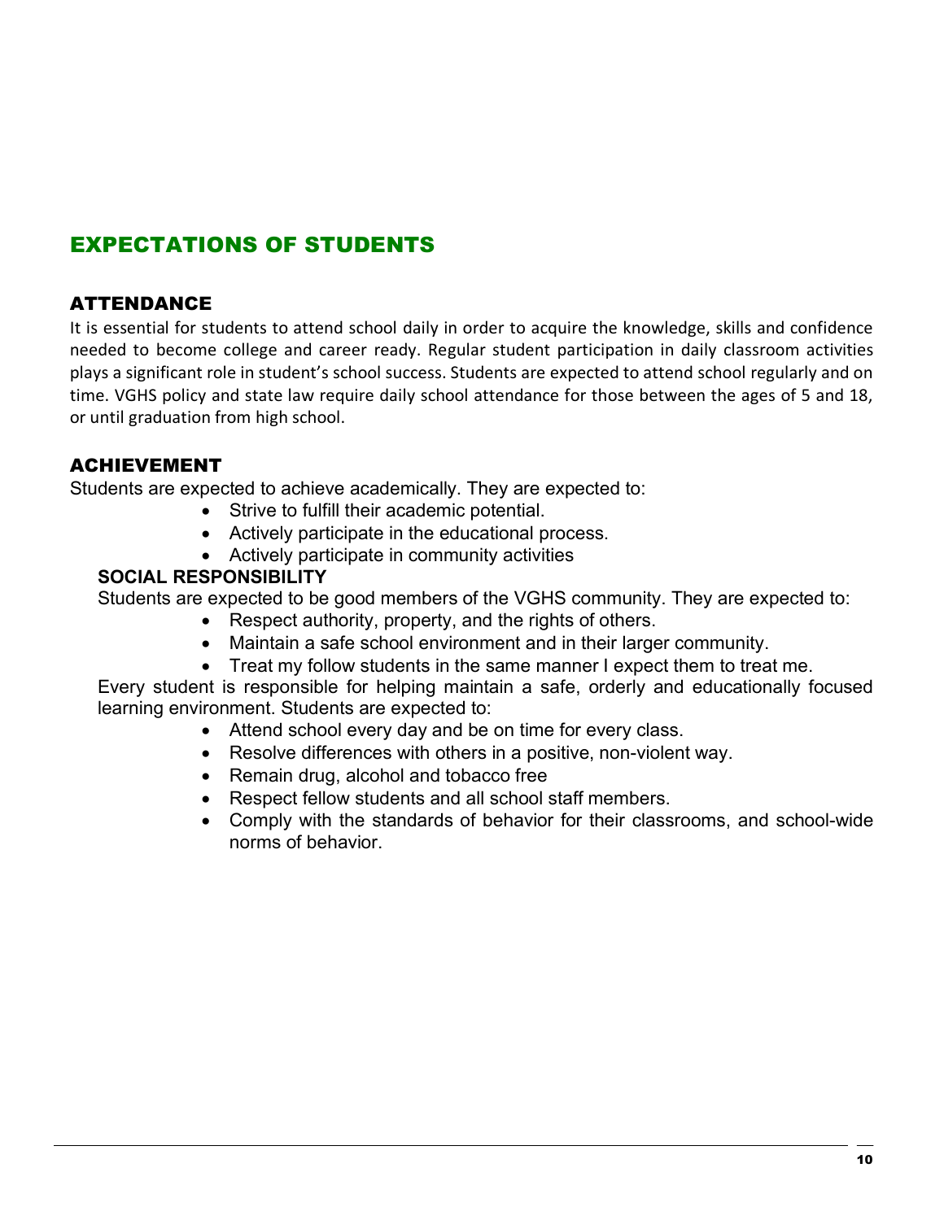## EXPECTATIONS OF STUDENTS

## ATTENDANCE

It is essential for students to attend school daily in order to acquire the knowledge, skills and confidence needed to become college and career ready. Regular student participation in daily classroom activities plays a significant role in student's school success. Students are expected to attend school regularly and on time. VGHS policy and state law require daily school attendance for those between the ages of 5 and 18, or until graduation from high school.

## ACHIEVEMENT

Students are expected to achieve academically. They are expected to:

- Strive to fulfill their academic potential.
- Actively participate in the educational process.
- Actively participate in community activities

## **SOCIAL RESPONSIBILITY**

Students are expected to be good members of the VGHS community. They are expected to:

- Respect authority, property, and the rights of others.
- Maintain a safe school environment and in their larger community.
- Treat my follow students in the same manner I expect them to treat me.

Every student is responsible for helping maintain a safe, orderly and educationally focused learning environment. Students are expected to:

- Attend school every day and be on time for every class.
- Resolve differences with others in a positive, non-violent way.
- Remain drug, alcohol and tobacco free
- Respect fellow students and all school staff members.
- Comply with the standards of behavior for their classrooms, and school-wide norms of behavior.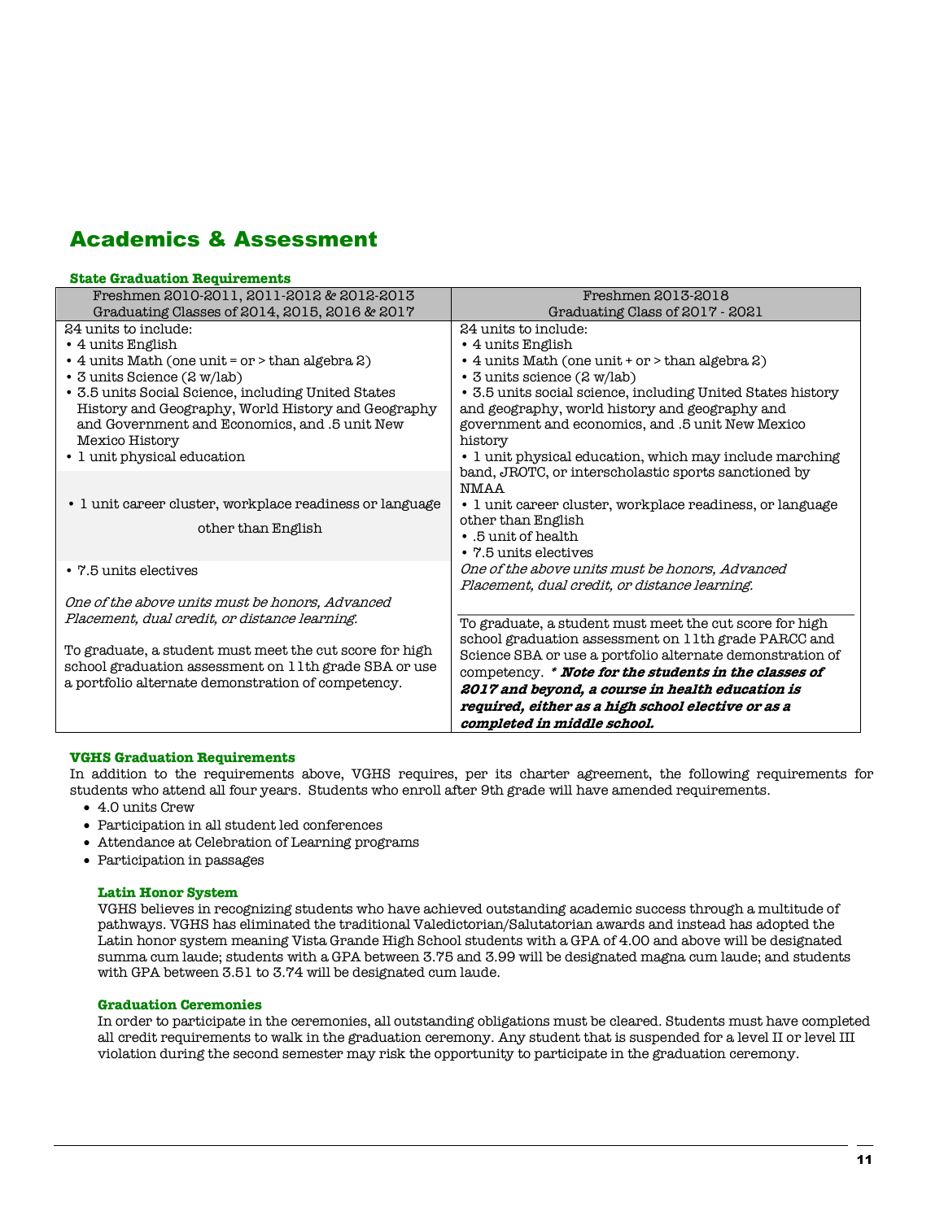## Academics & Assessment

#### **State Graduation Requirements**

| Freshmen 2010-2011, 2011-2012 & 2012-2013                | Freshmen 2013-2018                                          |
|----------------------------------------------------------|-------------------------------------------------------------|
| Graduating Classes of 2014, 2015, 2016 & 2017            | Graduating Class of 2017 - 2021                             |
| 24 units to include:                                     | 24 units to include:                                        |
| • 4 units English                                        | • 4 units English                                           |
| • 4 units Math (one unit = $or$ > than algebra 2)        | • 4 units Math (one unit + or > than algebra 2)             |
| · 3 units Science (2 w/lab)                              | · 3 units science (2 w/lab)                                 |
| • 3.5 units Social Science, including United States      | • 3.5 units social science, including United States history |
| History and Geography, World History and Geography       | and geography, world history and geography and              |
| and Government and Economics, and .5 unit New            | government and economics, and .5 unit New Mexico            |
| Mexico History                                           | history                                                     |
| • 1 unit physical education                              | • 1 unit physical education, which may include marching     |
|                                                          | band, JROTC, or interscholastic sports sanctioned by        |
|                                                          | <b>NMAA</b>                                                 |
| • 1 unit career cluster, workplace readiness or language | • 1 unit career cluster, workplace readiness, or language   |
| other than English                                       | other than English                                          |
|                                                          | • .5 unit of health                                         |
|                                                          | • 7.5 units electives                                       |
| • 7.5 units electives                                    | One of the above units must be honors, Advanced             |
|                                                          | Placement, dual credit, or distance learning.               |
| One of the above units must be honors, Advanced          |                                                             |
| Placement, dual credit, or distance learning.            | To graduate, a student must meet the cut score for high     |
|                                                          | school graduation assessment on 11th grade PARCC and        |
| To graduate, a student must meet the cut score for high  | Science SBA or use a portfolio alternate demonstration of   |
| school graduation assessment on 11th grade SBA or use    | competency. * Note for the students in the classes of       |
| a portfolio alternate demonstration of competency.       | 2017 and beyond, a course in health education is            |
|                                                          | required, either as a high school elective or as a          |
|                                                          | completed in middle school.                                 |

#### **VGHS Graduation Requirements**

In addition to the requirements above, VGHS requires, per its charter agreement, the following requirements for students who attend all four years. Students who enroll after 9th grade will have amended requirements.

- 4.0 units Crew
- Participation in all student led conferences
- Attendance at Celebration of Learning programs
- Participation in passages

#### **Latin Honor System**

VGHS believes in recognizing students who have achieved outstanding academic success through a multitude of pathways. VGHS has eliminated the traditional Valedictorian/Salutatorian awards and instead has adopted the Latin honor system meaning Vista Grande High School students with a GPA of 4.00 and above will be designated summa cum laude; students with a GPA between 3.75 and 3.99 will be designated magna cum laude; and students with GPA between 3.51 to 3.74 will be designated cum laude.

#### **Graduation Ceremonies**

In order to participate in the ceremonies, all outstanding obligations must be cleared. Students must have completed all credit requirements to walk in the graduation ceremony. Any student that is suspended for a level II or level III violation during the second semester may risk the opportunity to participate in the graduation ceremony.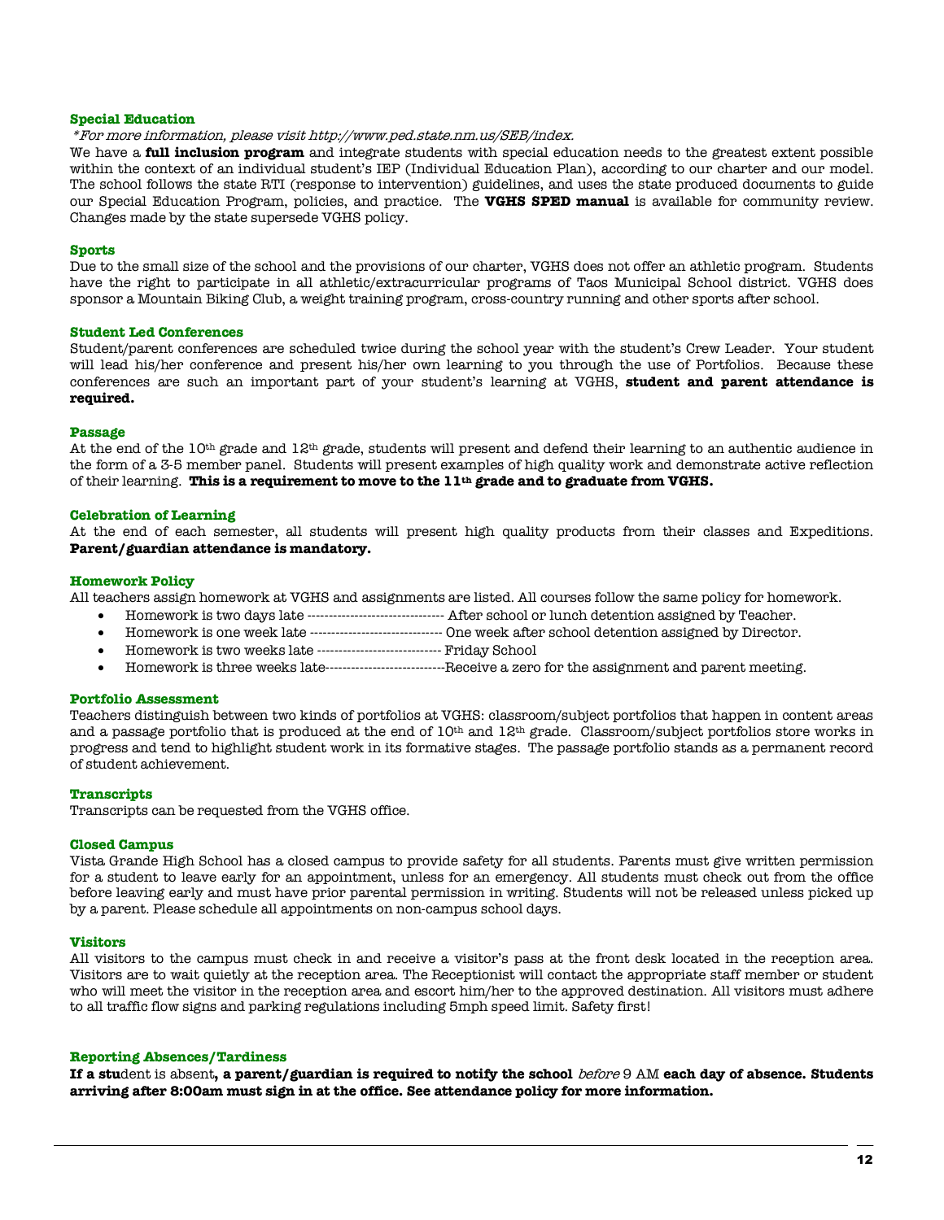#### **Special Education**

\*For more information, please visit http://www.ped.state.nm.us/SEB/index.

We have a **full inclusion program** and integrate students with special education needs to the greatest extent possible within the context of an individual student's IEP (Individual Education Plan), according to our charter and our model. The school follows the state RTI (response to intervention) guidelines, and uses the state produced documents to guide our Special Education Program, policies, and practice. The **VGHS SPED manual** is available for community review. Changes made by the state supersede VGHS policy.

#### **Sports**

Due to the small size of the school and the provisions of our charter, VGHS does not offer an athletic program. Students have the right to participate in all athletic/extracurricular programs of Taos Municipal School district. VGHS does sponsor a Mountain Biking Club, a weight training program, cross-country running and other sports after school.

#### **Student Led Conferences**

Student/parent conferences are scheduled twice during the school year with the student's Crew Leader. Your student will lead his/her conference and present his/her own learning to you through the use of Portfolios. Because these conferences are such an important part of your student's learning at VGHS, **student and parent attendance is required.**

#### **Passage**

At the end of the 10th grade and 12th grade, students will present and defend their learning to an authentic audience in the form of a 3-5 member panel. Students will present examples of high quality work and demonstrate active reflection of their learning. **This is a requirement to move to the 11th grade and to graduate from VGHS.**

#### **Celebration of Learning**

At the end of each semester, all students will present high quality products from their classes and Expeditions. **Parent/guardian attendance is mandatory.**

#### **Homework Policy**

All teachers assign homework at VGHS and assignments are listed. All courses follow the same policy for homework.

- Homework is two days late -------------------------------- After school or lunch detention assigned by Teacher.
- Homework is one week late ------------------------------- One week after school detention assigned by Director.
- Homework is two weeks late ----------------------------- Friday School
- Homework is three weeks late----------------------------Receive a zero for the assignment and parent meeting.

#### **Portfolio Assessment**

Teachers distinguish between two kinds of portfolios at VGHS: classroom/subject portfolios that happen in content areas and a passage portfolio that is produced at the end of  $10<sup>th</sup>$  and  $12<sup>th</sup>$  grade. Classroom/subject portfolios store works in progress and tend to highlight student work in its formative stages. The passage portfolio stands as a permanent record of student achievement.

#### **Transcripts**

Transcripts can be requested from the VGHS office.

#### **Closed Campus**

Vista Grande High School has a closed campus to provide safety for all students. Parents must give written permission for a student to leave early for an appointment, unless for an emergency. All students must check out from the office before leaving early and must have prior parental permission in writing. Students will not be released unless picked up by a parent. Please schedule all appointments on non-campus school days.

#### **Visitors**

All visitors to the campus must check in and receive a visitor's pass at the front desk located in the reception area. Visitors are to wait quietly at the reception area. The Receptionist will contact the appropriate staff member or student who will meet the visitor in the reception area and escort him/her to the approved destination. All visitors must adhere to all traffic flow signs and parking regulations including 5mph speed limit. Safety first!

#### **Reporting Absences/Tardiness**

**If a stu**dent is absent**, a parent/guardian is required to notify the school** before 9 AM **each day of absence. Students arriving after 8:00am must sign in at the office. See attendance policy for more information.**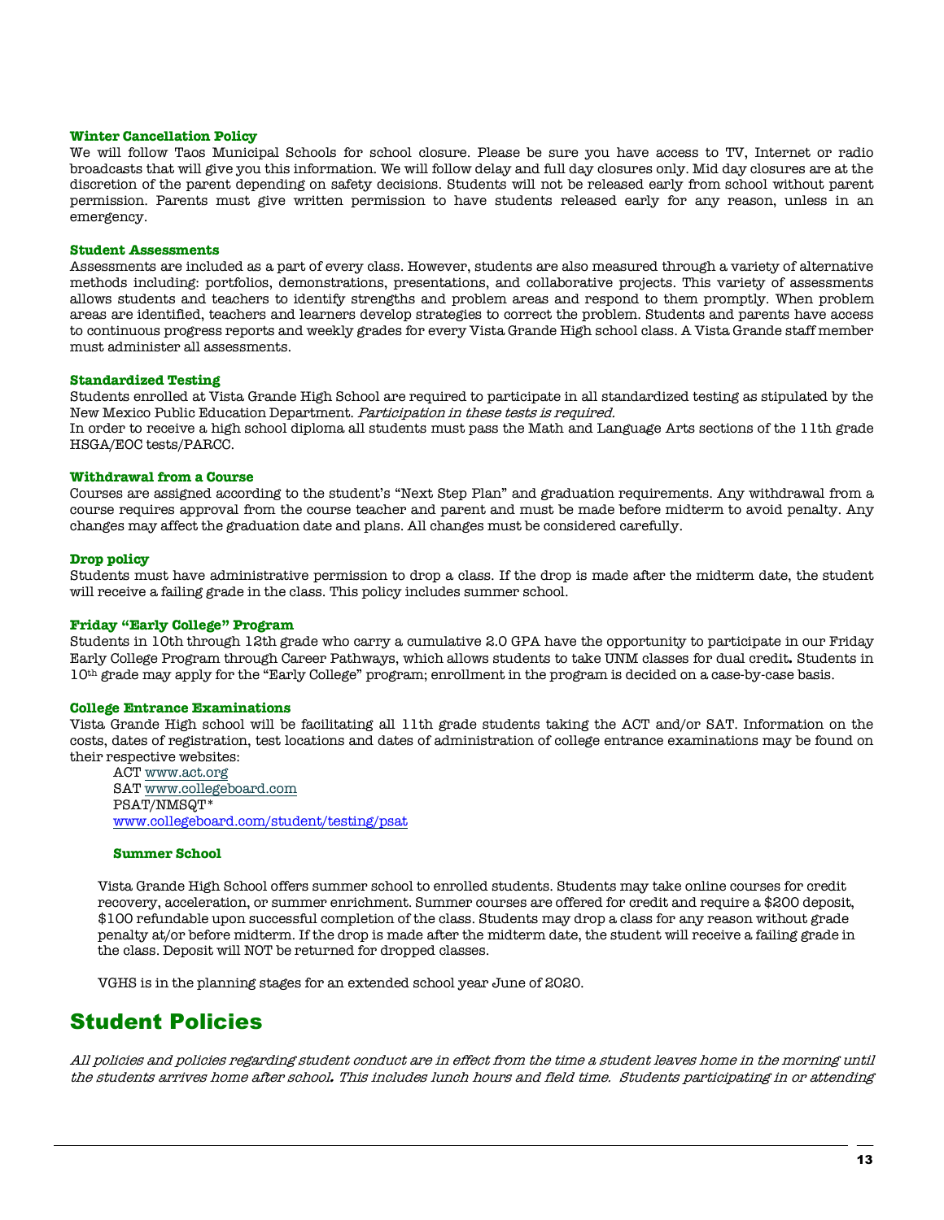#### **Winter Cancellation Policy**

We will follow Taos Municipal Schools for school closure. Please be sure you have access to TV, Internet or radio broadcasts that will give you this information. We will follow delay and full day closures only. Mid day closures are at the discretion of the parent depending on safety decisions. Students will not be released early from school without parent permission. Parents must give written permission to have students released early for any reason, unless in an emergency.

#### **Student Assessments**

Assessments are included as a part of every class. However, students are also measured through a variety of alternative methods including: portfolios, demonstrations, presentations, and collaborative projects. This variety of assessments allows students and teachers to identify strengths and problem areas and respond to them promptly. When problem areas are identified, teachers and learners develop strategies to correct the problem. Students and parents have access to continuous progress reports and weekly grades for every Vista Grande High school class. A Vista Grande staff member must administer all assessments.

#### **Standardized Testing**

Students enrolled at Vista Grande High School are required to participate in all standardized testing as stipulated by the New Mexico Public Education Department. Participation in these tests is required.

In order to receive a high school diploma all students must pass the Math and Language Arts sections of the 11th grade HSGA/EOC tests/PARCC.

#### **Withdrawal from a Course**

Courses are assigned according to the student's "Next Step Plan" and graduation requirements. Any withdrawal from a course requires approval from the course teacher and parent and must be made before midterm to avoid penalty. Any changes may affect the graduation date and plans. All changes must be considered carefully.

#### **Drop policy**

Students must have administrative permission to drop a class. If the drop is made after the midterm date, the student will receive a failing grade in the class. This policy includes summer school.

#### **Friday "Early College" Program**

Students in 10th through 12th grade who carry a cumulative 2.0 GPA have the opportunity to participate in our Friday Early College Program through Career Pathways, which allows students to take UNM classes for dual credit**.** Students in 10th grade may apply for the "Early College" program; enrollment in the program is decided on a case-by-case basis.

#### **College Entrance Examinations**

Vista Grande High school will be facilitating all 11th grade students taking the ACT and/or SAT. Information on the costs, dates of registration, test locations and dates of administration of college entrance examinations may be found on their respective websites:

ACT www.act.org SAT www.collegeboard.com PSAT/NMSQT\* www.collegeboard.com/student/testing/psat

#### **Summer School**

Vista Grande High School offers summer school to enrolled students. Students may take online courses for credit recovery, acceleration, or summer enrichment. Summer courses are offered for credit and require a \$200 deposit, \$100 refundable upon successful completion of the class. Students may drop a class for any reason without grade penalty at/or before midterm. If the drop is made after the midterm date, the student will receive a failing grade in the class. Deposit will NOT be returned for dropped classes.

VGHS is in the planning stages for an extended school year June of 2020.

## Student Policies

All policies and policies regarding student conduct are in effect from the time a student leaves home in the morning until the students arrives home after school**.** This includes lunch hours and field time. Students participating in or attending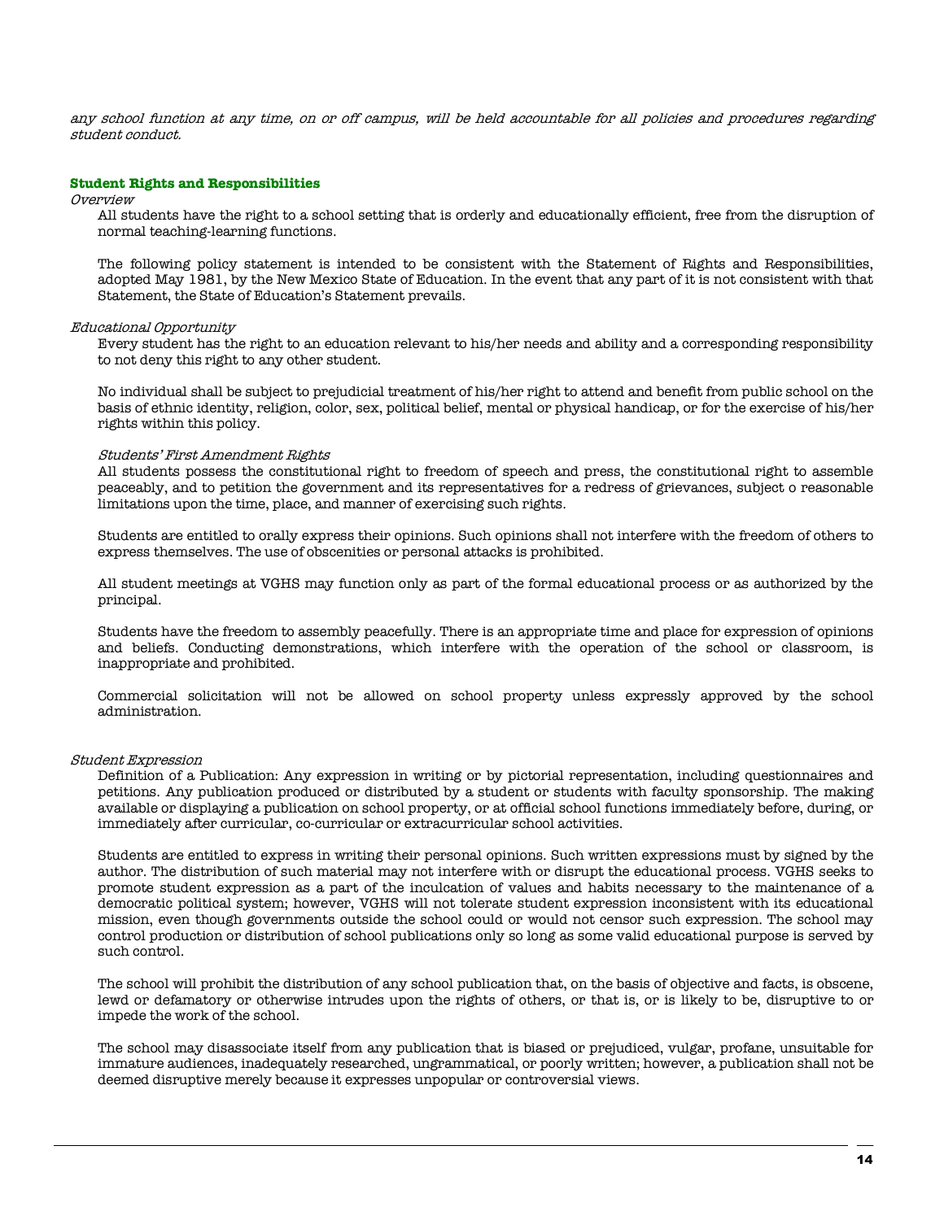any school function at any time, on or off campus, will be held accountable for all policies and procedures regarding student conduct.

#### **Student Rights and Responsibilities**

**Overview** 

All students have the right to a school setting that is orderly and educationally efficient, free from the disruption of normal teaching-learning functions.

The following policy statement is intended to be consistent with the Statement of Rights and Responsibilities, adopted May 1981, by the New Mexico State of Education. In the event that any part of it is not consistent with that Statement, the State of Education's Statement prevails.

#### Educational Opportunity

Every student has the right to an education relevant to his/her needs and ability and a corresponding responsibility to not deny this right to any other student.

No individual shall be subject to prejudicial treatment of his/her right to attend and benefit from public school on the basis of ethnic identity, religion, color, sex, political belief, mental or physical handicap, or for the exercise of his/her rights within this policy.

#### Students' First Amendment Rights

All students possess the constitutional right to freedom of speech and press, the constitutional right to assemble peaceably, and to petition the government and its representatives for a redress of grievances, subject o reasonable limitations upon the time, place, and manner of exercising such rights.

Students are entitled to orally express their opinions. Such opinions shall not interfere with the freedom of others to express themselves. The use of obscenities or personal attacks is prohibited.

All student meetings at VGHS may function only as part of the formal educational process or as authorized by the principal.

Students have the freedom to assembly peacefully. There is an appropriate time and place for expression of opinions and beliefs. Conducting demonstrations, which interfere with the operation of the school or classroom, is inappropriate and prohibited.

Commercial solicitation will not be allowed on school property unless expressly approved by the school administration.

#### Student Expression

Definition of a Publication: Any expression in writing or by pictorial representation, including questionnaires and petitions. Any publication produced or distributed by a student or students with faculty sponsorship. The making available or displaying a publication on school property, or at official school functions immediately before, during, or immediately after curricular, co-curricular or extracurricular school activities.

Students are entitled to express in writing their personal opinions. Such written expressions must by signed by the author. The distribution of such material may not interfere with or disrupt the educational process. VGHS seeks to promote student expression as a part of the inculcation of values and habits necessary to the maintenance of a democratic political system; however, VGHS will not tolerate student expression inconsistent with its educational mission, even though governments outside the school could or would not censor such expression. The school may control production or distribution of school publications only so long as some valid educational purpose is served by such control.

The school will prohibit the distribution of any school publication that, on the basis of objective and facts, is obscene, lewd or defamatory or otherwise intrudes upon the rights of others, or that is, or is likely to be, disruptive to or impede the work of the school.

The school may disassociate itself from any publication that is biased or prejudiced, vulgar, profane, unsuitable for immature audiences, inadequately researched, ungrammatical, or poorly written; however, a publication shall not be deemed disruptive merely because it expresses unpopular or controversial views.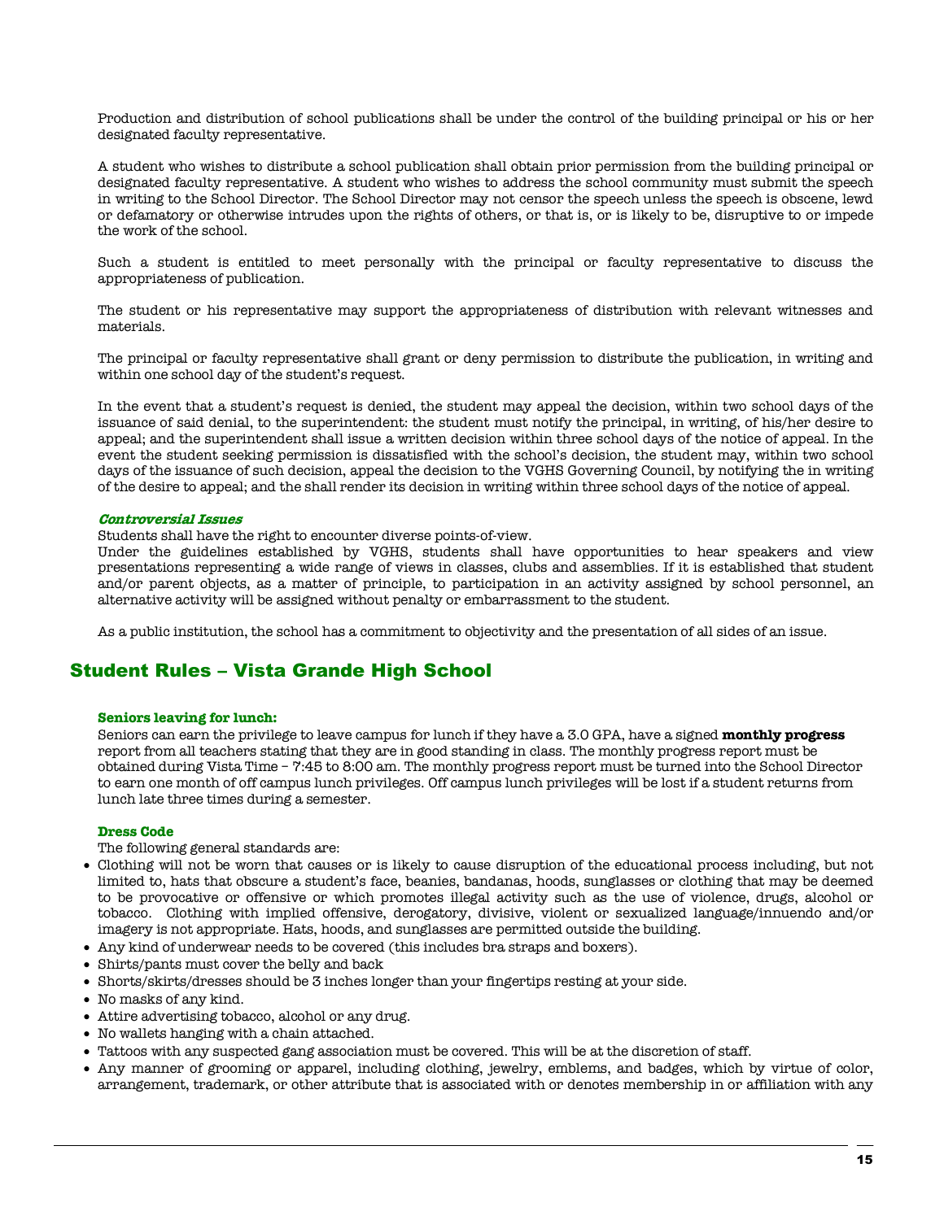Production and distribution of school publications shall be under the control of the building principal or his or her designated faculty representative.

A student who wishes to distribute a school publication shall obtain prior permission from the building principal or designated faculty representative. A student who wishes to address the school community must submit the speech in writing to the School Director. The School Director may not censor the speech unless the speech is obscene, lewd or defamatory or otherwise intrudes upon the rights of others, or that is, or is likely to be, disruptive to or impede the work of the school.

Such a student is entitled to meet personally with the principal or faculty representative to discuss the appropriateness of publication.

The student or his representative may support the appropriateness of distribution with relevant witnesses and materials.

The principal or faculty representative shall grant or deny permission to distribute the publication, in writing and within one school day of the student's request.

In the event that a student's request is denied, the student may appeal the decision, within two school days of the issuance of said denial, to the superintendent: the student must notify the principal, in writing, of his/her desire to appeal; and the superintendent shall issue a written decision within three school days of the notice of appeal. In the event the student seeking permission is dissatisfied with the school's decision, the student may, within two school days of the issuance of such decision, appeal the decision to the VGHS Governing Council, by notifying the in writing of the desire to appeal; and the shall render its decision in writing within three school days of the notice of appeal.

#### **Controversial Issues**

Students shall have the right to encounter diverse points-of-view.

Under the guidelines established by VGHS, students shall have opportunities to hear speakers and view presentations representing a wide range of views in classes, clubs and assemblies. If it is established that student and/or parent objects, as a matter of principle, to participation in an activity assigned by school personnel, an alternative activity will be assigned without penalty or embarrassment to the student.

As a public institution, the school has a commitment to objectivity and the presentation of all sides of an issue.

## Student Rules – Vista Grande High School

#### **Seniors leaving for lunch:**

Seniors can earn the privilege to leave campus for lunch if they have a 3.0 GPA, have a signed **monthly progress** report from all teachers stating that they are in good standing in class. The monthly progress report must be obtained during Vista Time – 7:45 to 8:00 am. The monthly progress report must be turned into the School Director to earn one month of off campus lunch privileges. Off campus lunch privileges will be lost if a student returns from lunch late three times during a semester.

#### **Dress Code**

The following general standards are:

- Clothing will not be worn that causes or is likely to cause disruption of the educational process including, but not limited to, hats that obscure a student's face, beanies, bandanas, hoods, sunglasses or clothing that may be deemed to be provocative or offensive or which promotes illegal activity such as the use of violence, drugs, alcohol or tobacco. Clothing with implied offensive, derogatory, divisive, violent or sexualized language/innuendo and/or imagery is not appropriate. Hats, hoods, and sunglasses are permitted outside the building.
- Any kind of underwear needs to be covered (this includes bra straps and boxers).
- Shirts/pants must cover the belly and back
- Shorts/skirts/dresses should be 3 inches longer than your fingertips resting at your side.
- No masks of any kind.
- Attire advertising tobacco, alcohol or any drug.
- No wallets hanging with a chain attached.
- Tattoos with any suspected gang association must be covered. This will be at the discretion of staff.
- Any manner of grooming or apparel, including clothing, jewelry, emblems, and badges, which by virtue of color, arrangement, trademark, or other attribute that is associated with or denotes membership in or affiliation with any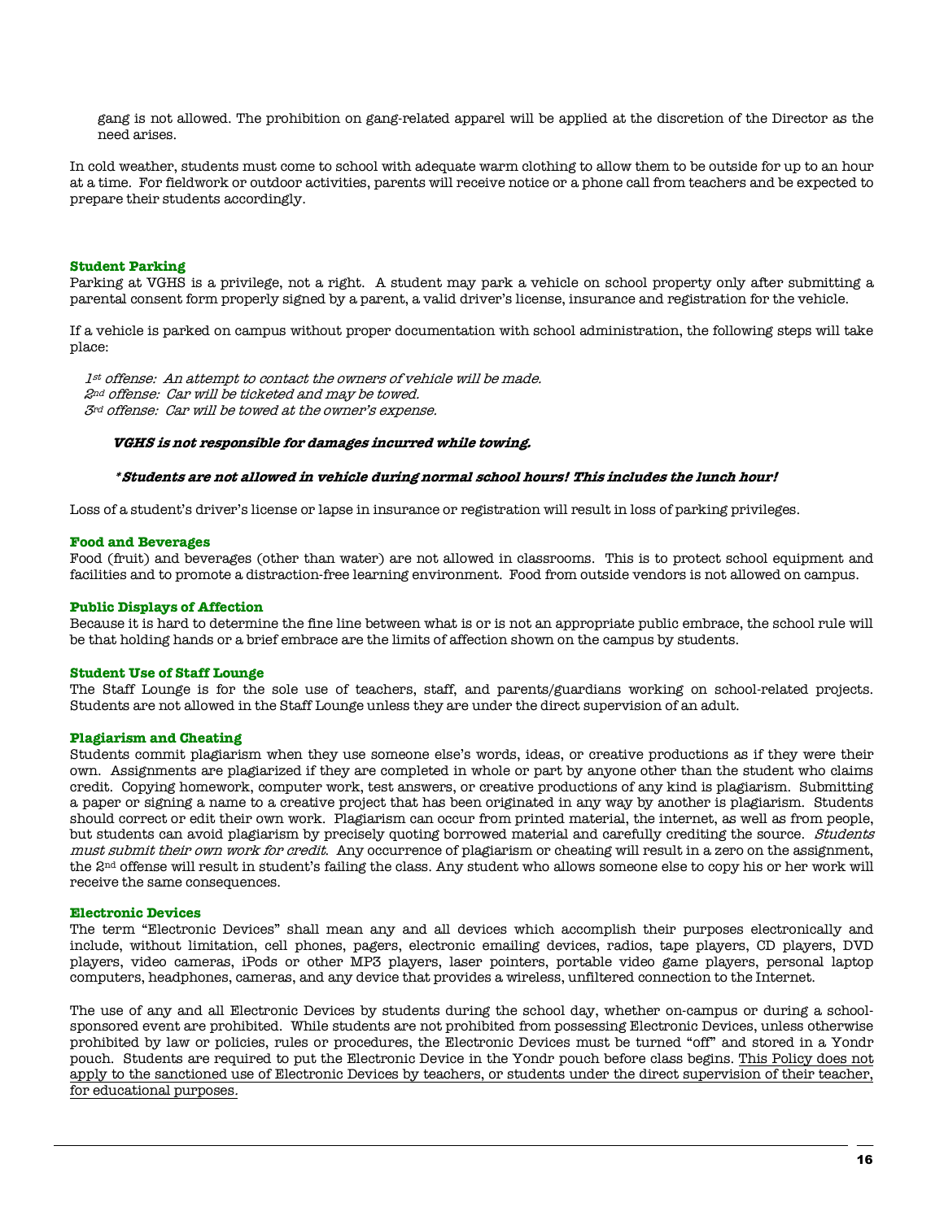gang is not allowed. The prohibition on gang-related apparel will be applied at the discretion of the Director as the need arises.

In cold weather, students must come to school with adequate warm clothing to allow them to be outside for up to an hour at a time. For fieldwork or outdoor activities, parents will receive notice or a phone call from teachers and be expected to prepare their students accordingly.

#### **Student Parking**

Parking at VGHS is a privilege, not a right. A student may park a vehicle on school property only after submitting a parental consent form properly signed by a parent, a valid driver's license, insurance and registration for the vehicle.

If a vehicle is parked on campus without proper documentation with school administration, the following steps will take place:

1st offense: An attempt to contact the owners of vehicle will be made. 2nd offense: Car will be ticketed and may be towed. 3rd offense: Car will be towed at the owner's expense.

#### **VGHS is not responsible for damages incurred while towing.**

#### **\*Students are not allowed in vehicle during normal school hours! This includes the lunch hour!**

Loss of a student's driver's license or lapse in insurance or registration will result in loss of parking privileges.

#### **Food and Beverages**

Food (fruit) and beverages (other than water) are not allowed in classrooms. This is to protect school equipment and facilities and to promote a distraction-free learning environment. Food from outside vendors is not allowed on campus.

#### **Public Displays of Affection**

Because it is hard to determine the fine line between what is or is not an appropriate public embrace, the school rule will be that holding hands or a brief embrace are the limits of affection shown on the campus by students.

#### **Student Use of Staff Lounge**

The Staff Lounge is for the sole use of teachers, staff, and parents/guardians working on school-related projects. Students are not allowed in the Staff Lounge unless they are under the direct supervision of an adult.

#### **Plagiarism and Cheating**

Students commit plagiarism when they use someone else's words, ideas, or creative productions as if they were their own. Assignments are plagiarized if they are completed in whole or part by anyone other than the student who claims credit. Copying homework, computer work, test answers, or creative productions of any kind is plagiarism. Submitting a paper or signing a name to a creative project that has been originated in any way by another is plagiarism. Students should correct or edit their own work. Plagiarism can occur from printed material, the internet, as well as from people, but students can avoid plagiarism by precisely quoting borrowed material and carefully crediting the source. Students must submit their own work for credit. Any occurrence of plagiarism or cheating will result in a zero on the assignment, the 2nd offense will result in student's failing the class. Any student who allows someone else to copy his or her work will receive the same consequences.

#### **Electronic Devices**

The term "Electronic Devices" shall mean any and all devices which accomplish their purposes electronically and include, without limitation, cell phones, pagers, electronic emailing devices, radios, tape players, CD players, DVD players, video cameras, iPods or other MP3 players, laser pointers, portable video game players, personal laptop computers, headphones, cameras, and any device that provides a wireless, unfiltered connection to the Internet.

The use of any and all Electronic Devices by students during the school day, whether on-campus or during a schoolsponsored event are prohibited. While students are not prohibited from possessing Electronic Devices, unless otherwise prohibited by law or policies, rules or procedures, the Electronic Devices must be turned "off" and stored in a Yondr pouch. Students are required to put the Electronic Device in the Yondr pouch before class begins. This Policy does not apply to the sanctioned use of Electronic Devices by teachers, or students under the direct supervision of their teacher, for educational purposes.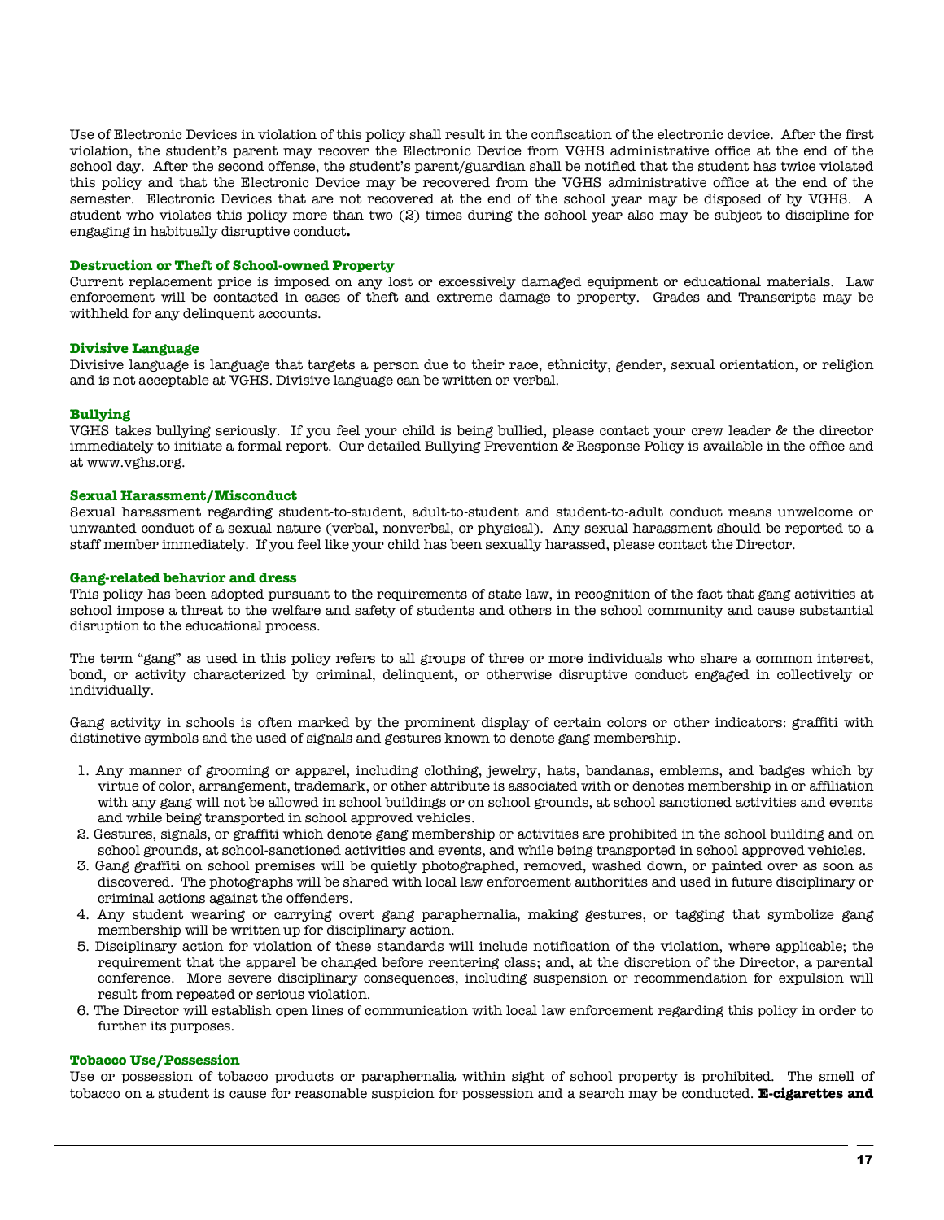Use of Electronic Devices in violation of this policy shall result in the confiscation of the electronic device. After the first violation, the student's parent may recover the Electronic Device from VGHS administrative office at the end of the school day. After the second offense, the student's parent/guardian shall be notified that the student has twice violated this policy and that the Electronic Device may be recovered from the VGHS administrative office at the end of the semester. Electronic Devices that are not recovered at the end of the school year may be disposed of by VGHS. A student who violates this policy more than two (2) times during the school year also may be subject to discipline for engaging in habitually disruptive conduct**.**

#### **Destruction or Theft of School-owned Property**

Current replacement price is imposed on any lost or excessively damaged equipment or educational materials. Law enforcement will be contacted in cases of theft and extreme damage to property. Grades and Transcripts may be withheld for any delinquent accounts.

#### **Divisive Language**

Divisive language is language that targets a person due to their race, ethnicity, gender, sexual orientation, or religion and is not acceptable at VGHS. Divisive language can be written or verbal.

#### **Bullying**

VGHS takes bullying seriously. If you feel your child is being bullied, please contact your crew leader & the director immediately to initiate a formal report. Our detailed Bullying Prevention & Response Policy is available in the office and at www.vghs.org.

#### **Sexual Harassment/Misconduct**

Sexual harassment regarding student-to-student, adult-to-student and student-to-adult conduct means unwelcome or unwanted conduct of a sexual nature (verbal, nonverbal, or physical). Any sexual harassment should be reported to a staff member immediately. If you feel like your child has been sexually harassed, please contact the Director.

#### **Gang-related behavior and dress**

This policy has been adopted pursuant to the requirements of state law, in recognition of the fact that gang activities at school impose a threat to the welfare and safety of students and others in the school community and cause substantial disruption to the educational process.

The term "gang" as used in this policy refers to all groups of three or more individuals who share a common interest, bond, or activity characterized by criminal, delinquent, or otherwise disruptive conduct engaged in collectively or individually.

Gang activity in schools is often marked by the prominent display of certain colors or other indicators: graffiti with distinctive symbols and the used of signals and gestures known to denote gang membership.

- 1. Any manner of grooming or apparel, including clothing, jewelry, hats, bandanas, emblems, and badges which by virtue of color, arrangement, trademark, or other attribute is associated with or denotes membership in or affiliation with any gang will not be allowed in school buildings or on school grounds, at school sanctioned activities and events and while being transported in school approved vehicles.
- 2. Gestures, signals, or graffiti which denote gang membership or activities are prohibited in the school building and on school grounds, at school-sanctioned activities and events, and while being transported in school approved vehicles.
- 3. Gang graffiti on school premises will be quietly photographed, removed, washed down, or painted over as soon as discovered. The photographs will be shared with local law enforcement authorities and used in future disciplinary or criminal actions against the offenders.
- 4. Any student wearing or carrying overt gang paraphernalia, making gestures, or tagging that symbolize gang membership will be written up for disciplinary action.
- 5. Disciplinary action for violation of these standards will include notification of the violation, where applicable; the requirement that the apparel be changed before reentering class; and, at the discretion of the Director, a parental conference. More severe disciplinary consequences, including suspension or recommendation for expulsion will result from repeated or serious violation.
- 6. The Director will establish open lines of communication with local law enforcement regarding this policy in order to further its purposes.

#### **Tobacco Use/Possession**

Use or possession of tobacco products or paraphernalia within sight of school property is prohibited. The smell of tobacco on a student is cause for reasonable suspicion for possession and a search may be conducted. **E-cigarettes and**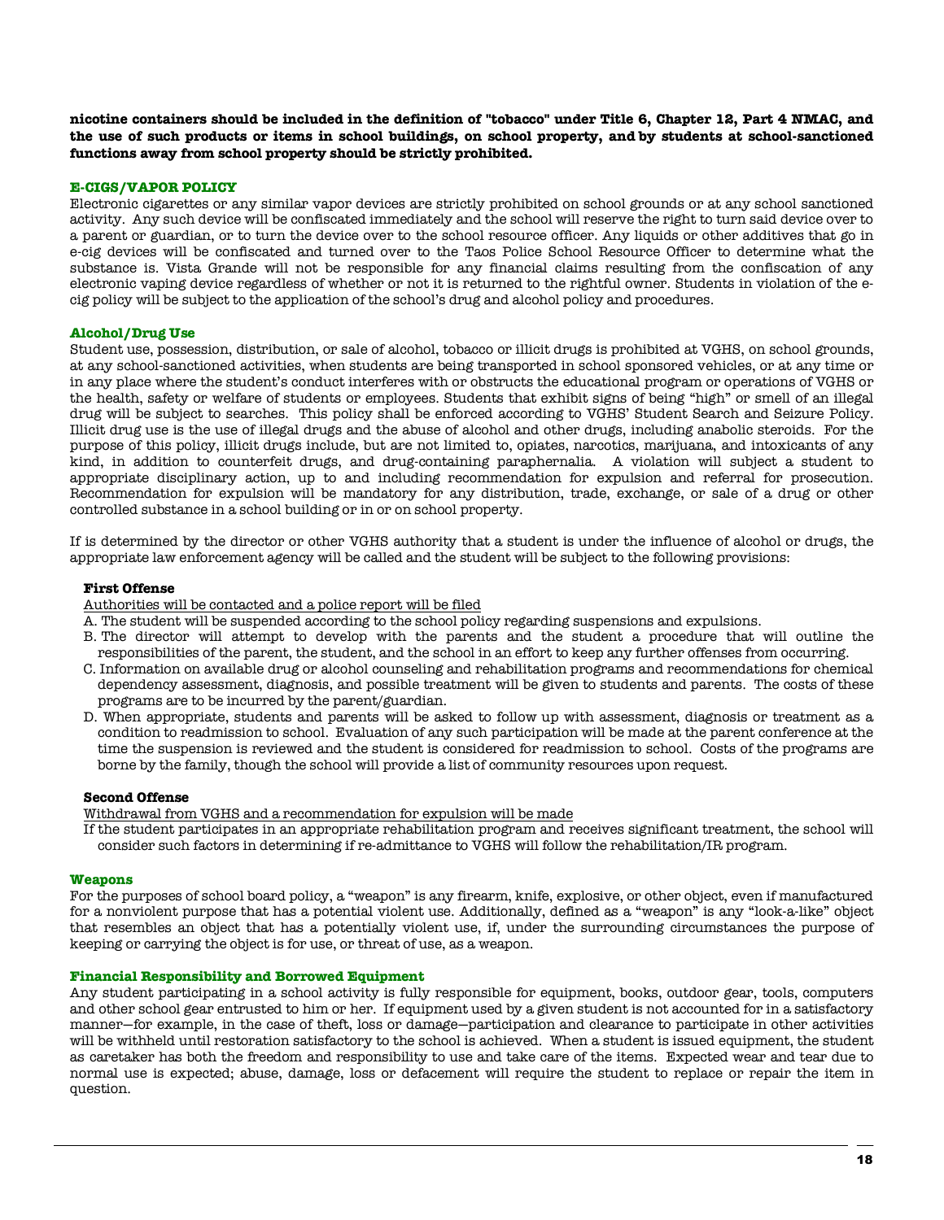**nicotine containers should be included in the definition of "tobacco" under Title 6, Chapter 12, Part 4 NMAC, and the use of such products or items in school buildings, on school property, and by students at school-sanctioned functions away from school property should be strictly prohibited.**

#### **E-CIGS/VAPOR POLICY**

Electronic cigarettes or any similar vapor devices are strictly prohibited on school grounds or at any school sanctioned activity. Any such device will be confiscated immediately and the school will reserve the right to turn said device over to a parent or guardian, or to turn the device over to the school resource officer. Any liquids or other additives that go in e-cig devices will be confiscated and turned over to the Taos Police School Resource Officer to determine what the substance is. Vista Grande will not be responsible for any financial claims resulting from the confiscation of any electronic vaping device regardless of whether or not it is returned to the rightful owner. Students in violation of the ecig policy will be subject to the application of the school's drug and alcohol policy and procedures.

#### **Alcohol/Drug Use**

Student use, possession, distribution, or sale of alcohol, tobacco or illicit drugs is prohibited at VGHS, on school grounds, at any school-sanctioned activities, when students are being transported in school sponsored vehicles, or at any time or in any place where the student's conduct interferes with or obstructs the educational program or operations of VGHS or the health, safety or welfare of students or employees. Students that exhibit signs of being "high" or smell of an illegal drug will be subject to searches. This policy shall be enforced according to VGHS' Student Search and Seizure Policy. Illicit drug use is the use of illegal drugs and the abuse of alcohol and other drugs, including anabolic steroids. For the purpose of this policy, illicit drugs include, but are not limited to, opiates, narcotics, marijuana, and intoxicants of any kind, in addition to counterfeit drugs, and drug-containing paraphernalia. A violation will subject a student to appropriate disciplinary action, up to and including recommendation for expulsion and referral for prosecution. Recommendation for expulsion will be mandatory for any distribution, trade, exchange, or sale of a drug or other controlled substance in a school building or in or on school property.

If is determined by the director or other VGHS authority that a student is under the influence of alcohol or drugs, the appropriate law enforcement agency will be called and the student will be subject to the following provisions:

#### **First Offense**

Authorities will be contacted and a police report will be filed

- A. The student will be suspended according to the school policy regarding suspensions and expulsions.
- B. The director will attempt to develop with the parents and the student a procedure that will outline the responsibilities of the parent, the student, and the school in an effort to keep any further offenses from occurring.
- C. Information on available drug or alcohol counseling and rehabilitation programs and recommendations for chemical dependency assessment, diagnosis, and possible treatment will be given to students and parents. The costs of these programs are to be incurred by the parent/guardian.
- D. When appropriate, students and parents will be asked to follow up with assessment, diagnosis or treatment as a condition to readmission to school. Evaluation of any such participation will be made at the parent conference at the time the suspension is reviewed and the student is considered for readmission to school. Costs of the programs are borne by the family, though the school will provide a list of community resources upon request.

#### **Second Offense**

Withdrawal from VGHS and a recommendation for expulsion will be made

If the student participates in an appropriate rehabilitation program and receives significant treatment, the school will consider such factors in determining if re-admittance to VGHS will follow the rehabilitation/IR program.

#### **Weapons**

For the purposes of school board policy, a "weapon" is any firearm, knife, explosive, or other object, even if manufactured for a nonviolent purpose that has a potential violent use. Additionally, defined as a "weapon" is any "look-a-like" object that resembles an object that has a potentially violent use, if, under the surrounding circumstances the purpose of keeping or carrying the object is for use, or threat of use, as a weapon.

#### **Financial Responsibility and Borrowed Equipment**

Any student participating in a school activity is fully responsible for equipment, books, outdoor gear, tools, computers and other school gear entrusted to him or her. If equipment used by a given student is not accounted for in a satisfactory manner—for example, in the case of theft, loss or damage—participation and clearance to participate in other activities will be withheld until restoration satisfactory to the school is achieved. When a student is issued equipment, the student as caretaker has both the freedom and responsibility to use and take care of the items. Expected wear and tear due to normal use is expected; abuse, damage, loss or defacement will require the student to replace or repair the item in question.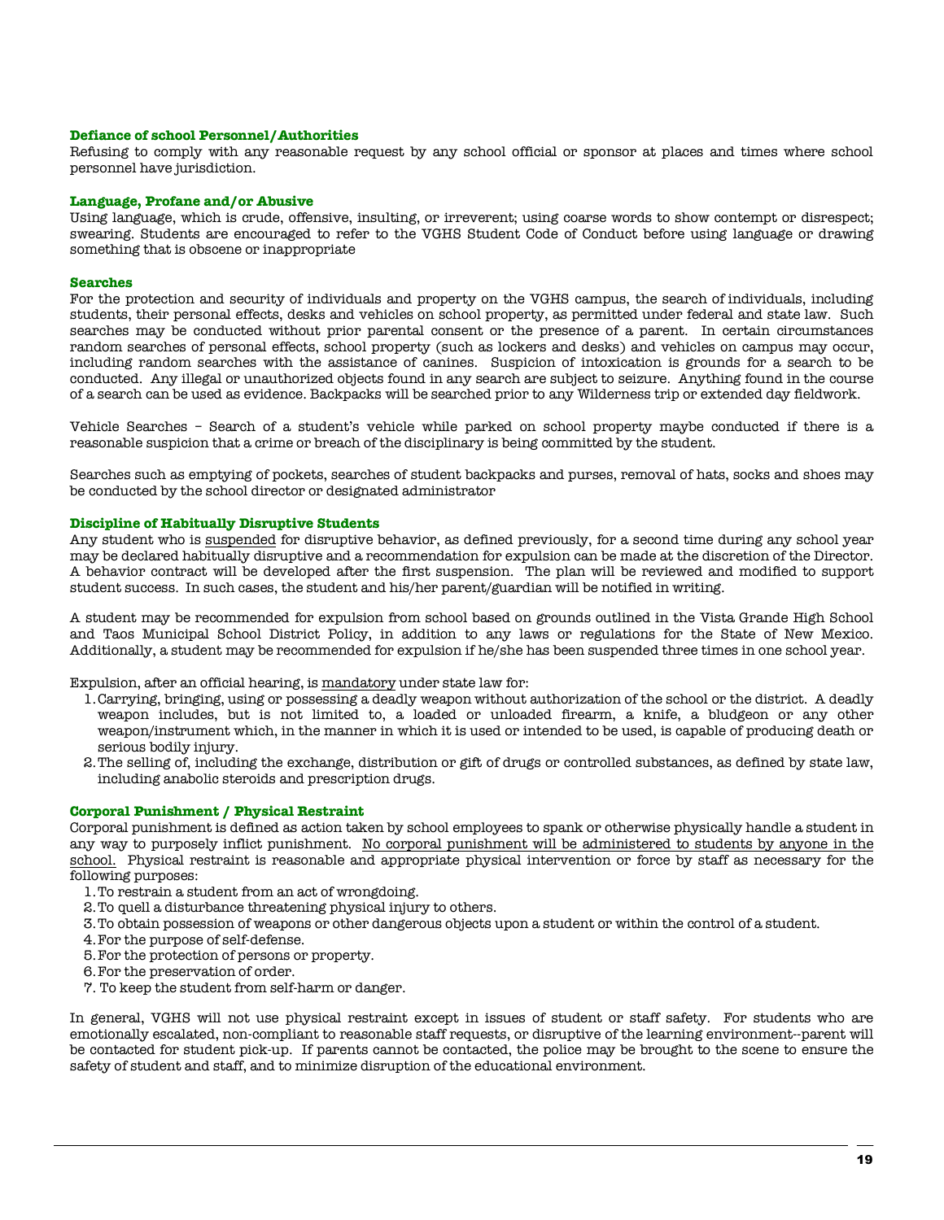#### **Defiance of school Personnel/Authorities**

Refusing to comply with any reasonable request by any school official or sponsor at places and times where school personnel have jurisdiction.

#### **Language, Profane and/or Abusive**

Using language, which is crude, offensive, insulting, or irreverent; using coarse words to show contempt or disrespect; swearing. Students are encouraged to refer to the VGHS Student Code of Conduct before using language or drawing something that is obscene or inappropriate

#### **Searches**

For the protection and security of individuals and property on the VGHS campus, the search of individuals, including students, their personal effects, desks and vehicles on school property, as permitted under federal and state law. Such searches may be conducted without prior parental consent or the presence of a parent. In certain circumstances random searches of personal effects, school property (such as lockers and desks) and vehicles on campus may occur, including random searches with the assistance of canines. Suspicion of intoxication is grounds for a search to be conducted. Any illegal or unauthorized objects found in any search are subject to seizure. Anything found in the course of a search can be used as evidence. Backpacks will be searched prior to any Wilderness trip or extended day fieldwork.

Vehicle Searches – Search of a student's vehicle while parked on school property maybe conducted if there is a reasonable suspicion that a crime or breach of the disciplinary is being committed by the student.

Searches such as emptying of pockets, searches of student backpacks and purses, removal of hats, socks and shoes may be conducted by the school director or designated administrator

#### **Discipline of Habitually Disruptive Students**

Any student who is suspended for disruptive behavior, as defined previously, for a second time during any school year may be declared habitually disruptive and a recommendation for expulsion can be made at the discretion of the Director. A behavior contract will be developed after the first suspension. The plan will be reviewed and modified to support student success. In such cases, the student and his/her parent/guardian will be notified in writing.

A student may be recommended for expulsion from school based on grounds outlined in the Vista Grande High School and Taos Municipal School District Policy, in addition to any laws or regulations for the State of New Mexico. Additionally, a student may be recommended for expulsion if he/she has been suspended three times in one school year.

Expulsion, after an official hearing, is mandatory under state law for:

- 1.Carrying, bringing, using or possessing a deadly weapon without authorization of the school or the district. A deadly weapon includes, but is not limited to, a loaded or unloaded firearm, a knife, a bludgeon or any other weapon/instrument which, in the manner in which it is used or intended to be used, is capable of producing death or serious bodily injury.
- 2.The selling of, including the exchange, distribution or gift of drugs or controlled substances, as defined by state law, including anabolic steroids and prescription drugs.

#### **Corporal Punishment / Physical Restraint**

Corporal punishment is defined as action taken by school employees to spank or otherwise physically handle a student in any way to purposely inflict punishment. No corporal punishment will be administered to students by anyone in the school. Physical restraint is reasonable and appropriate physical intervention or force by staff as necessary for the following purposes:

- 1.To restrain a student from an act of wrongdoing.
- 2.To quell a disturbance threatening physical injury to others.
- 3.To obtain possession of weapons or other dangerous objects upon a student or within the control of a student.
- 4.For the purpose of self-defense.
- 5.For the protection of persons or property.
- 6.For the preservation of order.
- 7. To keep the student from self-harm or danger.

In general, VGHS will not use physical restraint except in issues of student or staff safety. For students who are emotionally escalated, non-compliant to reasonable staff requests, or disruptive of the learning environment--parent will be contacted for student pick-up. If parents cannot be contacted, the police may be brought to the scene to ensure the safety of student and staff, and to minimize disruption of the educational environment.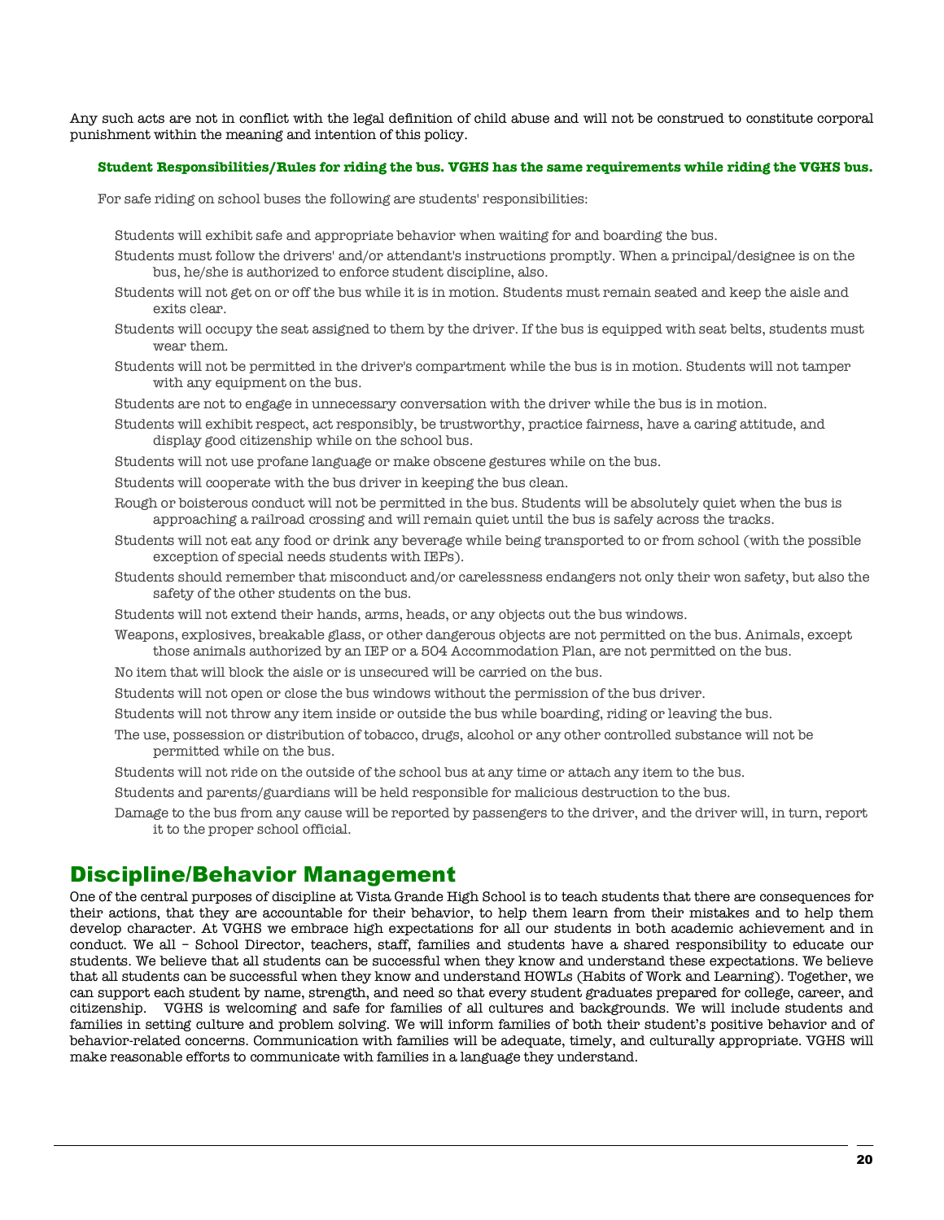Any such acts are not in conflict with the legal definition of child abuse and will not be construed to constitute corporal punishment within the meaning and intention of this policy.

#### **Student Responsibilities/Rules for riding the bus. VGHS has the same requirements while riding the VGHS bus.**

For safe riding on school buses the following are students' responsibilities:

- Students will exhibit safe and appropriate behavior when waiting for and boarding the bus.
- Students must follow the drivers' and/or attendant's instructions promptly. When a principal/designee is on the bus, he/she is authorized to enforce student discipline, also.
- Students will not get on or off the bus while it is in motion. Students must remain seated and keep the aisle and exits clear.
- Students will occupy the seat assigned to them by the driver. If the bus is equipped with seat belts, students must wear them.
- Students will not be permitted in the driver's compartment while the bus is in motion. Students will not tamper with any equipment on the bus.

Students are not to engage in unnecessary conversation with the driver while the bus is in motion.

- Students will exhibit respect, act responsibly, be trustworthy, practice fairness, have a caring attitude, and display good citizenship while on the school bus.
- Students will not use profane language or make obscene gestures while on the bus.
- Students will cooperate with the bus driver in keeping the bus clean.
- Rough or boisterous conduct will not be permitted in the bus. Students will be absolutely quiet when the bus is approaching a railroad crossing and will remain quiet until the bus is safely across the tracks.
- Students will not eat any food or drink any beverage while being transported to or from school (with the possible exception of special needs students with IEPs).
- Students should remember that misconduct and/or carelessness endangers not only their won safety, but also the safety of the other students on the bus.
- Students will not extend their hands, arms, heads, or any objects out the bus windows.
- Weapons, explosives, breakable glass, or other dangerous objects are not permitted on the bus. Animals, except those animals authorized by an IEP or a 504 Accommodation Plan, are not permitted on the bus.
- No item that will block the aisle or is unsecured will be carried on the bus.
- Students will not open or close the bus windows without the permission of the bus driver.
- Students will not throw any item inside or outside the bus while boarding, riding or leaving the bus.
- The use, possession or distribution of tobacco, drugs, alcohol or any other controlled substance will not be permitted while on the bus.
- Students will not ride on the outside of the school bus at any time or attach any item to the bus.
- Students and parents/guardians will be held responsible for malicious destruction to the bus.
- Damage to the bus from any cause will be reported by passengers to the driver, and the driver will, in turn, report it to the proper school official.

## Discipline/Behavior Management

One of the central purposes of discipline at Vista Grande High School is to teach students that there are consequences for their actions, that they are accountable for their behavior, to help them learn from their mistakes and to help them develop character. At VGHS we embrace high expectations for all our students in both academic achievement and in conduct. We all – School Director, teachers, staff, families and students have a shared responsibility to educate our students. We believe that all students can be successful when they know and understand these expectations. We believe that all students can be successful when they know and understand HOWLs (Habits of Work and Learning). Together, we can support each student by name, strength, and need so that every student graduates prepared for college, career, and citizenship. VGHS is welcoming and safe for families of all cultures and backgrounds. We will include students and families in setting culture and problem solving. We will inform families of both their student's positive behavior and of behavior-related concerns. Communication with families will be adequate, timely, and culturally appropriate. VGHS will make reasonable efforts to communicate with families in a language they understand.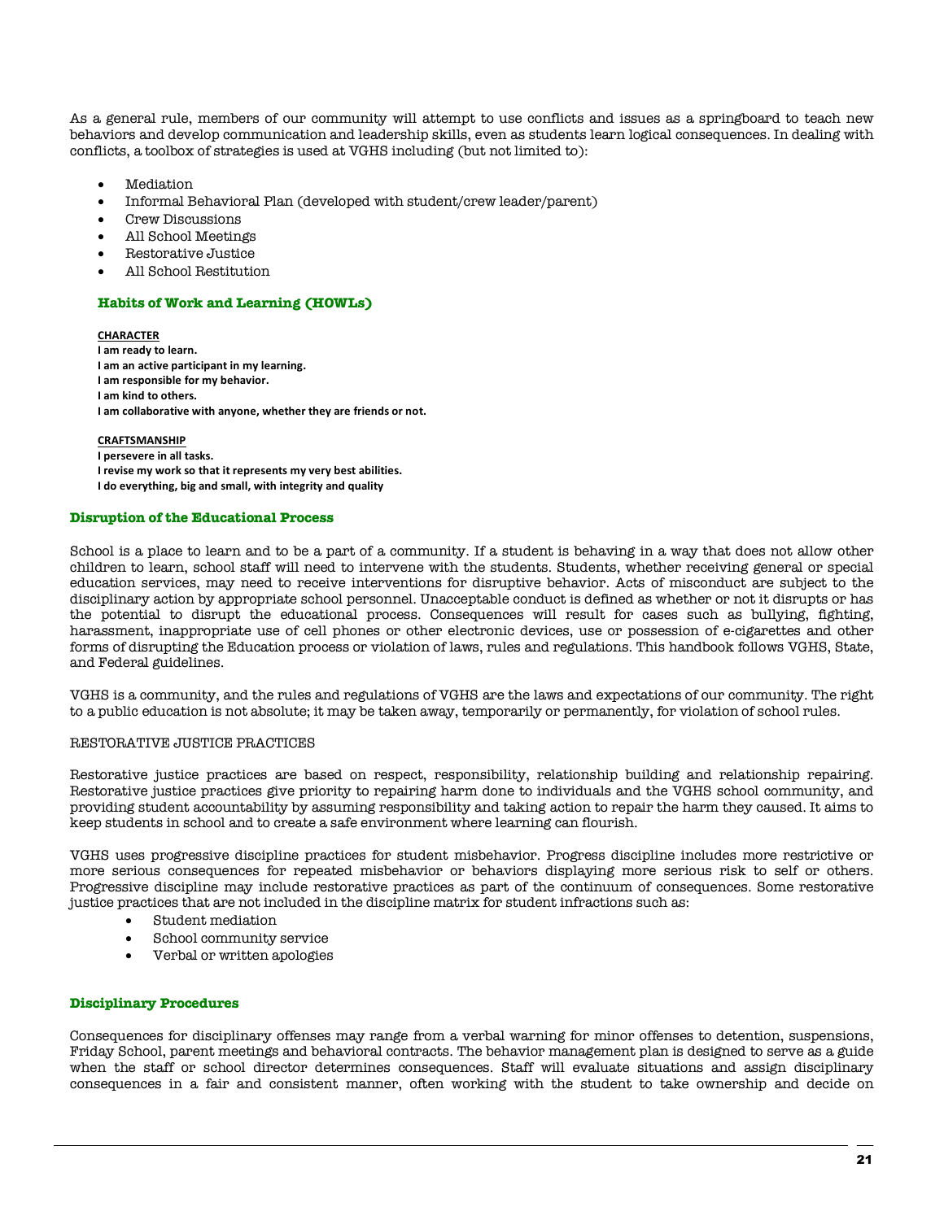As a general rule, members of our community will attempt to use conflicts and issues as a springboard to teach new behaviors and develop communication and leadership skills, even as students learn logical consequences. In dealing with conflicts, a toolbox of strategies is used at VGHS including (but not limited to):

- **Mediation**
- Informal Behavioral Plan (developed with student/crew leader/parent)
- Crew Discussions
- All School Meetings
- Restorative Justice
- All School Restitution

### **Habits of Work and Learning (HOWLs)**

**CHARACTER I am ready to learn. I am an active participant in my learning. I am responsible for my behavior. I am kind to others. I am collaborative with anyone, whether they are friends or not.**

#### **CRAFTSMANSHIP**

**I persevere in all tasks. I revise my work so that it represents my very best abilities. I do everything, big and small, with integrity and quality**

#### **Disruption of the Educational Process**

School is a place to learn and to be a part of a community. If a student is behaving in a way that does not allow other children to learn, school staff will need to intervene with the students. Students, whether receiving general or special education services, may need to receive interventions for disruptive behavior. Acts of misconduct are subject to the disciplinary action by appropriate school personnel. Unacceptable conduct is defined as whether or not it disrupts or has the potential to disrupt the educational process. Consequences will result for cases such as bullying, fighting, harassment, inappropriate use of cell phones or other electronic devices, use or possession of e-cigarettes and other forms of disrupting the Education process or violation of laws, rules and regulations. This handbook follows VGHS, State, and Federal guidelines.

VGHS is a community, and the rules and regulations of VGHS are the laws and expectations of our community. The right to a public education is not absolute; it may be taken away, temporarily or permanently, for violation of school rules.

#### RESTORATIVE JUSTICE PRACTICES

Restorative justice practices are based on respect, responsibility, relationship building and relationship repairing. Restorative justice practices give priority to repairing harm done to individuals and the VGHS school community, and providing student accountability by assuming responsibility and taking action to repair the harm they caused. It aims to keep students in school and to create a safe environment where learning can flourish.

VGHS uses progressive discipline practices for student misbehavior. Progress discipline includes more restrictive or more serious consequences for repeated misbehavior or behaviors displaying more serious risk to self or others. Progressive discipline may include restorative practices as part of the continuum of consequences. Some restorative justice practices that are not included in the discipline matrix for student infractions such as:

- Student mediation
- School community service
- Verbal or written apologies

#### **Disciplinary Procedures**

Consequences for disciplinary offenses may range from a verbal warning for minor offenses to detention, suspensions, Friday School, parent meetings and behavioral contracts. The behavior management plan is designed to serve as a guide when the staff or school director determines consequences. Staff will evaluate situations and assign disciplinary consequences in a fair and consistent manner, often working with the student to take ownership and decide on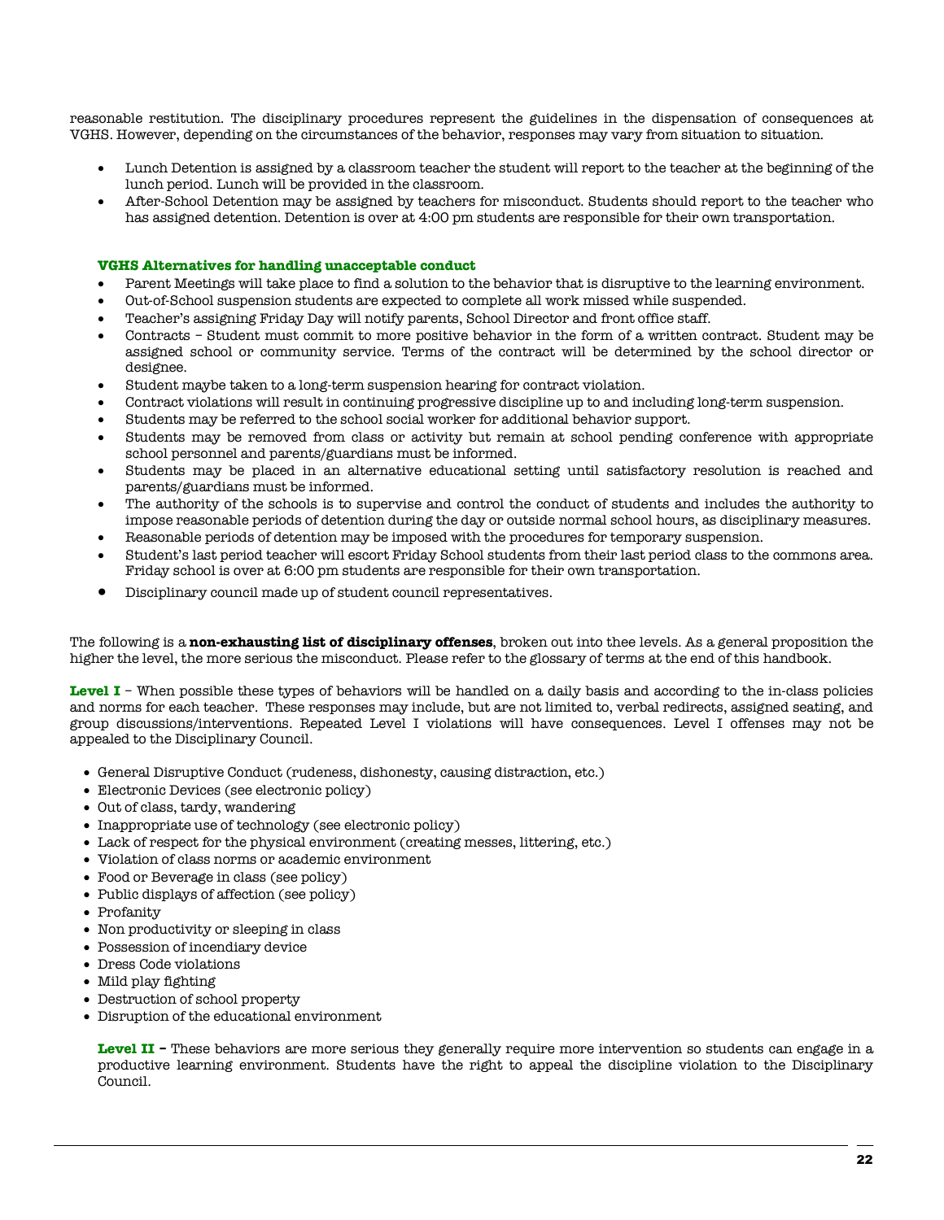reasonable restitution. The disciplinary procedures represent the guidelines in the dispensation of consequences at VGHS. However, depending on the circumstances of the behavior, responses may vary from situation to situation.

- Lunch Detention is assigned by a classroom teacher the student will report to the teacher at the beginning of the lunch period. Lunch will be provided in the classroom.
- After-School Detention may be assigned by teachers for misconduct. Students should report to the teacher who has assigned detention. Detention is over at 4:00 pm students are responsible for their own transportation.

#### **VGHS Alternatives for handling unacceptable conduct**

- Parent Meetings will take place to find a solution to the behavior that is disruptive to the learning environment.
- Out-of-School suspension students are expected to complete all work missed while suspended.
- Teacher's assigning Friday Day will notify parents, School Director and front office staff.
- Contracts Student must commit to more positive behavior in the form of a written contract. Student may be assigned school or community service. Terms of the contract will be determined by the school director or designee.
- Student maybe taken to a long-term suspension hearing for contract violation.
- Contract violations will result in continuing progressive discipline up to and including long-term suspension.
- Students may be referred to the school social worker for additional behavior support.
- Students may be removed from class or activity but remain at school pending conference with appropriate school personnel and parents/guardians must be informed.
- Students may be placed in an alternative educational setting until satisfactory resolution is reached and parents/guardians must be informed.
- The authority of the schools is to supervise and control the conduct of students and includes the authority to impose reasonable periods of detention during the day or outside normal school hours, as disciplinary measures.
- Reasonable periods of detention may be imposed with the procedures for temporary suspension.
- Student's last period teacher will escort Friday School students from their last period class to the commons area. Friday school is over at 6:00 pm students are responsible for their own transportation.
- Disciplinary council made up of student council representatives.

The following is a **non-exhausting list of disciplinary offenses**, broken out into thee levels. As a general proposition the higher the level, the more serious the misconduct. Please refer to the glossary of terms at the end of this handbook.

**Level I** – When possible these types of behaviors will be handled on a daily basis and according to the in-class policies and norms for each teacher. These responses may include, but are not limited to, verbal redirects, assigned seating, and group discussions/interventions. Repeated Level I violations will have consequences. Level I offenses may not be appealed to the Disciplinary Council.

- General Disruptive Conduct (rudeness, dishonesty, causing distraction, etc.)
- Electronic Devices (see electronic policy)
- Out of class, tardy, wandering
- Inappropriate use of technology (see electronic policy)
- Lack of respect for the physical environment (creating messes, littering, etc.)
- Violation of class norms or academic environment
- Food or Beverage in class (see policy)
- Public displays of affection (see policy)
- Profanity
- Non productivity or sleeping in class
- Possession of incendiary device
- Dress Code violations
- Mild play fighting
- Destruction of school property
- Disruption of the educational environment

**Level II –** These behaviors are more serious they generally require more intervention so students can engage in a productive learning environment. Students have the right to appeal the discipline violation to the Disciplinary Council.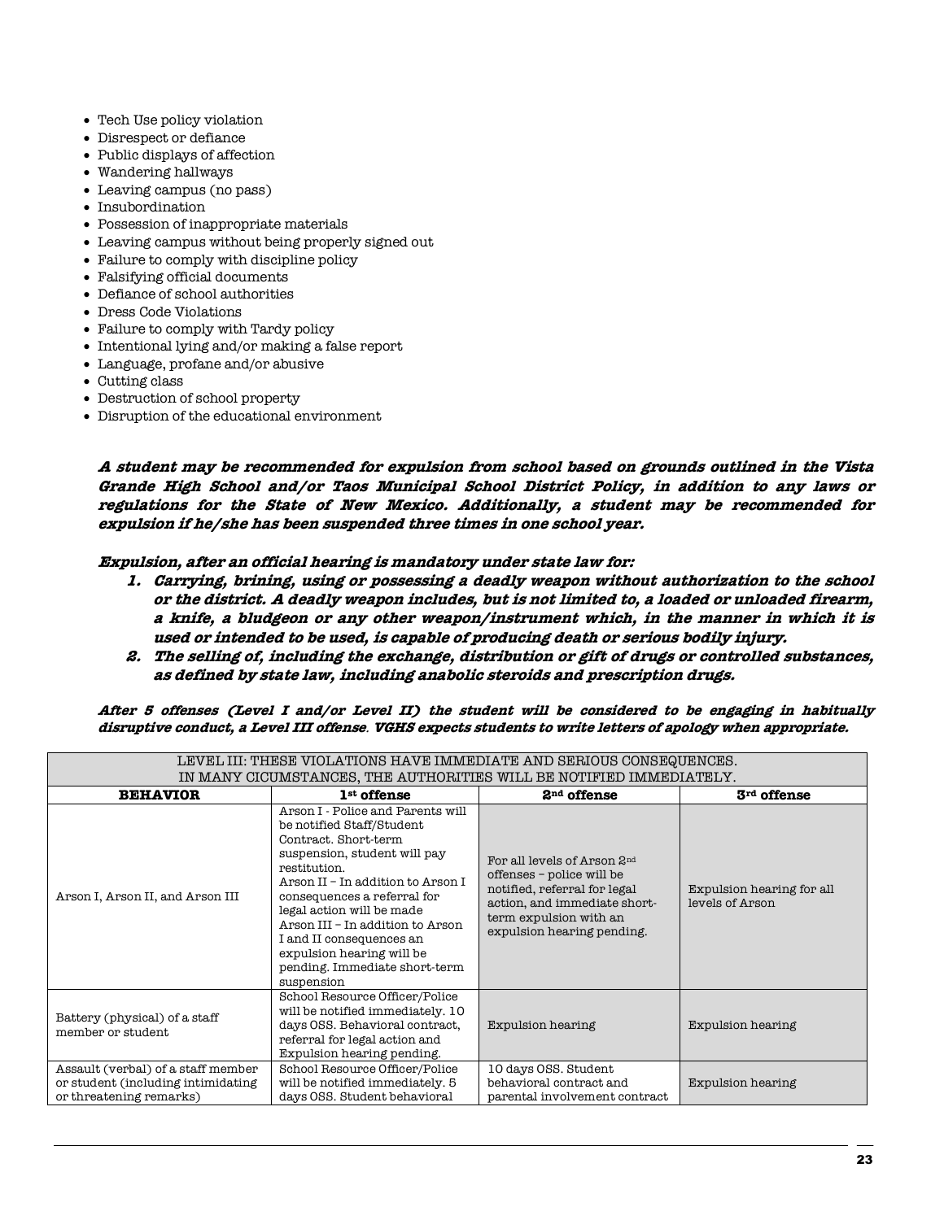- Tech Use policy violation
- Disrespect or defiance
- Public displays of affection
- Wandering hallways
- Leaving campus (no pass)
- Insubordination
- Possession of inappropriate materials
- Leaving campus without being properly signed out
- Failure to comply with discipline policy
- Falsifying official documents
- Defiance of school authorities
- Dress Code Violations
- Failure to comply with Tardy policy
- Intentional lying and/or making a false report
- Language, profane and/or abusive
- Cutting class
- Destruction of school property
- Disruption of the educational environment

**A student may be recommended for expulsion from school based on grounds outlined in the Vista Grande High School and/or Taos Municipal School District Policy, in addition to any laws or regulations for the State of New Mexico. Additionally, a student may be recommended for expulsion if he/she has been suspended three times in one school year.** 

**Expulsion, after an official hearing is mandatory under state law for:**

- **1. Carrying, brining, using or possessing a deadly weapon without authorization to the school or the district. A deadly weapon includes, but is not limited to, a loaded or unloaded firearm, a knife, a bludgeon or any other weapon/instrument which, in the manner in which it is used or intended to be used, is capable of producing death or serious bodily injury.**
- **2. The selling of, including the exchange, distribution or gift of drugs or controlled substances, as defined by state law, including anabolic steroids and prescription drugs.**

**After 5 offenses (Level I and/or Level II) the student will be considered to be engaging in habitually disruptive conduct, a Level III offense**. **VGHS expects students to write letters of apology when appropriate.** 

| LEVEL III: THESE VIOLATIONS HAVE IMMEDIATE AND SERIOUS CONSEQUENCES.                     |                                                                                                                                                                                                                                                                                                                                                                                     |                                                                                                                                                                                              |                                              |  |
|------------------------------------------------------------------------------------------|-------------------------------------------------------------------------------------------------------------------------------------------------------------------------------------------------------------------------------------------------------------------------------------------------------------------------------------------------------------------------------------|----------------------------------------------------------------------------------------------------------------------------------------------------------------------------------------------|----------------------------------------------|--|
| IN MANY CICUMSTANCES, THE AUTHORITIES WILL BE NOTIFIED IMMEDIATELY.                      |                                                                                                                                                                                                                                                                                                                                                                                     |                                                                                                                                                                                              |                                              |  |
| <b>BEHAVIOR</b>                                                                          | 1 <sup>st</sup> offense                                                                                                                                                                                                                                                                                                                                                             | 2 <sup>nd</sup> offense                                                                                                                                                                      | 3 <sup>rd</sup> offense                      |  |
| Arson I, Arson II, and Arson III                                                         | Arson I - Police and Parents will<br>be notified Staff/Student<br>Contract. Short-term<br>suspension, student will pay<br>restitution.<br>Arson II – In addition to Arson I<br>consequences a referral for<br>legal action will be made<br>Arson III - In addition to Arson<br>I and II consequences an<br>expulsion hearing will be<br>pending. Immediate short-term<br>suspension | For all levels of Arson 2 <sup>nd</sup><br>offenses – police will be<br>notified, referral for legal<br>action, and immediate short-<br>term expulsion with an<br>expulsion hearing pending. | Expulsion hearing for all<br>levels of Arson |  |
| Battery (physical) of a staff<br>member or student<br>Assault (verbal) of a staff member | School Resource Officer/Police<br>will be notified immediately. 10<br>days OSS. Behavioral contract,<br>referral for legal action and<br>Expulsion hearing pending.<br>School Resource Officer/Police                                                                                                                                                                               | Expulsion hearing<br>10 days OSS. Student                                                                                                                                                    | <b>Expulsion hearing</b>                     |  |
| or student (including intimidating<br>or threatening remarks)                            | will be notified immediately. 5<br>days OSS. Student behavioral                                                                                                                                                                                                                                                                                                                     | behavioral contract and<br>parental involvement contract                                                                                                                                     | Expulsion hearing                            |  |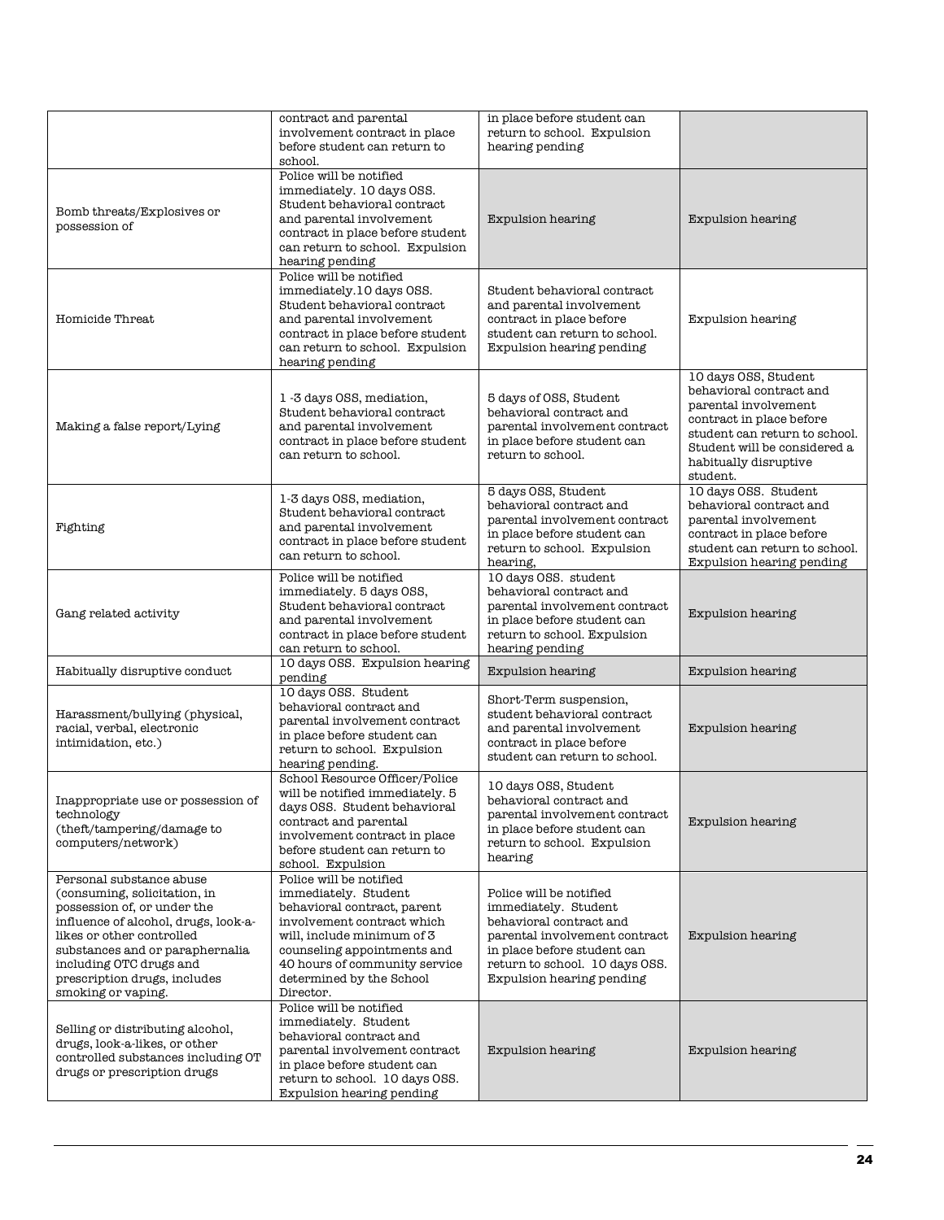|                                                                                                                                                                                                                                                                                  | contract and parental<br>involvement contract in place<br>before student can return to<br>school.                                                                                                                                                   | in place before student can<br>return to school. Expulsion<br>hearing pending                                                                                                                             |                                                                                                                                                                                                           |
|----------------------------------------------------------------------------------------------------------------------------------------------------------------------------------------------------------------------------------------------------------------------------------|-----------------------------------------------------------------------------------------------------------------------------------------------------------------------------------------------------------------------------------------------------|-----------------------------------------------------------------------------------------------------------------------------------------------------------------------------------------------------------|-----------------------------------------------------------------------------------------------------------------------------------------------------------------------------------------------------------|
| Bomb threats/Explosives or<br>possession of                                                                                                                                                                                                                                      | Police will be notified<br>immediately. 10 days OSS.<br>Student behavioral contract<br>and parental involvement<br>contract in place before student<br>can return to school. Expulsion<br>hearing pending                                           | Expulsion hearing                                                                                                                                                                                         | <b>Expulsion hearing</b>                                                                                                                                                                                  |
| Homicide Threat                                                                                                                                                                                                                                                                  | Police will be notified<br>immediately.10 days OSS.<br>Student behavioral contract<br>and parental involvement<br>$\,$ contract in place before student<br>can return to school. Expulsion<br>hearing pending                                       | Student behavioral contract<br>and parental involvement<br>contract in place before<br>student can return to school.<br>Expulsion hearing pending                                                         | <b>Expulsion hearing</b>                                                                                                                                                                                  |
| Making a false report/Lying                                                                                                                                                                                                                                                      | 1-3 days OSS, mediation,<br>Student behavioral contract<br>and parental involvement<br>contract in place before student<br>can return to school.                                                                                                    | 5 days of OSS, Student<br>behavioral contract and<br>parental involvement contract<br>in place before student can<br>return to school.                                                                    | 10 days OSS, Student<br>behavioral contract and<br>parental involvement<br>contract in place before<br>student can return to school.<br>Student will be considered a<br>habitually disruptive<br>student. |
| Fighting                                                                                                                                                                                                                                                                         | 1-3 days OSS, mediation,<br>Student behavioral contract<br>and parental involvement<br>contract in place before student<br>can return to school.                                                                                                    | 5 days OSS, Student<br>behavioral contract and<br>parental involvement contract<br>in place before student can<br>return to school. Expulsion<br>hearing,                                                 | 10 days OSS. Student<br>behavioral contract and<br>parental involvement<br>contract in place before<br>student can return to school.<br>Expulsion hearing pending                                         |
| Gang related activity                                                                                                                                                                                                                                                            | Police will be notified<br>immediately. 5 days OSS,<br>Student behavioral contract<br>and parental involvement<br>contract in place before student<br>can return to school.                                                                         | 10 days OSS. student<br>behavioral contract and<br>parental involvement contract<br>in place before student can<br>return to school. Expulsion<br>hearing pending                                         | <b>Expulsion hearing</b>                                                                                                                                                                                  |
| Habitually disruptive conduct                                                                                                                                                                                                                                                    | 10 days OSS. Expulsion hearing<br>pending                                                                                                                                                                                                           | <b>Expulsion hearing</b>                                                                                                                                                                                  | <b>Expulsion hearing</b>                                                                                                                                                                                  |
| Harassment/bullying (physical,<br>racial, verbal, electronic<br>intimidation, etc.)                                                                                                                                                                                              | 10 days OSS. Student<br>behavioral contract and<br>parental involvement contract<br>in place before student can<br>return to school. Expulsion<br>hearing pending.                                                                                  | Short-Term suspension,<br>student behavioral contract<br>and parental involvement<br>contract in place before<br>student can return to school.                                                            | <b>Expulsion hearing</b>                                                                                                                                                                                  |
| Inappropriate use or possession of<br>technology<br>(theft/tampering/damage to<br>computers/network)                                                                                                                                                                             | School Resource Officer/Police<br>will be notified immediately. ${\bf 5}$<br>days OSS. Student behavioral<br>contract and parental<br>involvement contract in place<br>before student can return to<br>school. Expulsion                            | 10 days OSS, Student<br>behavioral contract and<br>parental involvement contract<br>in place before student can<br>return to school. Expulsion<br>hearing                                                 | Expulsion hearing                                                                                                                                                                                         |
| Personal substance abuse<br>(consuming, solicitation, in<br>possession of, or under the<br>influence of alcohol, drugs, look-a-<br>likes or other controlled<br>substances and or paraphernalia<br>including OTC drugs and<br>prescription drugs, includes<br>smoking or vaping. | Police will be notified<br>immediately. Student<br>behavioral contract, parent<br>involvement contract which<br>will, include minimum of 3<br>counseling appointments and<br>40 hours of community service<br>determined by the School<br>Director. | Police will be notified<br>immediately. Student<br>behavioral contract and<br>parental involvement contract<br>in place before student can<br>return to school. 10 days OSS.<br>Expulsion hearing pending | <b>Expulsion hearing</b>                                                                                                                                                                                  |
| Selling or distributing alcohol,<br>drugs, look-a-likes, or other<br>controlled substances including OT<br>drugs or prescription drugs                                                                                                                                           | Police will be notified<br>immediately. Student<br>behavioral contract and<br>parental involvement contract<br>in place before student can<br>return to school. 10 days OSS.<br>Expulsion hearing pending                                           | Expulsion hearing                                                                                                                                                                                         | Expulsion hearing                                                                                                                                                                                         |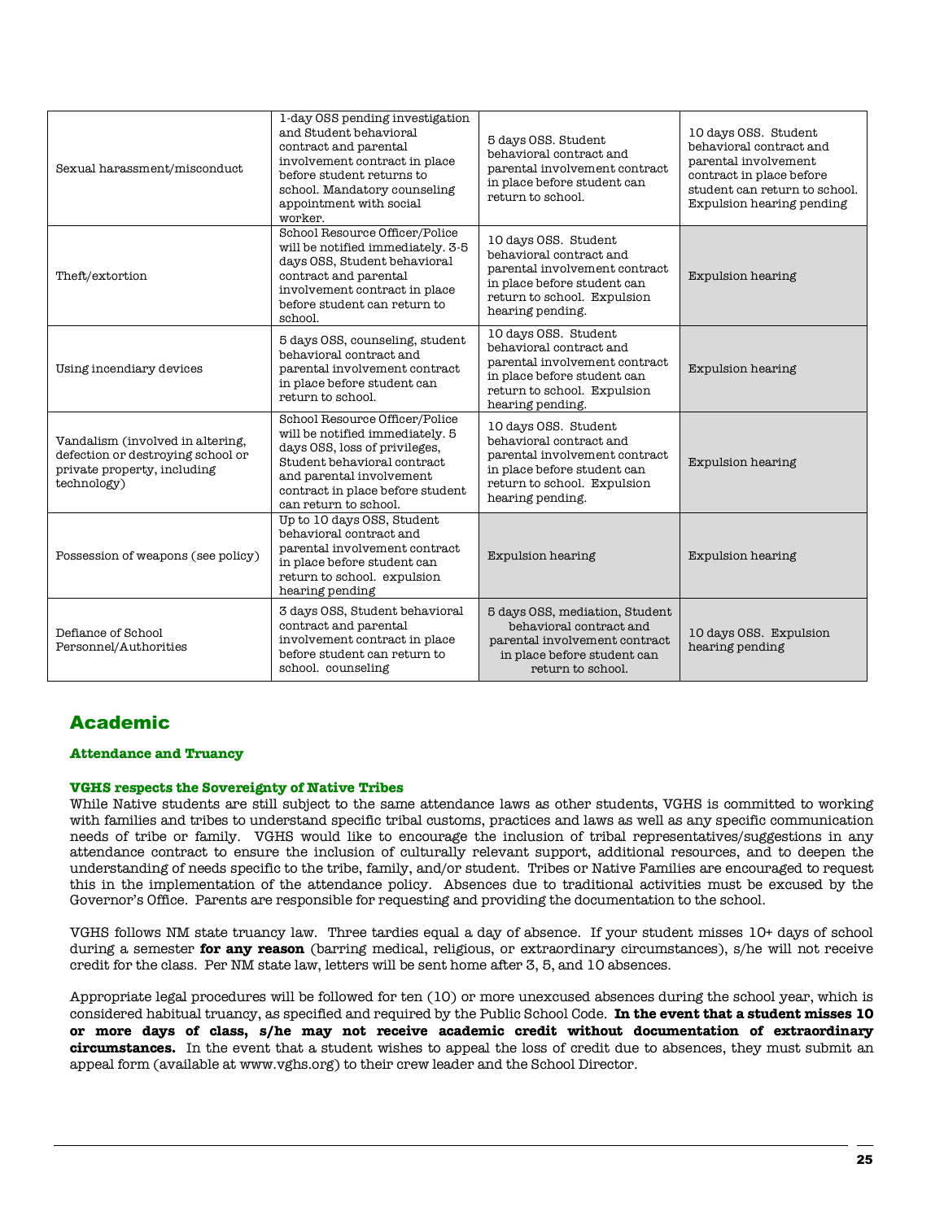| Sexual harassment/misconduct                                                                                        | 1-day OSS pending investigation<br>and Student behavioral<br>contract and parental<br>involvement contract in place<br>before student returns to<br>school. Mandatory counseling<br>appointment with social<br>worker.     | 5 days OSS. Student<br>behavioral contract and<br>parental involvement contract<br>in place before student can<br>return to school.                                | 10 days OSS. Student<br>behavioral contract and<br>parental involvement<br>contract in place before<br>student can return to school.<br>Expulsion hearing pending |
|---------------------------------------------------------------------------------------------------------------------|----------------------------------------------------------------------------------------------------------------------------------------------------------------------------------------------------------------------------|--------------------------------------------------------------------------------------------------------------------------------------------------------------------|-------------------------------------------------------------------------------------------------------------------------------------------------------------------|
| Theft/extortion                                                                                                     | School Resource Officer/Police<br>will be notified immediately. 3-5<br>days OSS, Student behavioral<br>contract and parental<br>involvement contract in place<br>before student can return to<br>school.                   | 10 days OSS. Student<br>behavioral contract and<br>parental involvement contract<br>in place before student can<br>return to school. Expulsion<br>hearing pending. | Expulsion hearing                                                                                                                                                 |
| Using incendiary devices                                                                                            | 5 days OSS, counseling, student<br>behavioral contract and<br>parental involvement contract<br>in place before student can<br>return to school.                                                                            | 10 days OSS. Student<br>behavioral contract and<br>parental involvement contract<br>in place before student can<br>return to school. Expulsion<br>hearing pending. | Expulsion hearing                                                                                                                                                 |
| Vandalism (involved in altering,<br>defection or destroying school or<br>private property, including<br>technology) | School Resource Officer/Police<br>will be notified immediately. 5<br>days OSS, loss of privileges,<br>Student behavioral contract<br>and parental involvement<br>contract in place before student<br>can return to school. | 10 days OSS. Student<br>behavioral contract and<br>parental involvement contract<br>in place before student can<br>return to school. Expulsion<br>hearing pending. | <b>Expulsion hearing</b>                                                                                                                                          |
| Possession of weapons (see policy)                                                                                  | Up to 10 days OSS, Student<br>behavioral contract and<br>parental involvement contract<br>in place before student can<br>return to school. expulsion<br>hearing pending                                                    | <b>Expulsion hearing</b>                                                                                                                                           | <b>Expulsion hearing</b>                                                                                                                                          |
| Defiance of School<br>Personnel/Authorities                                                                         | 3 days OSS, Student behavioral<br>contract and parental<br>involvement contract in place<br>before student can return to<br>school, counseling                                                                             | 5 days OSS, mediation, Student<br>behavioral contract and<br>parental involvement contract<br>in place before student can<br>return to school.                     | 10 days OSS. Expulsion<br>hearing pending                                                                                                                         |

## Academic

### **Attendance and Truancy**

### **VGHS respects the Sovereignty of Native Tribes**

While Native students are still subject to the same attendance laws as other students, VGHS is committed to working with families and tribes to understand specific tribal customs, practices and laws as well as any specific communication needs of tribe or family. VGHS would like to encourage the inclusion of tribal representatives/suggestions in any attendance contract to ensure the inclusion of culturally relevant support, additional resources, and to deepen the understanding of needs specific to the tribe, family, and/or student. Tribes or Native Families are encouraged to request this in the implementation of the attendance policy. Absences due to traditional activities must be excused by the Governor's Office. Parents are responsible for requesting and providing the documentation to the school.

VGHS follows NM state truancy law. Three tardies equal a day of absence. If your student misses 10+ days of school during a semester **for any reason** (barring medical, religious, or extraordinary circumstances), s/he will not receive credit for the class. Per NM state law, letters will be sent home after 3, 5, and 10 absences.

Appropriate legal procedures will be followed for ten (10) or more unexcused absences during the school year, which is considered habitual truancy, as specified and required by the Public School Code. **In the event that a student misses 10 or more days of class, s/he may not receive academic credit without documentation of extraordinary circumstances.** In the event that a student wishes to appeal the loss of credit due to absences, they must submit an appeal form (available at www.vghs.org) to their crew leader and the School Director.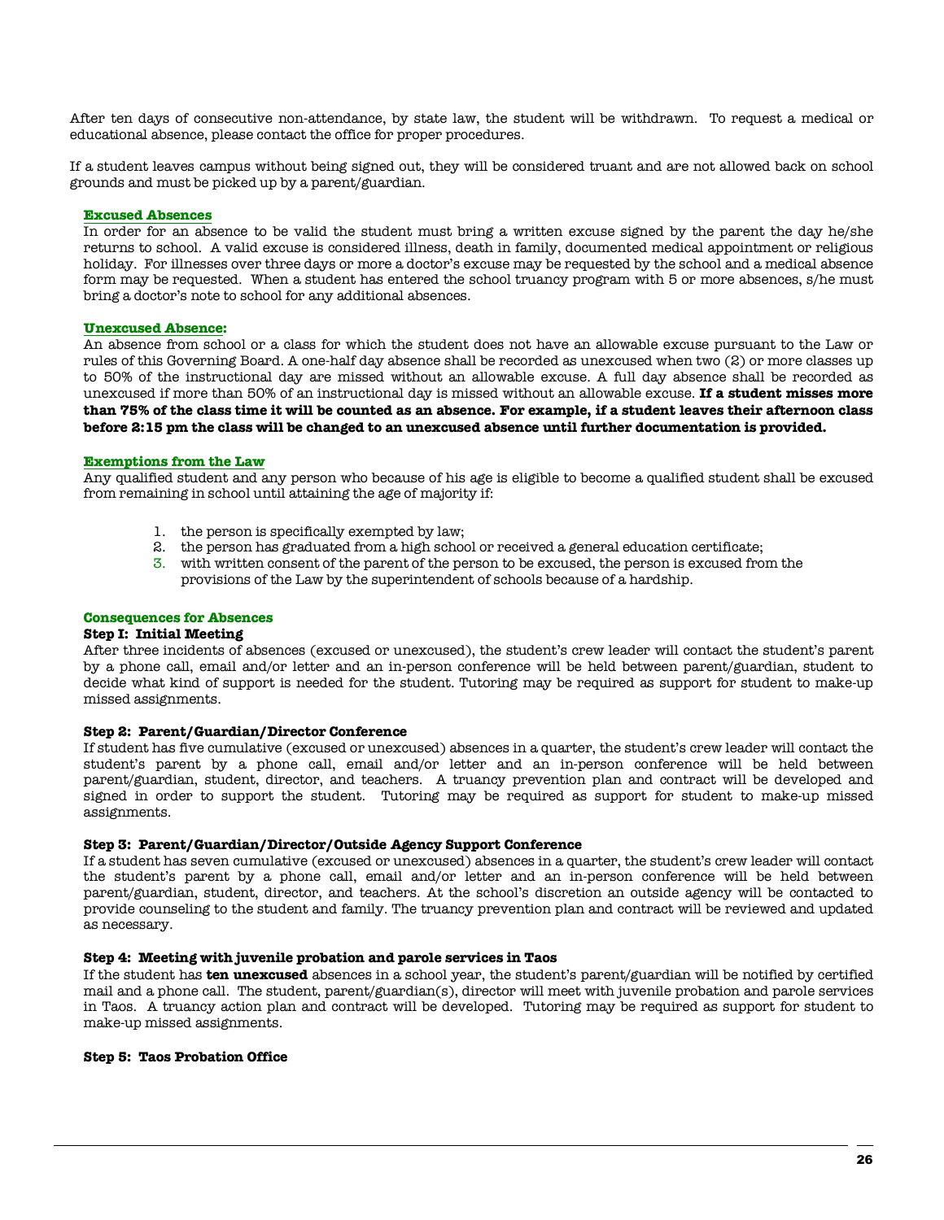After ten days of consecutive non-attendance, by state law, the student will be withdrawn. To request a medical or educational absence, please contact the office for proper procedures.

If a student leaves campus without being signed out, they will be considered truant and are not allowed back on school grounds and must be picked up by a parent/guardian.

#### **Excused Absences**

In order for an absence to be valid the student must bring a written excuse signed by the parent the day he/she returns to school. A valid excuse is considered illness, death in family, documented medical appointment or religious holiday. For illnesses over three days or more a doctor's excuse may be requested by the school and a medical absence form may be requested. When a student has entered the school truancy program with 5 or more absences, s/he must bring a doctor's note to school for any additional absences.

#### **Unexcused Absence:**

An absence from school or a class for which the student does not have an allowable excuse pursuant to the Law or rules of this Governing Board. A one-half day absence shall be recorded as unexcused when two (2) or more classes up to 50% of the instructional day are missed without an allowable excuse. A full day absence shall be recorded as unexcused if more than 50% of an instructional day is missed without an allowable excuse. **If a student misses more than 75% of the class time it will be counted as an absence. For example, if a student leaves their afternoon class before 2:15 pm the class will be changed to an unexcused absence until further documentation is provided.** 

#### **Exemptions from the Law**

Any qualified student and any person who because of his age is eligible to become a qualified student shall be excused from remaining in school until attaining the age of majority if:

- 1. the person is specifically exempted by law;
- 2. the person has graduated from a high school or received a general education certificate;
- 3. with written consent of the parent of the person to be excused, the person is excused from the provisions of the Law by the superintendent of schools because of a hardship.

#### **Consequences for Absences**

#### **Step I: Initial Meeting**

After three incidents of absences (excused or unexcused), the student's crew leader will contact the student's parent by a phone call, email and/or letter and an in-person conference will be held between parent/guardian, student to decide what kind of support is needed for the student. Tutoring may be required as support for student to make-up missed assignments.

#### **Step 2: Parent/Guardian/Director Conference**

If student has five cumulative (excused or unexcused) absences in a quarter, the student's crew leader will contact the student's parent by a phone call, email and/or letter and an in-person conference will be held between parent/guardian, student, director, and teachers. A truancy prevention plan and contract will be developed and signed in order to support the student. Tutoring may be required as support for student to make-up missed assignments.

#### **Step 3: Parent/Guardian/Director/Outside Agency Support Conference**

If a student has seven cumulative (excused or unexcused) absences in a quarter, the student's crew leader will contact the student's parent by a phone call, email and/or letter and an in-person conference will be held between parent/guardian, student, director, and teachers. At the school's discretion an outside agency will be contacted to provide counseling to the student and family. The truancy prevention plan and contract will be reviewed and updated as necessary.

#### **Step 4: Meeting with juvenile probation and parole services in Taos**

If the student has **ten unexcused** absences in a school year, the student's parent/guardian will be notified by certified mail and a phone call. The student, parent/guardian(s), director will meet with juvenile probation and parole services in Taos. A truancy action plan and contract will be developed. Tutoring may be required as support for student to make-up missed assignments.

#### **Step 5: Taos Probation Office**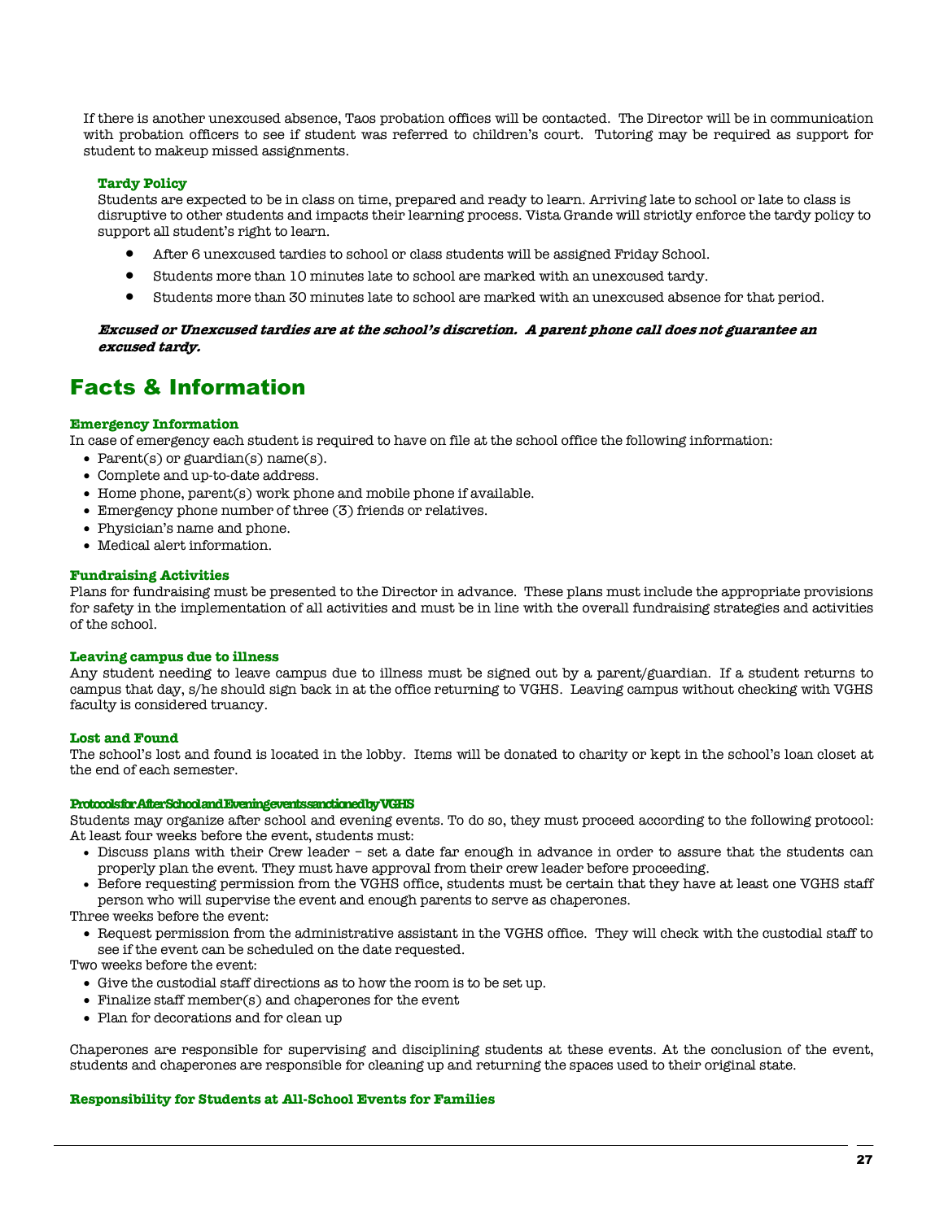If there is another unexcused absence, Taos probation offices will be contacted. The Director will be in communication with probation officers to see if student was referred to children's court. Tutoring may be required as support for student to makeup missed assignments.

#### **Tardy Policy**

Students are expected to be in class on time, prepared and ready to learn. Arriving late to school or late to class is disruptive to other students and impacts their learning process. Vista Grande will strictly enforce the tardy policy to support all student's right to learn.

- After 6 unexcused tardies to school or class students will be assigned Friday School.
- Students more than 10 minutes late to school are marked with an unexcused tardy.
- Students more than 30 minutes late to school are marked with an unexcused absence for that period.

#### **Excused or Unexcused tardies are at the school's discretion. A parent phone call does not guarantee an excused tardy.**

## Facts & Information

#### **Emergency Information**

In case of emergency each student is required to have on file at the school office the following information:

- Parent(s) or guardian(s) name(s).
- Complete and up-to-date address.
- Home phone, parent(s) work phone and mobile phone if available.
- Emergency phone number of three (3) friends or relatives.
- Physician's name and phone.
- Medical alert information.

#### **Fundraising Activities**

Plans for fundraising must be presented to the Director in advance. These plans must include the appropriate provisions for safety in the implementation of all activities and must be in line with the overall fundraising strategies and activities of the school.

#### **Leaving campus due to illness**

Any student needing to leave campus due to illness must be signed out by a parent/guardian. If a student returns to campus that day, s/he should sign back in at the office returning to VGHS. Leaving campus without checking with VGHS faculty is considered truancy.

#### **Lost and Found**

The school's lost and found is located in the lobby. Items will be donated to charity or kept in the school's loan closet at the end of each semester.

#### **Protocols for After School and Evening events sanctioned by VGHS**

Students may organize after school and evening events. To do so, they must proceed according to the following protocol: At least four weeks before the event, students must:

- Discuss plans with their Crew leader set a date far enough in advance in order to assure that the students can properly plan the event. They must have approval from their crew leader before proceeding.
- Before requesting permission from the VGHS office, students must be certain that they have at least one VGHS staff person who will supervise the event and enough parents to serve as chaperones.

Three weeks before the event:

• Request permission from the administrative assistant in the VGHS office. They will check with the custodial staff to see if the event can be scheduled on the date requested.

Two weeks before the event:

- Give the custodial staff directions as to how the room is to be set up.
- Finalize staff member(s) and chaperones for the event
- Plan for decorations and for clean up

Chaperones are responsible for supervising and disciplining students at these events. At the conclusion of the event, students and chaperones are responsible for cleaning up and returning the spaces used to their original state.

#### **Responsibility for Students at All-School Events for Families**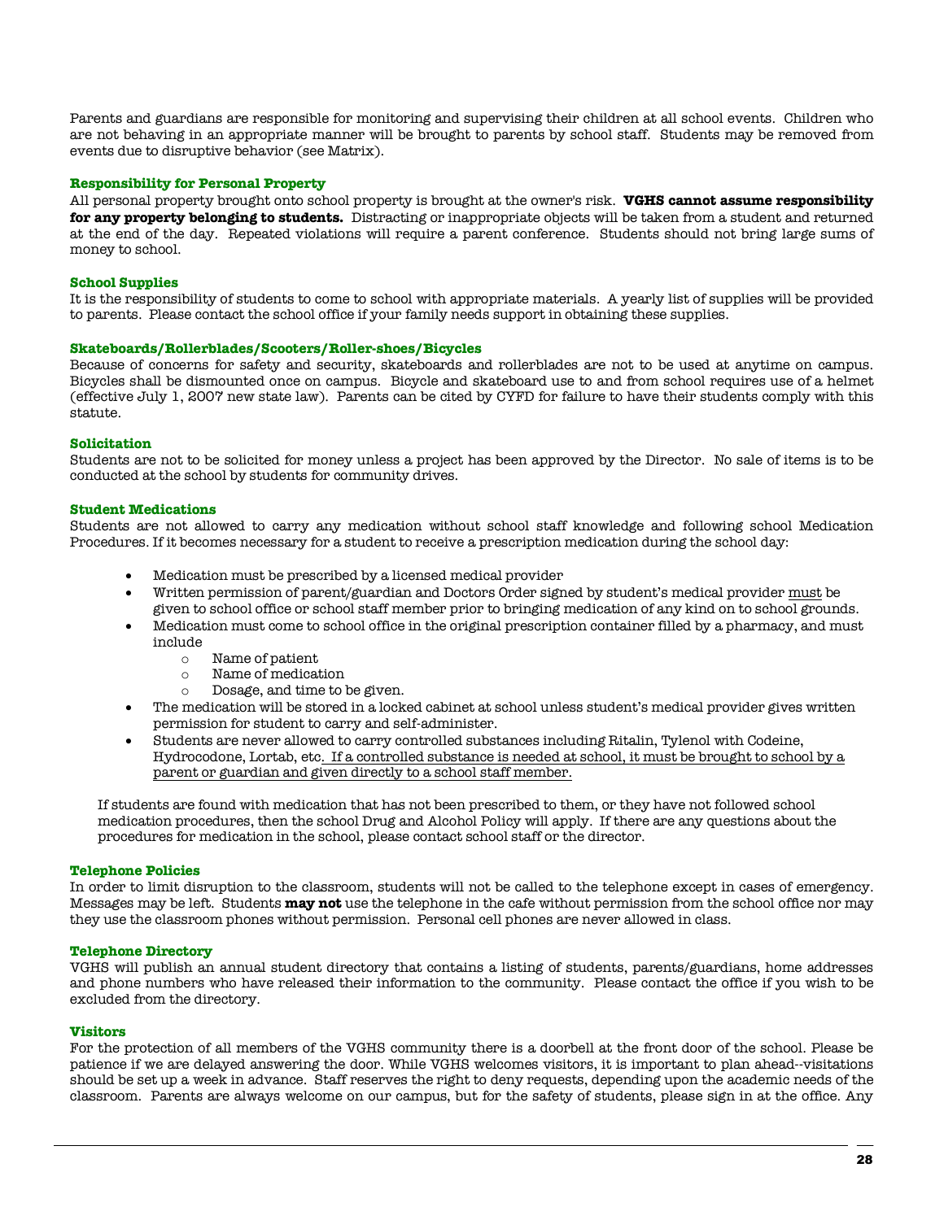Parents and guardians are responsible for monitoring and supervising their children at all school events. Children who are not behaving in an appropriate manner will be brought to parents by school staff. Students may be removed from events due to disruptive behavior (see Matrix).

#### **Responsibility for Personal Property**

All personal property brought onto school property is brought at the owner's risk. **VGHS cannot assume responsibility for any property belonging to students.** Distracting or inappropriate objects will be taken from a student and returned at the end of the day. Repeated violations will require a parent conference. Students should not bring large sums of money to school.

#### **School Supplies**

It is the responsibility of students to come to school with appropriate materials. A yearly list of supplies will be provided to parents. Please contact the school office if your family needs support in obtaining these supplies.

#### **Skateboards/Rollerblades/Scooters/Roller-shoes/Bicycles**

Because of concerns for safety and security, skateboards and rollerblades are not to be used at anytime on campus. Bicycles shall be dismounted once on campus. Bicycle and skateboard use to and from school requires use of a helmet (effective July 1, 2007 new state law). Parents can be cited by CYFD for failure to have their students comply with this statute.

#### **Solicitation**

Students are not to be solicited for money unless a project has been approved by the Director. No sale of items is to be conducted at the school by students for community drives.

#### **Student Medications**

Students are not allowed to carry any medication without school staff knowledge and following school Medication Procedures. If it becomes necessary for a student to receive a prescription medication during the school day:

- Medication must be prescribed by a licensed medical provider
- Written permission of parent/guardian and Doctors Order signed by student's medical provider must be given to school office or school staff member prior to bringing medication of any kind on to school grounds.
- Medication must come to school office in the original prescription container filled by a pharmacy, and must include
	- o Name of patient
	- o Name of medication
	- o Dosage, and time to be given.
- The medication will be stored in a locked cabinet at school unless student's medical provider gives written permission for student to carry and self-administer.
- Students are never allowed to carry controlled substances including Ritalin, Tylenol with Codeine, Hydrocodone, Lortab, etc. If a controlled substance is needed at school, it must be brought to school by a parent or guardian and given directly to a school staff member.

If students are found with medication that has not been prescribed to them, or they have not followed school medication procedures, then the school Drug and Alcohol Policy will apply. If there are any questions about the procedures for medication in the school, please contact school staff or the director.

#### **Telephone Policies**

In order to limit disruption to the classroom, students will not be called to the telephone except in cases of emergency. Messages may be left. Students **may not** use the telephone in the cafe without permission from the school office nor may they use the classroom phones without permission. Personal cell phones are never allowed in class.

#### **Telephone Directory**

VGHS will publish an annual student directory that contains a listing of students, parents/guardians, home addresses and phone numbers who have released their information to the community. Please contact the office if you wish to be excluded from the directory.

#### **Visitors**

For the protection of all members of the VGHS community there is a doorbell at the front door of the school. Please be patience if we are delayed answering the door. While VGHS welcomes visitors, it is important to plan ahead--visitations should be set up a week in advance. Staff reserves the right to deny requests, depending upon the academic needs of the classroom. Parents are always welcome on our campus, but for the safety of students, please sign in at the office. Any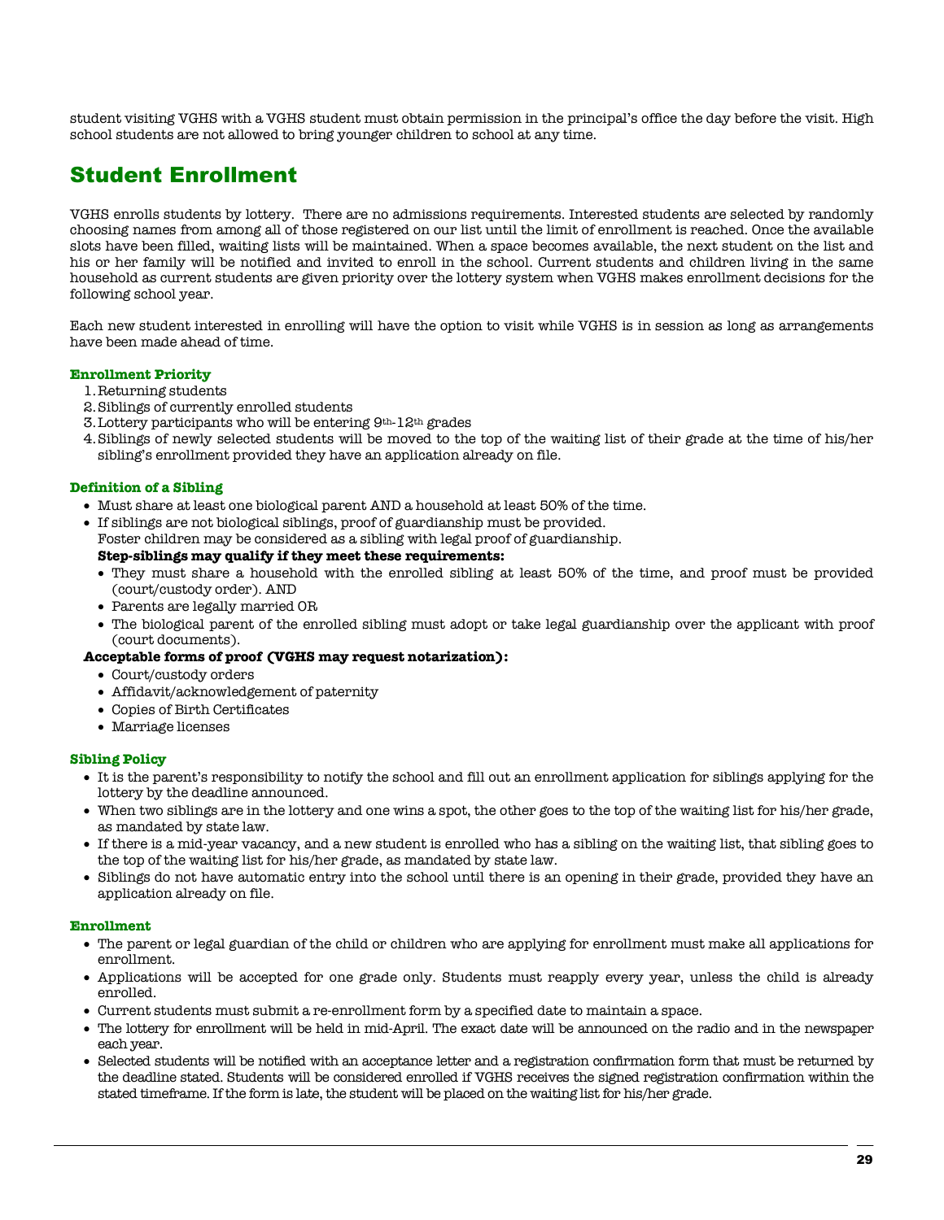student visiting VGHS with a VGHS student must obtain permission in the principal's office the day before the visit. High school students are not allowed to bring younger children to school at any time.

## Student Enrollment

VGHS enrolls students by lottery. There are no admissions requirements. Interested students are selected by randomly choosing names from among all of those registered on our list until the limit of enrollment is reached. Once the available slots have been filled, waiting lists will be maintained. When a space becomes available, the next student on the list and his or her family will be notified and invited to enroll in the school. Current students and children living in the same household as current students are given priority over the lottery system when VGHS makes enrollment decisions for the following school year.

Each new student interested in enrolling will have the option to visit while VGHS is in session as long as arrangements have been made ahead of time.

### **Enrollment Priority**

- 1.Returning students
- 2.Siblings of currently enrolled students
- 3.Lottery participants who will be entering 9th-12th grades
- 4.Siblings of newly selected students will be moved to the top of the waiting list of their grade at the time of his/her sibling's enrollment provided they have an application already on file.

### **Definition of a Sibling**

- Must share at least one biological parent AND a household at least 50% of the time.
- If siblings are not biological siblings, proof of guardianship must be provided. Foster children may be considered as a sibling with legal proof of guardianship. **Step-siblings may qualify if they meet these requirements:**
	- They must share a household with the enrolled sibling at least 50% of the time, and proof must be provided (court/custody order). AND
	- Parents are legally married OR
	- The biological parent of the enrolled sibling must adopt or take legal guardianship over the applicant with proof (court documents).

#### **Acceptable forms of proof (VGHS may request notarization):**

- Court/custody orders
- Affidavit/acknowledgement of paternity
- Copies of Birth Certificates
- Marriage licenses

#### **Sibling Policy**

- It is the parent's responsibility to notify the school and fill out an enrollment application for siblings applying for the lottery by the deadline announced.
- When two siblings are in the lottery and one wins a spot, the other goes to the top of the waiting list for his/her grade, as mandated by state law.
- If there is a mid-year vacancy, and a new student is enrolled who has a sibling on the waiting list, that sibling goes to the top of the waiting list for his/her grade, as mandated by state law.
- Siblings do not have automatic entry into the school until there is an opening in their grade, provided they have an application already on file.

### **Enrollment**

- The parent or legal guardian of the child or children who are applying for enrollment must make all applications for enrollment.
- Applications will be accepted for one grade only. Students must reapply every year, unless the child is already enrolled.
- Current students must submit a re-enrollment form by a specified date to maintain a space.
- The lottery for enrollment will be held in mid-April. The exact date will be announced on the radio and in the newspaper each year.
- Selected students will be notified with an acceptance letter and a registration confirmation form that must be returned by the deadline stated. Students will be considered enrolled if VGHS receives the signed registration confirmation within the stated timeframe. If the form is late, the student will be placed on the waiting list for his/her grade.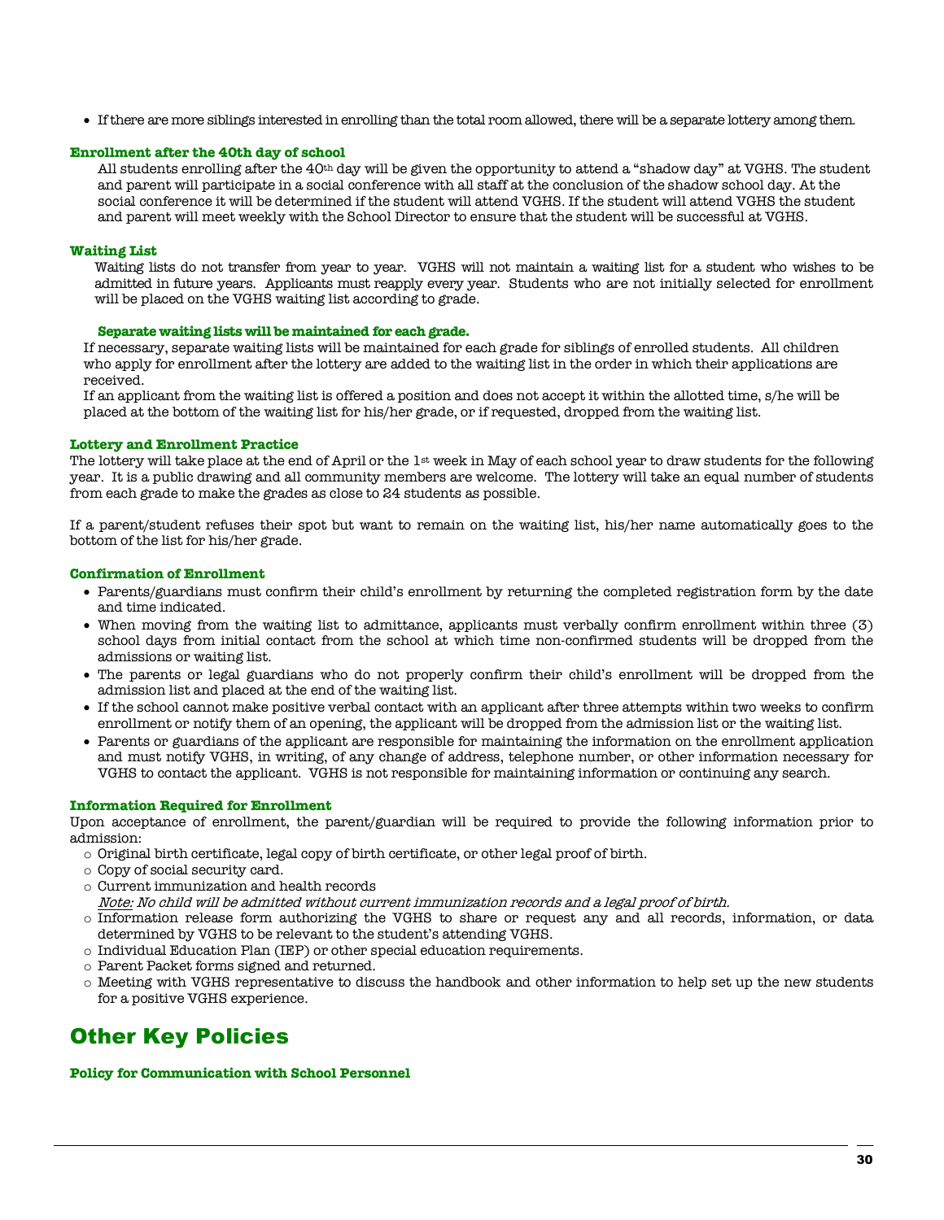• If there are more siblings interested in enrolling than the total room allowed, there will be a separate lottery among them.

#### **Enrollment after the 40th day of school**

All students enrolling after the 40th day will be given the opportunity to attend a "shadow day" at VGHS. The student and parent will participate in a social conference with all staff at the conclusion of the shadow school day. At the social conference it will be determined if the student will attend VGHS. If the student will attend VGHS the student and parent will meet weekly with the School Director to ensure that the student will be successful at VGHS.

#### **Waiting List**

Waiting lists do not transfer from year to year. VGHS will not maintain a waiting list for a student who wishes to be admitted in future years. Applicants must reapply every year. Students who are not initially selected for enrollment will be placed on the VGHS waiting list according to grade.

#### **Separate waiting lists will be maintained for each grade.**

If necessary, separate waiting lists will be maintained for each grade for siblings of enrolled students. All children who apply for enrollment after the lottery are added to the waiting list in the order in which their applications are received.

If an applicant from the waiting list is offered a position and does not accept it within the allotted time, s/he will be placed at the bottom of the waiting list for his/her grade, or if requested, dropped from the waiting list.

#### **Lottery and Enrollment Practice**

The lottery will take place at the end of April or the 1st week in May of each school year to draw students for the following year. It is a public drawing and all community members are welcome. The lottery will take an equal number of students from each grade to make the grades as close to 24 students as possible.

If a parent/student refuses their spot but want to remain on the waiting list, his/her name automatically goes to the bottom of the list for his/her grade.

#### **Confirmation of Enrollment**

- Parents/guardians must confirm their child's enrollment by returning the completed registration form by the date and time indicated.
- When moving from the waiting list to admittance, applicants must verbally confirm enrollment within three (3) school days from initial contact from the school at which time non-confirmed students will be dropped from the admissions or waiting list.
- The parents or legal guardians who do not properly confirm their child's enrollment will be dropped from the admission list and placed at the end of the waiting list.
- If the school cannot make positive verbal contact with an applicant after three attempts within two weeks to confirm enrollment or notify them of an opening, the applicant will be dropped from the admission list or the waiting list.
- Parents or guardians of the applicant are responsible for maintaining the information on the enrollment application and must notify VGHS, in writing, of any change of address, telephone number, or other information necessary for VGHS to contact the applicant. VGHS is not responsible for maintaining information or continuing any search.

#### **Information Required for Enrollment**

Upon acceptance of enrollment, the parent/guardian will be required to provide the following information prior to admission:

- $\circ$  Original birth certificate, legal copy of birth certificate, or other legal proof of birth.
- o Copy of social security card.
- o Current immunization and health records
- Note: No child will be admitted without current immunization records and a legal proof of birth.
- o Information release form authorizing the VGHS to share or request any and all records, information, or data determined by VGHS to be relevant to the student's attending VGHS.
- o Individual Education Plan (IEP) or other special education requirements.
- o Parent Packet forms signed and returned.
- o Meeting with VGHS representative to discuss the handbook and other information to help set up the new students for a positive VGHS experience.

## **Other Key Policies**

#### **Policy for Communication with School Personnel**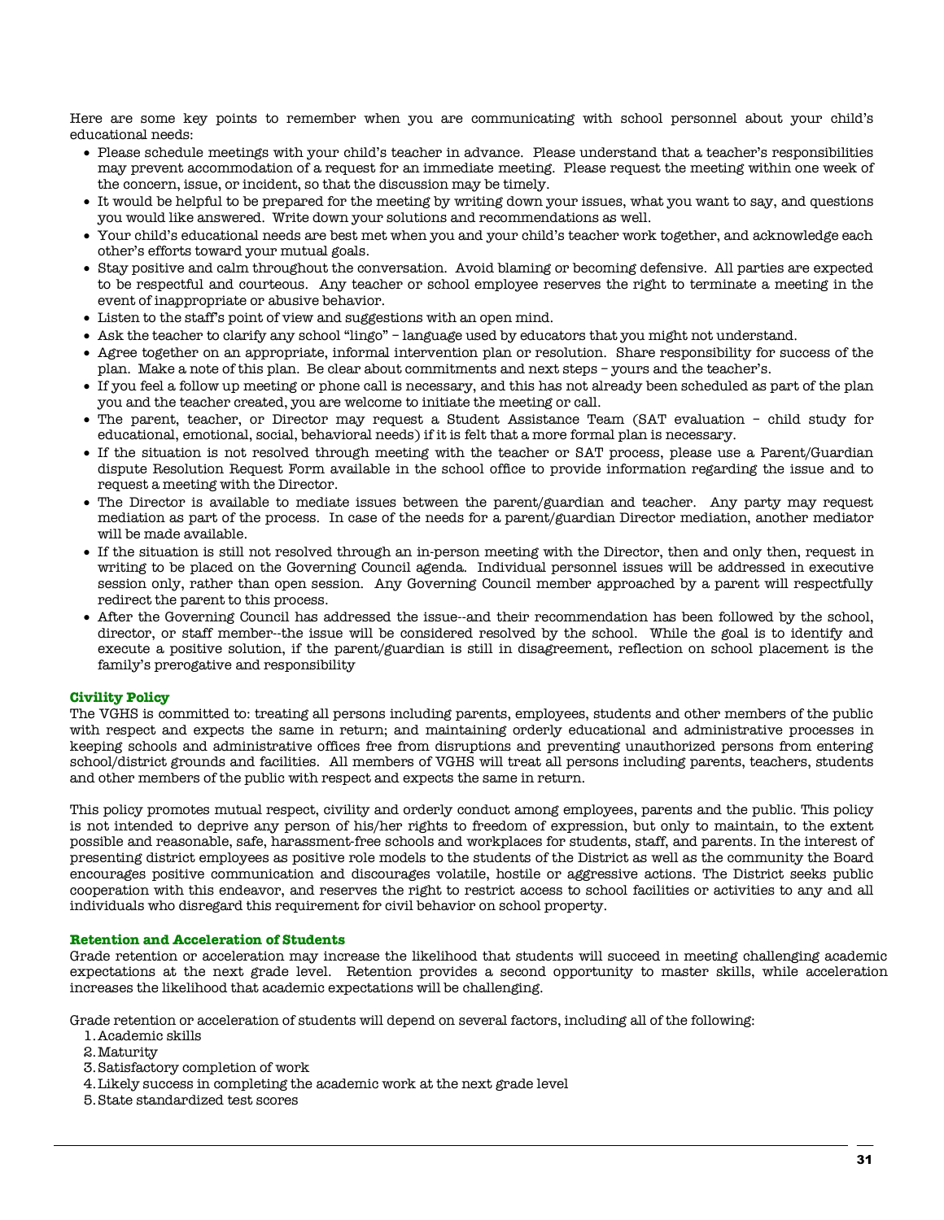Here are some key points to remember when you are communicating with school personnel about your child's educational needs:

- Please schedule meetings with your child's teacher in advance. Please understand that a teacher's responsibilities may prevent accommodation of a request for an immediate meeting. Please request the meeting within one week of the concern, issue, or incident, so that the discussion may be timely.
- It would be helpful to be prepared for the meeting by writing down your issues, what you want to say, and questions you would like answered. Write down your solutions and recommendations as well.
- Your child's educational needs are best met when you and your child's teacher work together, and acknowledge each other's efforts toward your mutual goals.
- Stay positive and calm throughout the conversation. Avoid blaming or becoming defensive. All parties are expected to be respectful and courteous. Any teacher or school employee reserves the right to terminate a meeting in the event of inappropriate or abusive behavior.
- Listen to the staff's point of view and suggestions with an open mind.
- Ask the teacher to clarify any school "lingo" language used by educators that you might not understand.
- Agree together on an appropriate, informal intervention plan or resolution. Share responsibility for success of the plan. Make a note of this plan. Be clear about commitments and next steps – yours and the teacher's.
- If you feel a follow up meeting or phone call is necessary, and this has not already been scheduled as part of the plan you and the teacher created, you are welcome to initiate the meeting or call.
- The parent, teacher, or Director may request a Student Assistance Team (SAT evaluation child study for educational, emotional, social, behavioral needs) if it is felt that a more formal plan is necessary.
- If the situation is not resolved through meeting with the teacher or SAT process, please use a Parent/Guardian dispute Resolution Request Form available in the school office to provide information regarding the issue and to request a meeting with the Director.
- The Director is available to mediate issues between the parent/guardian and teacher. Any party may request mediation as part of the process. In case of the needs for a parent/guardian Director mediation, another mediator will be made available.
- If the situation is still not resolved through an in-person meeting with the Director, then and only then, request in writing to be placed on the Governing Council agenda. Individual personnel issues will be addressed in executive session only, rather than open session. Any Governing Council member approached by a parent will respectfully redirect the parent to this process.
- After the Governing Council has addressed the issue--and their recommendation has been followed by the school, director, or staff member--the issue will be considered resolved by the school. While the goal is to identify and execute a positive solution, if the parent/guardian is still in disagreement, reflection on school placement is the family's prerogative and responsibility

#### **Civility Policy**

The VGHS is committed to: treating all persons including parents, employees, students and other members of the public with respect and expects the same in return; and maintaining orderly educational and administrative processes in keeping schools and administrative offices free from disruptions and preventing unauthorized persons from entering school/district grounds and facilities. All members of VGHS will treat all persons including parents, teachers, students and other members of the public with respect and expects the same in return.

This policy promotes mutual respect, civility and orderly conduct among employees, parents and the public. This policy is not intended to deprive any person of his/her rights to freedom of expression, but only to maintain, to the extent possible and reasonable, safe, harassment-free schools and workplaces for students, staff, and parents. In the interest of presenting district employees as positive role models to the students of the District as well as the community the Board encourages positive communication and discourages volatile, hostile or aggressive actions. The District seeks public cooperation with this endeavor, and reserves the right to restrict access to school facilities or activities to any and all individuals who disregard this requirement for civil behavior on school property.

#### **Retention and Acceleration of Students**

Grade retention or acceleration may increase the likelihood that students will succeed in meeting challenging academic expectations at the next grade level. Retention provides a second opportunity to master skills, while acceleration increases the likelihood that academic expectations will be challenging.

Grade retention or acceleration of students will depend on several factors, including all of the following:

- 1.Academic skills
- 2.Maturity
- 3.Satisfactory completion of work
- 4.Likely success in completing the academic work at the next grade level
- 5.State standardized test scores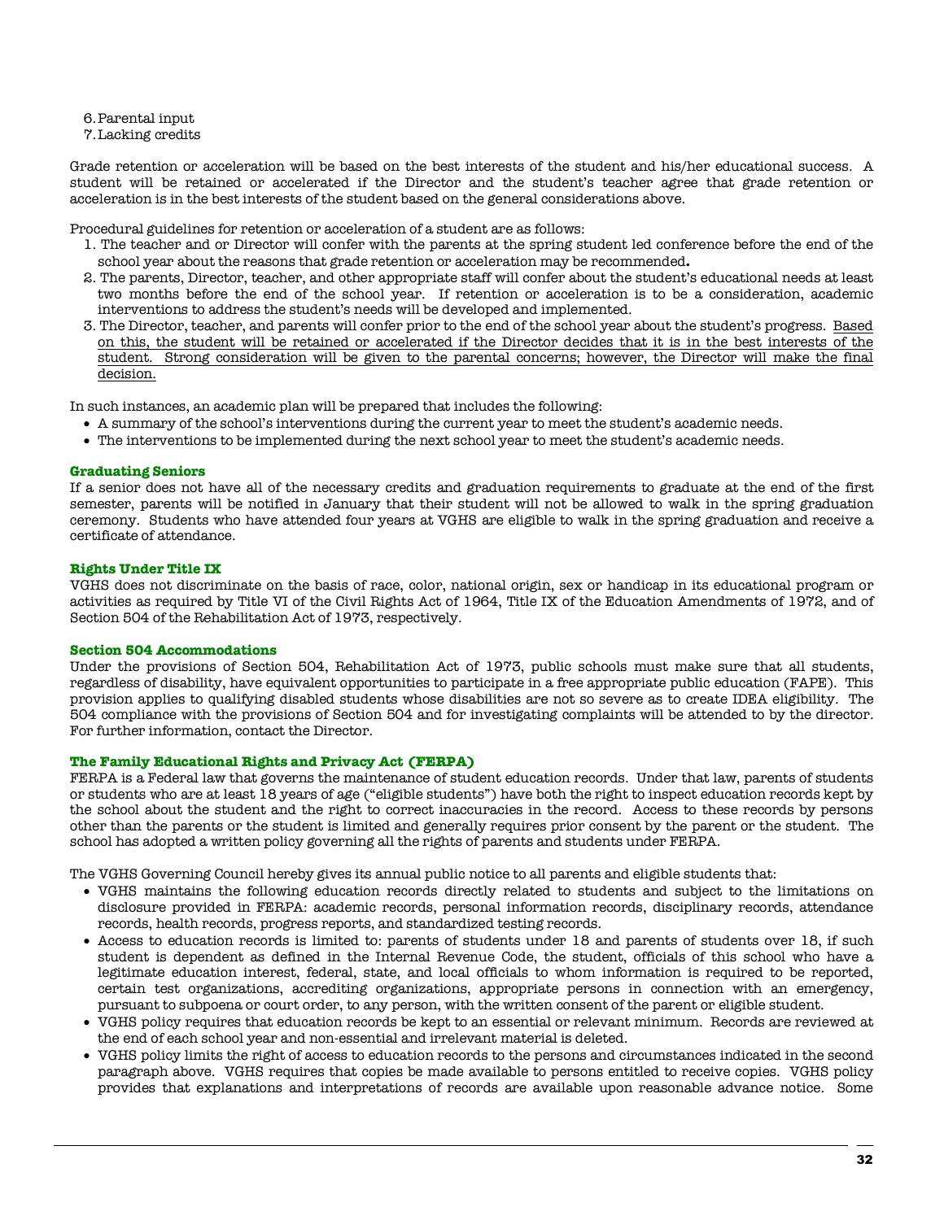6.Parental input

7.Lacking credits

Grade retention or acceleration will be based on the best interests of the student and his/her educational success. A student will be retained or accelerated if the Director and the student's teacher agree that grade retention or acceleration is in the best interests of the student based on the general considerations above.

Procedural guidelines for retention or acceleration of a student are as follows:

- 1. The teacher and or Director will confer with the parents at the spring student led conference before the end of the school year about the reasons that grade retention or acceleration may be recommended**.**
- 2. The parents, Director, teacher, and other appropriate staff will confer about the student's educational needs at least two months before the end of the school year. If retention or acceleration is to be a consideration, academic interventions to address the student's needs will be developed and implemented.
- 3. The Director, teacher, and parents will confer prior to the end of the school year about the student's progress. Based on this, the student will be retained or accelerated if the Director decides that it is in the best interests of the student. Strong consideration will be given to the parental concerns; however, the Director will make the final decision.

In such instances, an academic plan will be prepared that includes the following:

- A summary of the school's interventions during the current year to meet the student's academic needs.
- The interventions to be implemented during the next school year to meet the student's academic needs.

#### **Graduating Seniors**

If a senior does not have all of the necessary credits and graduation requirements to graduate at the end of the first semester, parents will be notified in January that their student will not be allowed to walk in the spring graduation ceremony. Students who have attended four years at VGHS are eligible to walk in the spring graduation and receive a certificate of attendance.

#### **Rights Under Title IX**

VGHS does not discriminate on the basis of race, color, national origin, sex or handicap in its educational program or activities as required by Title VI of the Civil Rights Act of 1964, Title IX of the Education Amendments of 1972, and of Section 504 of the Rehabilitation Act of 1973, respectively.

#### **Section 504 Accommodations**

Under the provisions of Section 504, Rehabilitation Act of 1973, public schools must make sure that all students, regardless of disability, have equivalent opportunities to participate in a free appropriate public education (FAPE).This provision applies to qualifying disabled students whose disabilities are not so severe as to create IDEA eligibility. The 504 compliance with the provisions of Section 504 and for investigating complaints will be attended to by the director. For further information, contact the Director.

#### **The Family Educational Rights and Privacy Act (FERPA)**

FERPA is a Federal law that governs the maintenance of student education records. Under that law, parents of students or students who are at least 18 years of age ("eligible students") have both the right to inspect education records kept by the school about the student and the right to correct inaccuracies in the record. Access to these records by persons other than the parents or the student is limited and generally requires prior consent by the parent or the student. The school has adopted a written policy governing all the rights of parents and students under FERPA.

The VGHS Governing Council hereby gives its annual public notice to all parents and eligible students that:

- VGHS maintains the following education records directly related to students and subject to the limitations on disclosure provided in FERPA: academic records, personal information records, disciplinary records, attendance records, health records, progress reports, and standardized testing records.
- Access to education records is limited to: parents of students under 18 and parents of students over 18, if such student is dependent as defined in the Internal Revenue Code, the student, officials of this school who have a legitimate education interest, federal, state, and local officials to whom information is required to be reported, certain test organizations, accrediting organizations, appropriate persons in connection with an emergency, pursuant to subpoena or court order, to any person, with the written consent of the parent or eligible student.
- VGHS policy requires that education records be kept to an essential or relevant minimum. Records are reviewed at the end of each school year and non-essential and irrelevant material is deleted.
- VGHS policy limits the right of access to education records to the persons and circumstances indicated in the second paragraph above. VGHS requires that copies be made available to persons entitled to receive copies. VGHS policy provides that explanations and interpretations of records are available upon reasonable advance notice. Some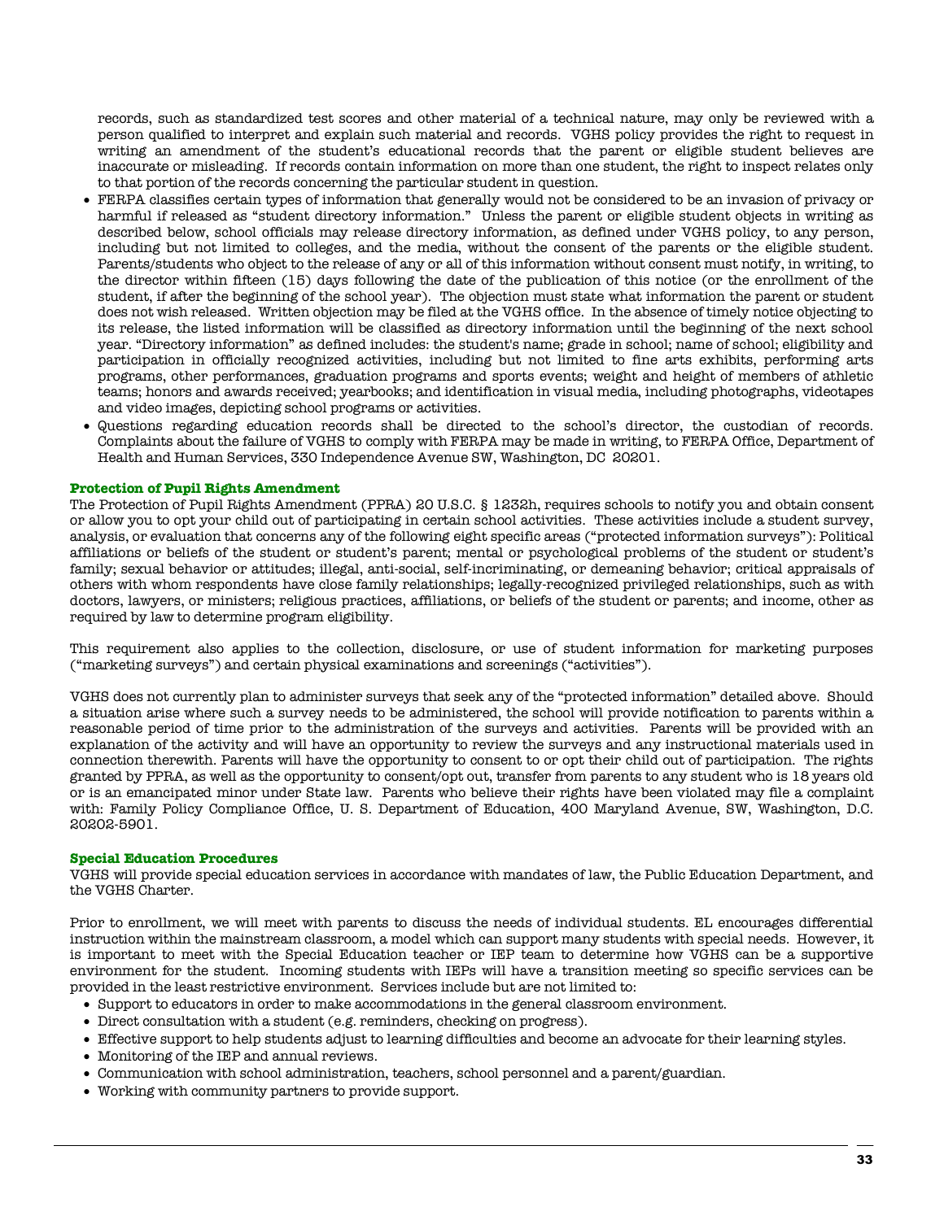records, such as standardized test scores and other material of a technical nature, may only be reviewed with a person qualified to interpret and explain such material and records. VGHS policy provides the right to request in writing an amendment of the student's educational records that the parent or eligible student believes are inaccurate or misleading. If records contain information on more than one student, the right to inspect relates only to that portion of the records concerning the particular student in question.

- FERPA classifies certain types of information that generally would not be considered to be an invasion of privacy or harmful if released as "student directory information." Unless the parent or eligible student objects in writing as described below, school officials may release directory information, as defined under VGHS policy, to any person, including but not limited to colleges, and the media, without the consent of the parents or the eligible student. Parents/students who object to the release of any or all of this information without consent must notify, in writing, to the director within fifteen (15) days following the date of the publication of this notice (or the enrollment of the student, if after the beginning of the school year). The objection must state what information the parent or student does not wish released. Written objection may be filed at the VGHS office. In the absence of timely notice objecting to its release, the listed information will be classified as directory information until the beginning of the next school year. "Directory information" as defined includes: the student's name; grade in school; name of school; eligibility and participation in officially recognized activities, including but not limited to fine arts exhibits, performing arts programs, other performances, graduation programs and sports events; weight and height of members of athletic teams; honors and awards received; yearbooks; and identification in visual media, including photographs, videotapes and video images, depicting school programs or activities.
- Questions regarding education records shall be directed to the school's director, the custodian of records. Complaints about the failure of VGHS to comply with FERPA may be made in writing, to FERPA Office, Department of Health and Human Services, 330 Independence Avenue SW, Washington, DC 20201.

#### **Protection of Pupil Rights Amendment**

The Protection of Pupil Rights Amendment (PPRA) 20 U.S.C. § 1232h, requires schools to notify you and obtain consent or allow you to opt your child out of participating in certain school activities. These activities include a student survey, analysis, or evaluation that concerns any of the following eight specific areas ("protected information surveys"): Political affiliations or beliefs of the student or student's parent; mental or psychological problems of the student or student's family; sexual behavior or attitudes; illegal, anti-social, self-incriminating, or demeaning behavior; critical appraisals of others with whom respondents have close family relationships; legally-recognized privileged relationships, such as with doctors, lawyers, or ministers; religious practices, affiliations, or beliefs of the student or parents; and income, other as required by law to determine program eligibility.

This requirement also applies to the collection, disclosure, or use of student information for marketing purposes ("marketing surveys") and certain physical examinations and screenings ("activities").

VGHS does not currently plan to administer surveys that seek any of the "protected information" detailed above. Should a situation arise where such a survey needs to be administered, the school will provide notification to parents within a reasonable period of time prior to the administration of the surveys and activities. Parents will be provided with an explanation of the activity and will have an opportunity to review the surveys and any instructional materials used in connection therewith. Parents will have the opportunity to consent to or opt their child out of participation. The rights granted by PPRA, as well as the opportunity to consent/opt out, transfer from parents to any student who is 18 years old or is an emancipated minor under State law. Parents who believe their rights have been violated may file a complaint with: Family Policy Compliance Office, U. S. Department of Education, 400 Maryland Avenue, SW, Washington, D.C. 20202-5901.

#### **Special Education Procedures**

VGHS will provide special education services in accordance with mandates of law, the Public Education Department, and the VGHS Charter.

Prior to enrollment, we will meet with parents to discuss the needs of individual students. EL encourages differential instruction within the mainstream classroom, a model which can support many students with special needs. However, it is important to meet with the Special Education teacher or IEP team to determine how VGHS can be a supportive environment for the student. Incoming students with IEPs will have a transition meeting so specific services can be provided in the least restrictive environment. Services include but are not limited to:

- Support to educators in order to make accommodations in the general classroom environment.
- Direct consultation with a student (e.g. reminders, checking on progress).
- Effective support to help students adjust to learning difficulties and become an advocate for their learning styles.
- Monitoring of the IEP and annual reviews.
- Communication with school administration, teachers, school personnel and a parent/guardian.
- Working with community partners to provide support.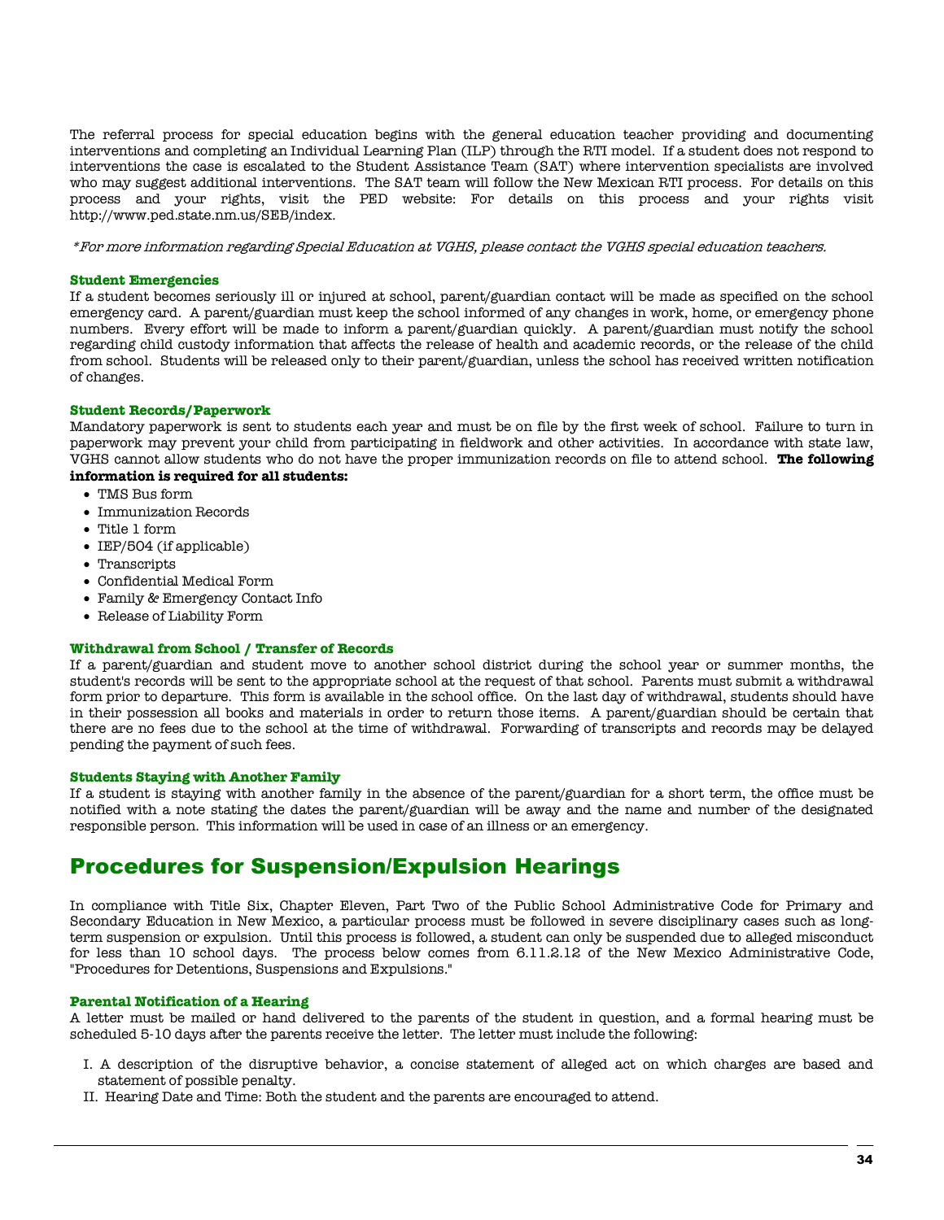The referral process for special education begins with the general education teacher providing and documenting interventions and completing an Individual Learning Plan (ILP) through the RTI model. If a student does not respond to interventions the case is escalated to the Student Assistance Team (SAT) where intervention specialists are involved who may suggest additional interventions. The SAT team will follow the New Mexican RTI process. For details on this process and your rights, visit the PED website: For details on this process and your rights visit http://www.ped.state.nm.us/SEB/index.

\*For more information regarding Special Education at VGHS, please contact the VGHS special education teachers.

#### **Student Emergencies**

If a student becomes seriously ill or injured at school, parent/guardian contact will be made as specified on the school emergency card. A parent/guardian must keep the school informed of any changes in work, home, or emergency phone numbers. Every effort will be made to inform a parent/guardian quickly. A parent/guardian must notify the school regarding child custody information that affects the release of health and academic records, or the release of the child from school. Students will be released only to their parent/guardian, unless the school has received written notification of changes.

#### **Student Records/Paperwork**

Mandatory paperwork is sent to students each year and must be on file by the first week of school. Failure to turn in paperwork may prevent your child from participating in fieldwork and other activities. In accordance with state law, VGHS cannot allow students who do not have the proper immunization records on file to attend school. **The following** 

## **information is required for all students:**

- TMS Bus form
- Immunization Records
- Title 1 form
- IEP/504 (if applicable)
- Transcripts
- Confidential Medical Form
- Family & Emergency Contact Info
- Release of Liability Form

#### **Withdrawal from School / Transfer of Records**

If a parent/guardian and student move to another school district during the school year or summer months, the student's records will be sent to the appropriate school at the request of that school. Parents must submit a withdrawal form prior to departure. This form is available in the school office. On the last day of withdrawal, students should have in their possession all books and materials in order to return those items. A parent/guardian should be certain that there are no fees due to the school at the time of withdrawal. Forwarding of transcripts and records may be delayed pending the payment of such fees.

#### **Students Staying with Another Family**

If a student is staying with another family in the absence of the parent/guardian for a short term, the office must be notified with a note stating the dates the parent/guardian will be away and the name and number of the designated responsible person. This information will be used in case of an illness or an emergency.

## Procedures for Suspension/Expulsion Hearings

In compliance with Title Six, Chapter Eleven, Part Two of the Public School Administrative Code for Primary and Secondary Education in New Mexico, a particular process must be followed in severe disciplinary cases such as longterm suspension or expulsion. Until this process is followed, a student can only be suspended due to alleged misconduct for less than 10 school days. The process below comes from 6.11.2.12 of the New Mexico Administrative Code, "Procedures for Detentions, Suspensions and Expulsions."

#### **Parental Notification of a Hearing**

A letter must be mailed or hand delivered to the parents of the student in question, and a formal hearing must be scheduled 5-10 days after the parents receive the letter. The letter must include the following:

- I. A description of the disruptive behavior, a concise statement of alleged act on which charges are based and statement of possible penalty.
- II. Hearing Date and Time: Both the student and the parents are encouraged to attend.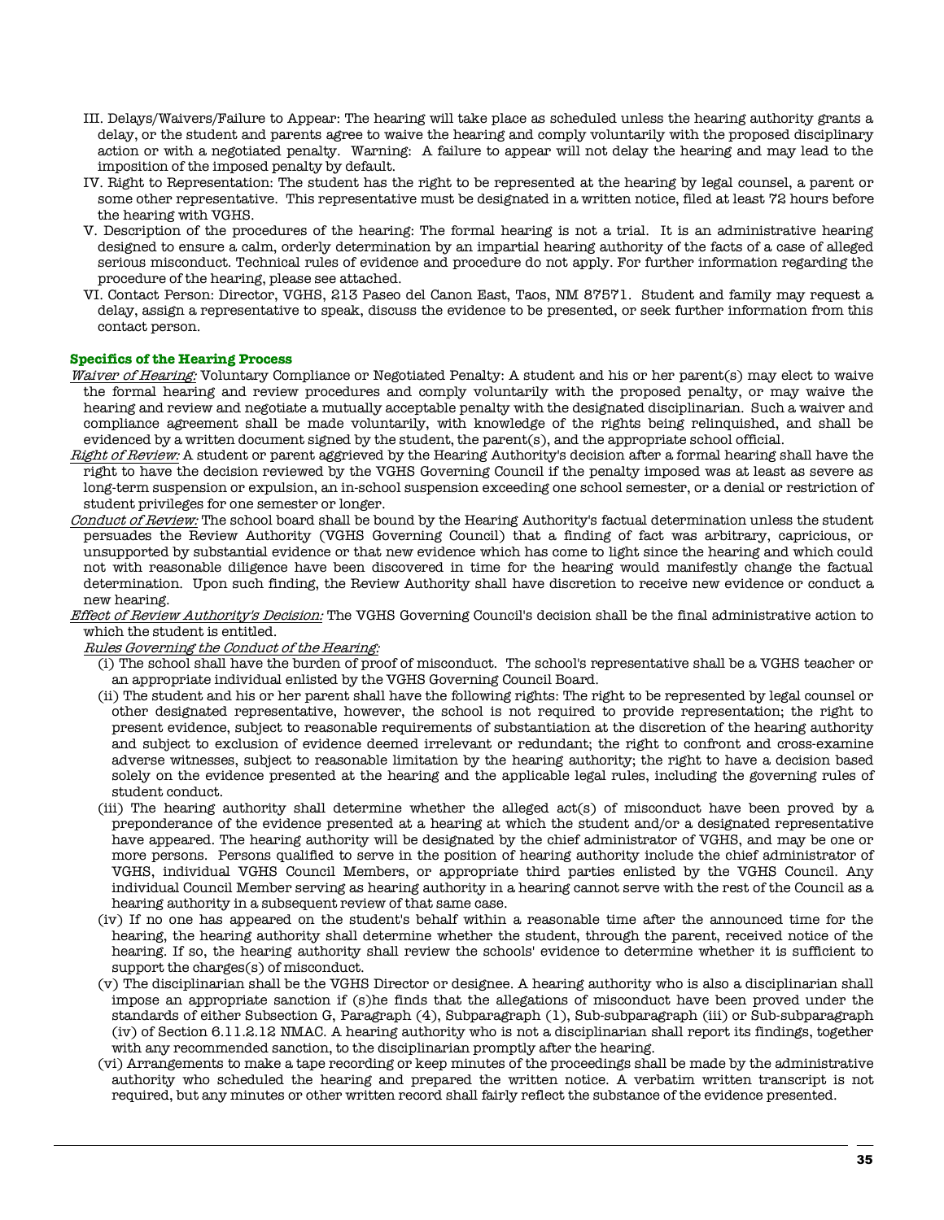- III. Delays/Waivers/Failure to Appear: The hearing will take place as scheduled unless the hearing authority grants a delay, or the student and parents agree to waive the hearing and comply voluntarily with the proposed disciplinary action or with a negotiated penalty. Warning: A failure to appear will not delay the hearing and may lead to the imposition of the imposed penalty by default.
- IV. Right to Representation: The student has the right to be represented at the hearing by legal counsel, a parent or some other representative. This representative must be designated in a written notice, filed at least 72 hours before the hearing with VGHS.
- V. Description of the procedures of the hearing: The formal hearing is not a trial. It is an administrative hearing designed to ensure a calm, orderly determination by an impartial hearing authority of the facts of a case of alleged serious misconduct. Technical rules of evidence and procedure do not apply. For further information regarding the procedure of the hearing, please see attached.
- VI. Contact Person: Director, VGHS, 213 Paseo del Canon East, Taos, NM 87571. Student and family may request a delay, assign a representative to speak, discuss the evidence to be presented, or seek further information from this contact person.

### **Specifics of the Hearing Process**

- Waiver of Hearing: Voluntary Compliance or Negotiated Penalty: A student and his or her parent(s) may elect to waive the formal hearing and review procedures and comply voluntarily with the proposed penalty, or may waive the hearing and review and negotiate a mutually acceptable penalty with the designated disciplinarian. Such a waiver and compliance agreement shall be made voluntarily, with knowledge of the rights being relinquished, and shall be evidenced by a written document signed by the student, the parent(s), and the appropriate school official.
- Right of Review: A student or parent aggrieved by the Hearing Authority's decision after a formal hearing shall have the right to have the decision reviewed by the VGHS Governing Council if the penalty imposed was at least as severe as long-term suspension or expulsion, an in-school suspension exceeding one school semester, or a denial or restriction of student privileges for one semester or longer.
- Conduct of Review: The school board shall be bound by the Hearing Authority's factual determination unless the student persuades the Review Authority (VGHS Governing Council) that a finding of fact was arbitrary, capricious, or unsupported by substantial evidence or that new evidence which has come to light since the hearing and which could not with reasonable diligence have been discovered in time for the hearing would manifestly change the factual determination. Upon such finding, the Review Authority shall have discretion to receive new evidence or conduct a new hearing.
- Effect of Review Authority's Decision: The VGHS Governing Council's decision shall be the final administrative action to which the student is entitled.

#### Rules Governing the Conduct of the Hearing:

- (i) The school shall have the burden of proof of misconduct. The school's representative shall be a VGHS teacher or an appropriate individual enlisted by the VGHS Governing Council Board.
- (ii) The student and his or her parent shall have the following rights: The right to be represented by legal counsel or other designated representative, however, the school is not required to provide representation; the right to present evidence, subject to reasonable requirements of substantiation at the discretion of the hearing authority and subject to exclusion of evidence deemed irrelevant or redundant; the right to confront and cross-examine adverse witnesses, subject to reasonable limitation by the hearing authority; the right to have a decision based solely on the evidence presented at the hearing and the applicable legal rules, including the governing rules of student conduct.
- (iii) The hearing authority shall determine whether the alleged act(s) of misconduct have been proved by a preponderance of the evidence presented at a hearing at which the student and/or a designated representative have appeared. The hearing authority will be designated by the chief administrator of VGHS, and may be one or more persons. Persons qualified to serve in the position of hearing authority include the chief administrator of VGHS, individual VGHS Council Members, or appropriate third parties enlisted by the VGHS Council. Any individual Council Member serving as hearing authority in a hearing cannot serve with the rest of the Council as a hearing authority in a subsequent review of that same case.
- (iv) If no one has appeared on the student's behalf within a reasonable time after the announced time for the hearing, the hearing authority shall determine whether the student, through the parent, received notice of the hearing. If so, the hearing authority shall review the schools' evidence to determine whether it is sufficient to support the charges(s) of misconduct.
- (v) The disciplinarian shall be the VGHS Director or designee. A hearing authority who is also a disciplinarian shall impose an appropriate sanction if (s)he finds that the allegations of misconduct have been proved under the standards of either Subsection G, Paragraph (4), Subparagraph (1), Sub-subparagraph (iii) or Sub-subparagraph (iv) of Section 6.11.2.12 NMAC. A hearing authority who is not a disciplinarian shall report its findings, together with any recommended sanction, to the disciplinarian promptly after the hearing.
- (vi) Arrangements to make a tape recording or keep minutes of the proceedings shall be made by the administrative authority who scheduled the hearing and prepared the written notice. A verbatim written transcript is not required, but any minutes or other written record shall fairly reflect the substance of the evidence presented.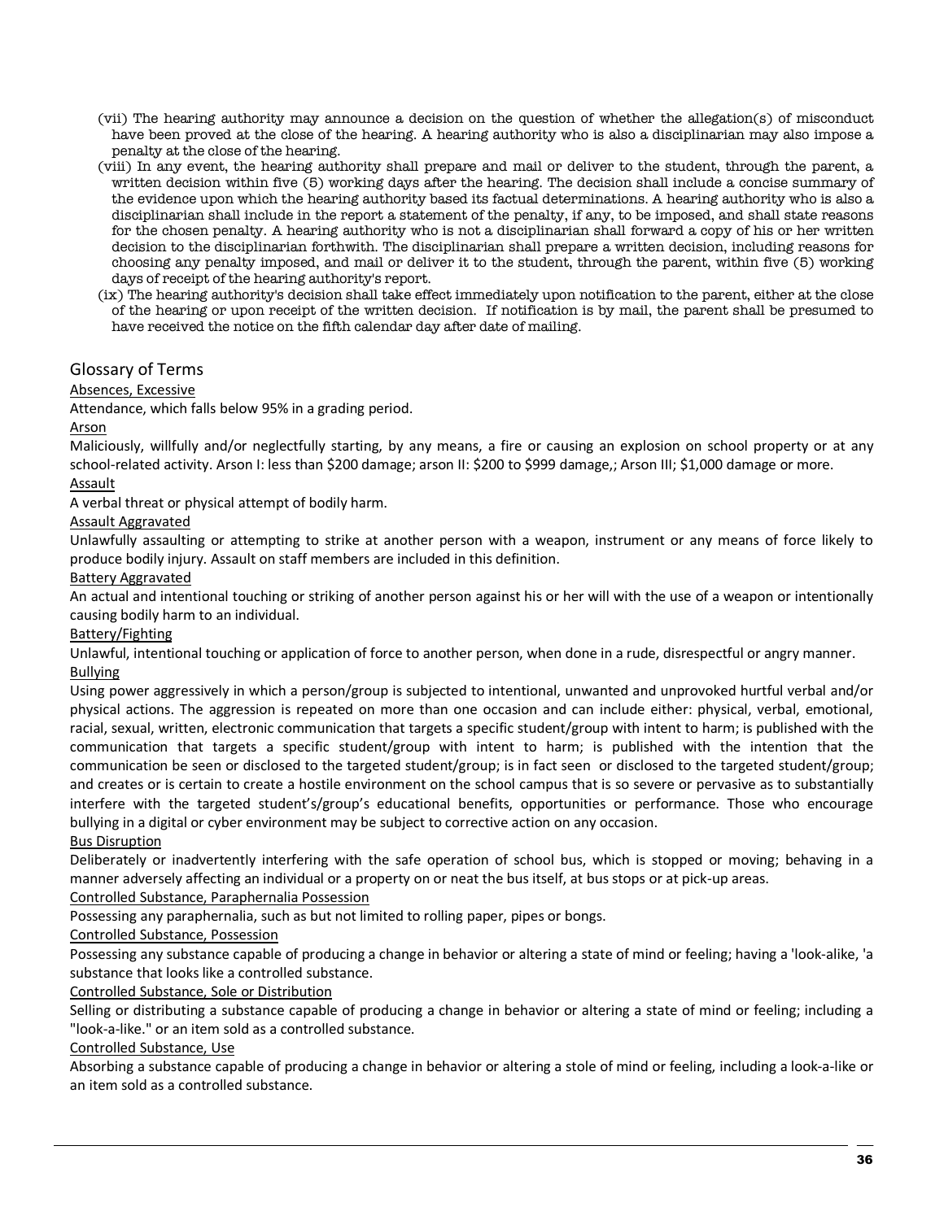- (vii) The hearing authority may announce a decision on the question of whether the allegation(s) of misconduct have been proved at the close of the hearing. A hearing authority who is also a disciplinarian may also impose a penalty at the close of the hearing.
- (viii) In any event, the hearing authority shall prepare and mail or deliver to the student, through the parent, a written decision within five (5) working days after the hearing. The decision shall include a concise summary of the evidence upon which the hearing authority based its factual determinations. A hearing authority who is also a disciplinarian shall include in the report a statement of the penalty, if any, to be imposed, and shall state reasons for the chosen penalty. A hearing authority who is not a disciplinarian shall forward a copy of his or her written decision to the disciplinarian forthwith. The disciplinarian shall prepare a written decision, including reasons for choosing any penalty imposed, and mail or deliver it to the student, through the parent, within five (5) working days of receipt of the hearing authority's report.
- (ix) The hearing authority's decision shall take effect immediately upon notification to the parent, either at the close of the hearing or upon receipt of the written decision. If notification is by mail, the parent shall be presumed to have received the notice on the fifth calendar day after date of mailing.

## Glossary of Terms

## Absences, Excessive

Attendance, which falls below 95% in a grading period.

### Arson

Maliciously, willfully and/or neglectfully starting, by any means, a fire or causing an explosion on school property or at any school-related activity. Arson I: less than \$200 damage; arson II: \$200 to \$999 damage,; Arson III; \$1,000 damage or more.

### Assault

A verbal threat or physical attempt of bodily harm.

## Assault Aggravated

Unlawfully assaulting or attempting to strike at another person with a weapon, instrument or any means of force likely to produce bodily injury. Assault on staff members are included in this definition.

## Battery Aggravated

An actual and intentional touching or striking of another person against his or her will with the use of a weapon or intentionally causing bodily harm to an individual.

## Battery/Fighting

Unlawful, intentional touching or application of force to another person, when done in a rude, disrespectful or angry manner. Bullying

Using power aggressively in which a person/group is subjected to intentional, unwanted and unprovoked hurtful verbal and/or physical actions. The aggression is repeated on more than one occasion and can include either: physical, verbal, emotional, racial, sexual, written, electronic communication that targets a specific student/group with intent to harm; is published with the communication that targets a specific student/group with intent to harm; is published with the intention that the communication be seen or disclosed to the targeted student/group; is in fact seen or disclosed to the targeted student/group; and creates or is certain to create a hostile environment on the school campus that is so severe or pervasive as to substantially interfere with the targeted student's/group's educational benefits, opportunities or performance. Those who encourage bullying in a digital or cyber environment may be subject to corrective action on any occasion. Bus Disruption

Deliberately or inadvertently interfering with the safe operation of school bus, which is stopped or moving; behaving in a manner adversely affecting an individual or a property on or neat the bus itself, at bus stops or at pick-up areas.

## Controlled Substance, Paraphernalia Possession

Possessing any paraphernalia, such as but not limited to rolling paper, pipes or bongs.

## Controlled Substance, Possession

Possessing any substance capable of producing a change in behavior or altering a state of mind or feeling; having a 'look-alike, 'a substance that looks like a controlled substance.

## Controlled Substance, Sole or Distribution

Selling or distributing a substance capable of producing a change in behavior or altering a state of mind or feeling; including a "look-a-like." or an item sold as a controlled substance.

## Controlled Substance, Use

Absorbing a substance capable of producing a change in behavior or altering a stole of mind or feeling, including a look-a-like or an item sold as a controlled substance.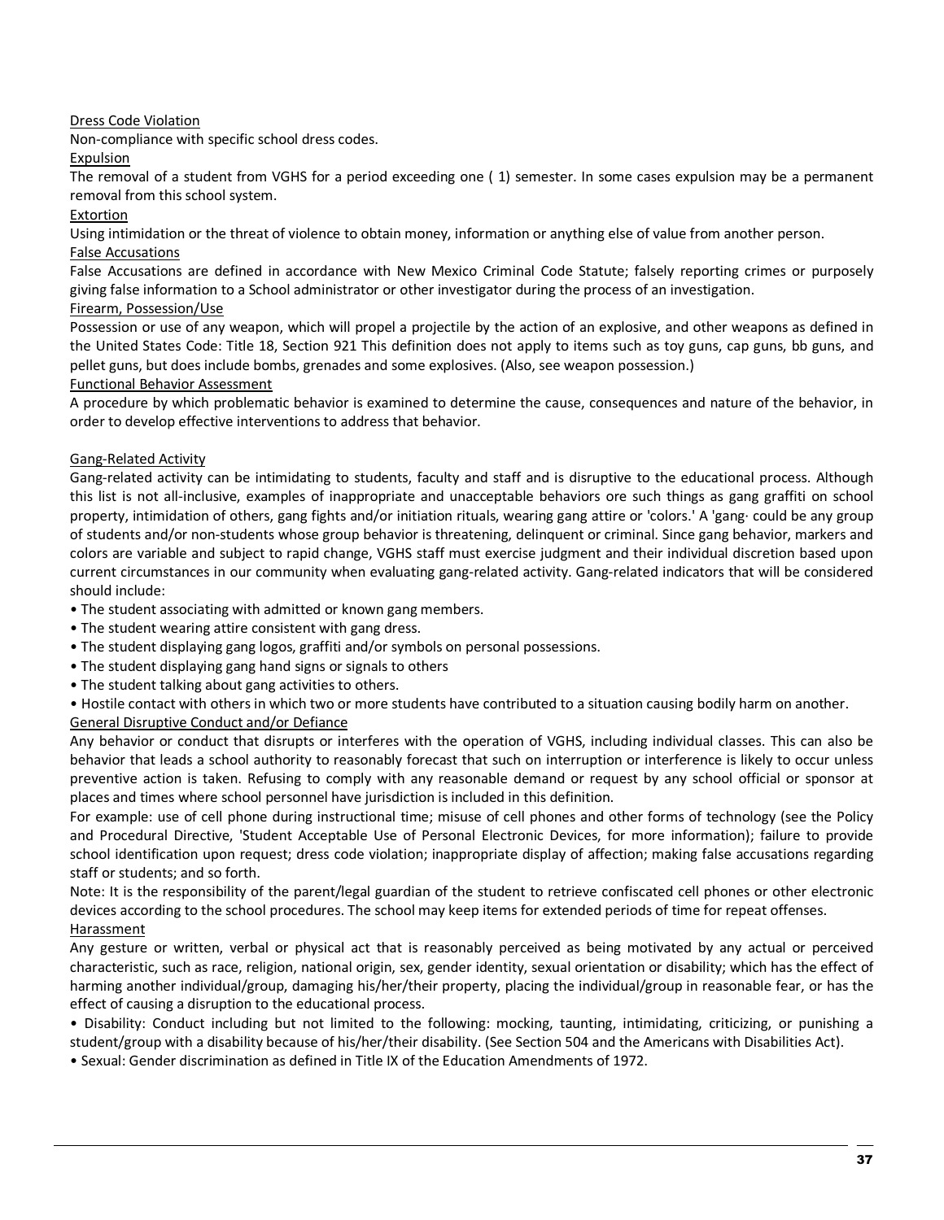### Dress Code Violation

Non-compliance with specific school dress codes.

### Expulsion

The removal of a student from VGHS for a period exceeding one ( 1) semester. In some cases expulsion may be a permanent removal from this school system.

### Extortion

Using intimidation or the threat of violence to obtain money, information or anything else of value from another person.

### False Accusations

False Accusations are defined in accordance with New Mexico Criminal Code Statute; falsely reporting crimes or purposely giving false information to a School administrator or other investigator during the process of an investigation.

## Firearm, Possession/Use

Possession or use of any weapon, which will propel a projectile by the action of an explosive, and other weapons as defined in the United States Code: Title 18, Section 921 This definition does not apply to items such as toy guns, cap guns, bb guns, and pellet guns, but does include bombs, grenades and some explosives. (Also, see weapon possession.)

### Functional Behavior Assessment

A procedure by which problematic behavior is examined to determine the cause, consequences and nature of the behavior, in order to develop effective interventions to address that behavior.

### Gang-Related Activity

Gang-related activity can be intimidating to students, faculty and staff and is disruptive to the educational process. Although this list is not all-inclusive, examples of inappropriate and unacceptable behaviors ore such things as gang graffiti on school property, intimidation of others, gang fights and/or initiation rituals, wearing gang attire or 'colors.' A 'gang· could be any group of students and/or non-students whose group behavior is threatening, delinquent or criminal. Since gang behavior, markers and colors are variable and subject to rapid change, VGHS staff must exercise judgment and their individual discretion based upon current circumstances in our community when evaluating gang-related activity. Gang-related indicators that will be considered should include:

• The student associating with admitted or known gang members.

- The student wearing attire consistent with gang dress.
- The student displaying gang logos, graffiti and/or symbols on personal possessions.
- The student displaying gang hand signs or signals to others
- The student talking about gang activities to others.
- Hostile contact with others in which two or more students have contributed to a situation causing bodily harm on another.

## General Disruptive Conduct and/or Defiance

Any behavior or conduct that disrupts or interferes with the operation of VGHS, including individual classes. This can also be behavior that leads a school authority to reasonably forecast that such on interruption or interference is likely to occur unless preventive action is taken. Refusing to comply with any reasonable demand or request by any school official or sponsor at places and times where school personnel have jurisdiction is included in this definition.

For example: use of cell phone during instructional time; misuse of cell phones and other forms of technology (see the Policy and Procedural Directive, 'Student Acceptable Use of Personal Electronic Devices, for more information); failure to provide school identification upon request; dress code violation; inappropriate display of affection; making false accusations regarding staff or students; and so forth.

Note: It is the responsibility of the parent/legal guardian of the student to retrieve confiscated cell phones or other electronic devices according to the school procedures. The school may keep items for extended periods of time for repeat offenses. Harassment

Any gesture or written, verbal or physical act that is reasonably perceived as being motivated by any actual or perceived characteristic, such as race, religion, national origin, sex, gender identity, sexual orientation or disability; which has the effect of harming another individual/group, damaging his/her/their property, placing the individual/group in reasonable fear, or has the effect of causing a disruption to the educational process.

• Disability: Conduct including but not limited to the following: mocking, taunting, intimidating, criticizing, or punishing a student/group with a disability because of his/her/their disability. (See Section 504 and the Americans with Disabilities Act).

• Sexual: Gender discrimination as defined in Title IX of the Education Amendments of 1972.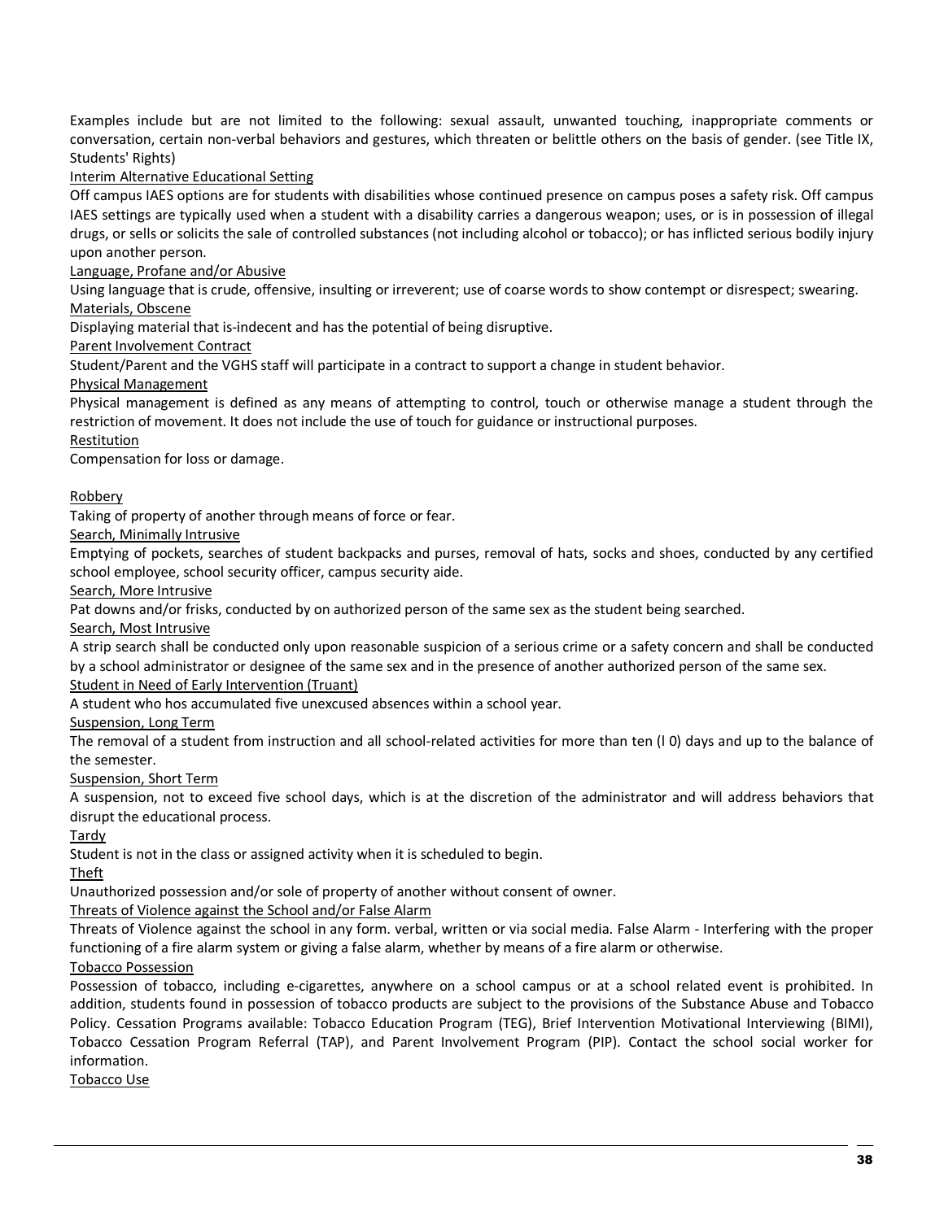Examples include but are not limited to the following: sexual assault, unwanted touching, inappropriate comments or conversation, certain non-verbal behaviors and gestures, which threaten or belittle others on the basis of gender. (see Title IX, Students' Rights)

## Interim Alternative Educational Setting

Off campus IAES options are for students with disabilities whose continued presence on campus poses a safety risk. Off campus IAES settings are typically used when a student with a disability carries a dangerous weapon; uses, or is in possession of illegal drugs, or sells or solicits the sale of controlled substances (not including alcohol or tobacco); or has inflicted serious bodily injury upon another person.

## Language, Profane and/or Abusive

Using language that is crude, offensive, insulting or irreverent; use of coarse words to show contempt or disrespect; swearing. Materials, Obscene

Displaying material that is-indecent and has the potential of being disruptive.

Parent Involvement Contract

Student/Parent and the VGHS staff will participate in a contract to support a change in student behavior.

### Physical Management

Physical management is defined as any means of attempting to control, touch or otherwise manage a student through the restriction of movement. It does not include the use of touch for guidance or instructional purposes.

Restitution

Compensation for loss or damage.

### Robbery

Taking of property of another through means of force or fear.

### Search, Minimally Intrusive

Emptying of pockets, searches of student backpacks and purses, removal of hats, socks and shoes, conducted by any certified school employee, school security officer, campus security aide.

Search, More Intrusive

Pat downs and/or frisks, conducted by on authorized person of the same sex as the student being searched.

Search, Most Intrusive

A strip search shall be conducted only upon reasonable suspicion of a serious crime or a safety concern and shall be conducted by a school administrator or designee of the same sex and in the presence of another authorized person of the same sex. Student in Need of Early Intervention (Truant)

A student who hos accumulated five unexcused absences within a school year.

Suspension, Long Term

The removal of a student from instruction and all school-related activities for more than ten (l 0) days and up to the balance of the semester.

### Suspension, Short Term

A suspension, not to exceed five school days, which is at the discretion of the administrator and will address behaviors that disrupt the educational process.

## Tardy

Student is not in the class or assigned activity when it is scheduled to begin.

Theft

Unauthorized possession and/or sole of property of another without consent of owner.

Threats of Violence against the School and/or False Alarm

Threats of Violence against the school in any form. verbal, written or via social media. False Alarm - Interfering with the proper functioning of a fire alarm system or giving a false alarm, whether by means of a fire alarm or otherwise.

## Tobacco Possession

Possession of tobacco, including e-cigarettes, anywhere on a school campus or at a school related event is prohibited. In addition, students found in possession of tobacco products are subject to the provisions of the Substance Abuse and Tobacco Policy. Cessation Programs available: Tobacco Education Program (TEG), Brief Intervention Motivational Interviewing (BIMI), Tobacco Cessation Program Referral (TAP), and Parent Involvement Program (PIP). Contact the school social worker for information.

Tobacco Use